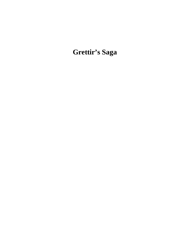**Grettir's Saga**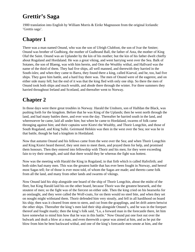# **Grettir's Saga**

1900 translation into English by William Morris & Eirikr Magnusson from the original Icelandic 'Grettis saga'.

## **Chapter 1**

There was a man named Onund, who was the son of Ufeigh Clubfoot, the son of Ivar the Smiter; Onund was brother of Gudbiorg, the mother of Gudbrand Ball, the father of Asta, the mother of King Olaf the Saint. Onund was an Uplander by the kin of his mother; but the kin of his father dwelt chiefly about Rogaland and Hordaland. He was a great viking, and went harrying west over the Sea. Balk of Sotanes, the son of Blaeng, was with him herein, and Orm the Wealthy withal, and Hallvard was the name of the third of them. They had five ships, all well manned, and therewith they harried in the South-isles; and when they came to Barra, they found there a king, called Kiarval, and he, too, had five ships. They gave him battle, and a hard fray there was. The men of Onund were of the eagerest, and on either side many fell; but the end of it was that the king fled with only one ship. So there the men of Onund took both ships and much wealth, and abode there through the winter. For three summers they harried throughout Ireland and Scotland, and thereafter went to Norway.

# **Chapter 2**

In those days were there great troubles in Norway. Harald the Unshorn, son of Halfdan the Black, was pushing forth for the kingdom. Before that he was King of the Uplands; then he went north through the land, and had many battles there, and ever won the day. Thereafter he harried south in the land, and wheresoever he came, laid all under him; but when he came to Hordaland, swarms of folk came thronging against him; and their captains were Kiotvi the Wealthy, and Thorir Longchin, and those of South Rogaland, and King Sulki. Geirmund Helskin was then in the west over the Sea; nor was he in that battle, though he had a kingdom in Hordaland.

Now that autumn Onund and his fellows came from the west over the Sea; and when Thorir Longchin and King Kiotvi heard thereof, they sent men to meet them, and prayed them for help, and promised them honours. Then they entered into fellowship with Thorir and his men; for they were exceeding fain to try their strength, and said that there would they be whereas the fight was hottest.

Now was the meeting with Harald the King in Rogaland, in that firth which is called Hafrsfirth; and both sides had many men. This was the greatest battle that has ever been fought in Norway, and hereof most Sagas tell; for of those is ever most told, of whom the Sagas are made; and thereto came folk from all the land, and many from other lands and swarms of vikings.

Now Onund laid his ship alongside one board of the ship of Thorir Longchin, about the midst of the fleet, but King Harald laid his on the other board, because Thorir was the greatest bearserk, and the stoutest of men; so the fight was of the fiercest on either side. Then the king cried on his bearserks for an onslaught, and they were called the Wolf-coats, for on them would no steel bite, and when they set on nought might withstand them. Thorir defended him very stoutly, and fell in all hardihood on board his ship; then was it cleared from stem to stern, and cut from the grapplings, and let drift astern betwixt the other ships. Thereafter the king's men laid their ship alongside Onund's, and he was in the forepart thereof and fought manly; then the king's folk said, "Lo, a forward man in the forecastle there, let him have somewhat to mind him how that he was in this battle." Now Onund put one foot out over the bulwark and dealt a blow at a man, and even therewith a spear was aimed at him, and as he put the blow from him he bent backward withal, and one of the king's forecastle men smote at him, and the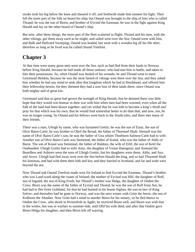stroke took his leg below the knee and sheared it off, and forthwith made him unmeet for fight. Then fell the more part of the folk on board his ship; but Onund was brought to the ship of him who is called Thrand; he was the son of Biorn, and brother of Eyvind the Eastman; he was in the fight against King Harald and lay on the other board of Onund's ship.

But now, after these things, the more part of the fleet scattered in flight; Thrand and his men, with the other vikings, got them away each as he might, and sailed west over the Sea; Onund went with him, and Balk and Hallvard Sweeping; Onund was healed, but went with a wooden leg all his life after; therefore as long as he lived was he called Onund Treefoot.

### **Chapter 3**

At that time were many great men west over the Sea, such as had fled from their lands in Norway before King Harald, because he had made all those outlaws, who had met him in battle, and taken to him their possessions. So, when Onund was healed of his wounds, he and Thrand went to meet Geirmund Helskin, because he was the most famed of vikings west there over the Sea, and they asked him whether he had any mind to seek after that kingdom which he had in Hordaland, and offered him their fellowship herein; for they deemed they had a sore loss of their lands there, since Onund was both mighty and of great kin.

Geirmund said that so great had grown the strength of King Harald, that he deemed there was little hope that they would win honour in their war with him when men had been worsted, even when all the folk of the land had been drawn together; and yet withal that he was loth to become a king's thrall and pray for that which was his own; that he would find somewhat better to do than that; and now, too, he was no longer young. So Onund and his fellows went back to the South-isles, and there met many of their friends.

There was a man, Ufeigh by name, who was bynamed Grettir; he was the son of Einar, the son of Olvir Bairn-Carle; he was brother to Oleif the Broad, the father of Thormod Shaft; Steinulf was the name of Olvir Bairn-Carle's son, he was the father of Una whom Thorbiorn Salmon-Carle had to wife. Another son of Olvir Bairn-Carle was Steinmod, the father of Konal, who was the father of Aldis of Barra. The son of Konal was Steinmod, the father of Haldora, the wife of Eilif, the son of Ketil the Onehanded. Ufeigh Grettir had to wife Asny, the daughter of Vestar Haengson; and Asmund the Beardless and Asbiorn were the sons of Ufeigh Grettir, but his daughters were these, Aldis, and Asa, and Asvor. Ufeigh had fled away west over the Sea before Harald the king, and so had Thormod Shaft his kinsman, and had with them their kith and kin; and they harried in Scotland, and far and wide west beyond the sea.

Now Thrand and Onund Treefoot made west for Ireland to find Eyvind the Eastman, Thrand's brother, who was Land-ward along the coasts of Ireland; the mother of Eyvind was Hlif, the daughter of Rolf, son of Ingiald, the son of King Frodi; but Thrand's mother was Helga, the daughter of Ondott the Crow; Biorn was the name of the father of Eyvind and Thrand, he was the son of Rolf from Am; he had had to flee from Gothland, for that he had burned in his house Sigfast, the son-in-law of King Solver; and thereafter had he gone to Norway, and was the next winter with Grim the hersir, the son of Kolbiorn the Abasher. Now Grim had a mind to murder Biorn for his money, so he fled thence to Ondott the Crow, who dwelt in Hvinisfirth in Agdir; he received Biorn well, and Biorn was with him in the winter, but was in warfare in summer-tide, until Hlif his wife died; and after that Ondott gave Biorn Helga his daughter, and then Biorn left off warring.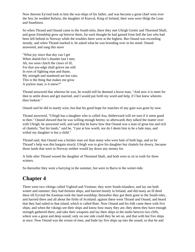Now thereon Eyvind took to him the war-ships of his father, and was become a great chief west over the Sea; he wedded Rafarta, the daughter of Kiarval, King of Ireland; their sons were Helgi the Lean and Snaebiorn.

So when Thrand and Onund came to the South-isles, there they met Ufeigh Grettir and Thormod Shaft, and great friendship grew up betwixt them, for each thought he had gained from hell the last who had been left behind in Norway while the troubles there were at the highest. But Onund was exceeding moody, and when Thrand marked it, he asked what he was brooding over in his mind. Onund answered, and sang this stave

"What joy since that day can I get When shield-fire's thunder last I met; Ah, too soon clutch the claws of ill; For that axe-edge shall grieve me still. In eyes of fighting man and thane, My strength and manhood are but vain, This is the thing that makes me grow A joyless man; is it enow?"

Thrand answered that whereso he was, he would still be deemed a brave man, "And now it is meet for thee to settle down and get married, and I would put forth my word and help, if I but knew whereto thou lookest."

Onund said he did in manly wise, but that his good hope for matches of any gain was gone by now.

Thrand answered, "Ufeigh has a daughter who is called Asa, thitherward will we turn if it seem good to thee." Onund showed that he was willing enough hereto; so afterwards they talked the matter over with Ufeigh; he answered well, and said that he knew how that Onund was a man of great kin and rich of chattels; "but his lands," said he, "I put at low worth, nor do I deem him to be a hale man, and withal my daughter is but a child."

Thrand said, that Onund was a brisker man yet than many who were hale of both legs, and so by Thrand's help was this bargain struck; Ufeigh was to give his daughter but chattels for dowry, because those lands that were in Norway neither would lay down any money for.

A little after Thrand wooed the daughter of Thormod Shaft, and both were to sit in troth for three winters.

So thereafter they went a harrying in the summer, but were in Barra in the winter-tide.

### **Chapter 4**

There were two vikings called Vigbiod and Vestmar; they were South-islanders, and lay out both winter and summer; they had thirteen ships, and harried mostly in Ireland, and did many an ill deed there till Eyvind the Eastman took the land-wardship; thereafter they got them gone to the South-isles, and harried there and all about the firths of Scotland: against these went Thrand and Onund, and heard that they had sailed to that island, which is called Bute. Now Onund and his folk came there with five ships; and when the vikings see their ships and know how many they are, they deem they have enough strength gathered there, and take their weapons and lay their ships in the midst betwixt two cliffs, where was a great and deep sound; only on one side could they be set on, and that with but five ships at once. Now Onund was the wisest of men, and bade lay five ships up into the sound, so that he and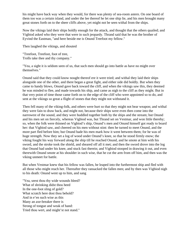his might have back way when they would, for there was plenty of sea-room astern. On one board of them too was a certain island, and under the lee thereof he let one ship lie, and his men brought many great stones forth on to the sheer cliffs above, yet might not be seen withal from the ships.

Now the vikings laid their ships boldly enough for the attack, and thought that the others quailed; and Vigbiod asked who they were that were in such jeopardy. Thrand said that he was the brother of Eyvind the Eastman, "and here beside me is Onund Treefoot my fellow."

Then laughed the vikings, and shouted

"Treefoot, Treefoot, foot of tree, Trolls take thee and thy company."

"Yea, a sight it is seldom seen of us, that such men should go into battle as have no might over themselves."

Onund said that they could know nought thereof ere it were tried; and withal they laid their ships alongside one of the other, and there began a great fight, and either side did boldly. But when they came to handy blows, Onund gave back toward the cliff, and when the vikings saw this, they deemed he was minded to flee, and made towards his ship, and came as nigh to the cliff as they might. But in that very point of time those came forth on to the edge of the cliff who were appointed so to do, and sent at the vikings so great a flight of stones that they might not withstand it.

Then fell many of the viking-folk, and others were hurt so that they might not bear weapon; and withal they were fain to draw back, and might not, because their ships were even then come into the narrowest of the sound, and they were huddled together both by the ships and the stream; but Onund and his men set on fiercely, whereas Vigbiod was, but Thrand set on Vestmar, and won little thereby; so, when the folk were thinned on Vigbiod's ship, Onund's men and Onund himself got ready to board her: that Vigbiod saw, and cheered on his men without stint: then he turned to meet Onund, and the more part fled before him; but Onund bade his men mark how it went between them; for he was of huge strength. Now they set a log of wood under Onund's knee, so that he stood firmly enow; the viking fought his way forward along the ship till he reached Onund, and he smote at him with his sword, and the stroke took the shield, and sheared off all it met; and then the sword drove into the log that Onund had under his knee, and stuck fast therein; and Vigbiod stooped in drawing it out, and even therewith Onund smote at his shoulder in such wise, that he cut the arm from off him, and then was the viking unmeet for battle.

But when Vestmar knew that his fellow was fallen, he leaped into the furthermost ship and fled with all those who might reach her. Thereafter they ransacked the fallen men; and by then was Vigbiod nigh to his death: Onund went up to him, and sang

"Yea, seest thou thy wide wounds bleed? What of shrinking didst thou heed In the one-foot sling of gold? What scratch here dost thou behold? And in e'en such wise as this Many an axe-breaker there is Strong of tongue and weak of hand: Tried thou wert, and might'st not stand."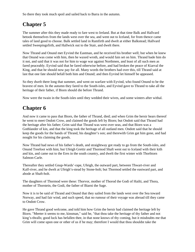So there they took much spoil and sailed back to Barra in the autumn.

## **Chapter 5**

The summer after this they made ready to fare west to Ireland. But at that time Balk and Hallvard betook themselves from the lands west over the sea, and went out to Iceland, for from thence came tales of land good to choose. Balk settled land in Ramfirth and dwelt at either Balkstead; Hallvard settled Sweepingsfirth, and Hallwick out to the Stair, and dwelt there.

Now Thrand and Onund met Eyvind the Eastman, and he received his brother well; but when he knew that Onund was come with him, then he waxed wroth, and would fain set on him. Thrand bade him do it not, and said that it was not for him to wage war against Northmen, and least of all such men as fared peaceably. Eyvind said that he fared otherwise before, and had broken the peace of Kiarval the King, and that he should now pay for all. Many words the brothers had over this, till Thrand said at last that one fate should befall both him and Onund; and then Eyvind let himself be appeased.

So they dwelt there long that summer, and went on warfare with Eyvind, who found Onund to be the bravest of men. In the autumn they fared to the South-isles, and Eyvind gave to Thrand to take all the heritage of their father, if Biorn should die before Thrand.

Now were the twain in the South-isles until they wedded their wives, and some winters after withal.

### **Chapter 6**

And now it came to pass that Biorn, the father of Thrand, died; and when Grim the hersir hears thereof he went to meet Ondott Crow, and claimed the goods left by Biorn; but Ondott said that Thrand had the heritage after his father; Grim said that Thrand was west over seas, and that Biorn was a Gothlander of kin, and that the king took the heritage of all outland men. Ondott said that he should keep the goods for the hands of Thrand, his daughter's son; and therewith Grim gat him gone, and had nought for his claiming the goods.

Now Thrand had news of his father's death, and straightway got ready to go from the South-isles, and Onund Treefoot with him; but Ufeigh Grettir and Thormod Shaft went out to Iceland with their kith and kin, and came out to the Eres in the south country, and dwelt the first winter with Thorbiorn Salmon-Carle.

Thereafter they settled Gnup-Wards'-rape, Ufeigh, the outward part, between Thwart-river and Kalf-river, and he dwelt at Ufeigh's-stead by Stone-holt; but Thormod settled the eastward part, and abode at Shaft-holt.

The daughters of Thormod were these: Thorvor, mother of Thorod the Godi of Hailti, and Thora, mother of Thorstein, the Godi, the father of Biarni the Sage.

Now it is to be said of Thrand and Onund that they sailed from the lands west over the Sea toward Norway, and had fair wind, and such speed, that no rumour of their voyage was abroad till they came to Ondott Crow.

He gave Thrand good welcome, and told him how Grim the hersir had claimed the heritage left by Biorn. "Meeter it seems to me, kinsman," said he, "that thou take the heritage of thy father and not king's-thralls; good luck has befallen thee, in that none knows of thy coming, but it misdoubts me that Grim will come upon one or other of us if he may; therefore I would that thou shouldst take the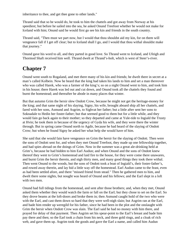inheritance to thee, and get thee gone to other lands."

Thrand said that so he would do, he took to him the chattels and got away from Norway at his speediest; but before he sailed into the sea, he asked Onund Treefoot whether he would not make for Iceland with him; Onund said he would first go see his kin and friends in the south country.

Thrand said, "Then must we part now, but I would that thou shouldst aid my kin, for on them will vengeance fall if I get off clear; but to Iceland shall I go, and I would that thou withal shouldst make that journey."

Onund gave his word to all, and they parted in good love. So Thrand went to Iceland, and Ufeigh and Thormod Shaft received him well. Thrand dwelt at Thrand's-holt, which is west of Steer's-river.

## **Chapter 7**

Onund went south to Rogaland, and met there many of his kin and friends; he dwelt there in secret at a man's called Kolbein. Now he heard that the king had taken his lands to him and set a man thereover who was called Harek, who was a farmer of the king's; so on a night Onund went to him, and took him in his house; there Harek was led out and cut down, and Onund took all the chattels they found and burnt the homestead; and thereafter he abode in many places that winter.

But that autumn Grim the hersir slew Ondott Crow, because he might not get the heritage-money for the king; and that same night of his slaying, Signy, his wife, brought aboard ship all her chattels, and fared with her sons, Asmund and Asgrim, to Sighvat her father; but a little after sent her sons to Soknadale to Hedin her foster-father; but that seemed good to them but for a little while, and they would fain go back again to their mother; so they departed and came at Yule-tide to Ingiald the Trusty at Hvin; he took them in because of the urgency of Gyda his wife, and they were there the winter through. But in spring came Onund north to Agdir, because he had heard of the slaying of Ondott Crow; but when he found Signy he asked her what help she would have of him.

She said that she would fain have vengeance on Grim the hersir for the slaying of Ondott. Then were the sons of Ondott sent for, and when they met Onund Treefoot, they made up one fellowship together, and had spies abroad on the doings of Grim. Now in the summer was a great ale-drinking held at Grim's, because he had bidden to him Earl Audun; and when Onund and the sons of Ondott knew thereof they went to Grim's homestead and laid fire to the house, for they were come there unawares, and burnt Grim the hersir therein, and nigh thirty men, and many good things they took there withal. Then went Onund to the woods, but the sons of Ondott took a boat of Ingiald's, their foster-father's, and rowed away therein, and lay hid a little way off the homestead. Earl Audun came to the feast, even as had been settled afore, and there "missed friend from stead." Then he gathered men to him, and dwelt there some nights, but nought was heard of Onund and his fellows; and the Earl slept in a loft with two men.

Onund had full tidings from the homestead, and sent after those brothers; and, when they met, Onund asked them whether they would watch the farm or fall on the Earl; but they chose to set on the Earl. So they drove beams at the loft-doors and broke them in; then Asmund caught hold of the two who were with the Earl, and cast them down so hard that they were well-nigh slain; but Asgrim ran at the Earl, and bade him render up weregild for his father, since he had been in the plot and the onslaught with Grim the hersir when Ondott Crow was slain. The Earl said he had no money with him there, and prayed for delay of that payment. Then Asgrim set his spear-point to the Earl's breast and bade him pay there and then; so the Earl took a chain from his neck, and three gold rings, and a cloak of rich web, and gave them up. Asgrim took the goods and gave the Earl a name, and called him Audun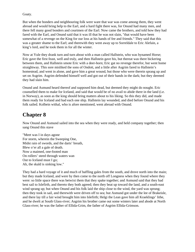Goaty.

But when the bonders and neighbouring folk were ware that war was come among them, they went abroad and would bring help to the Earl, and a hard fight there was, for Onund had many men, and there fell many good bonders and courtmen of the Earl. Now came the brothers, and told how they had fared with the Earl, and Onund said that it was ill that he was not slain, "that would have been somewhat of a revenge on the King for our loss at his hands of fee and friends." They said that this was a greater shame to the Earl; and therewith they went away up to Sorreldale to Eric Alefain, a king's lord, and he took them in for all the winter.

Now at Yule they drank turn and turn about with a man called Hallstein, who was bynamed Horse; Eric gave the first feast, well and truly, and then Hallstein gave his, but thereat was there bickering between them, and Hallstein smote Eric with a deer-horn; Eric gat no revenge therefor, but went home straightway. This sore misliked the sons of Ondott, and a little after Asgrim fared to Hallstein's homestead, and went in alone, and gave him a great wound, but those who were therein sprang up and set on Asgrim. Asgrim defended himself well and got out of their hands in the dark; but they deemed they had slain him.

Onund and Asmund heard thereof and supposed him dead, but deemed they might do nought. Eric counselled them to make for Iceland, and said that would be of no avail to abide there in the land (i.e. in Norway), as soon as the king should bring matters about to his liking. So this they did, and made them ready for Iceland and had each one ship. Hallstein lay wounded, and died before Onund and his folk sailed. Kolbein withal, who is afore mentioned, went abroad with Onund.

### **Chapter 8**

Now Onund and Asmund sailed into the sea when they were ready, and held company together; then sang Onund this stave

"Meet was I in days agone For storm, wherein the Sweeping One, Midst rain of swords, and the darts' breath, Blew o'er all a gale of death. Now a maimed, one-footed man On rollers' steed through waters wan Out to Iceland must I go; Ah, the skald is sinking low."

They had a hard voyage of it and much of baffling gales from the south, and drove north into the main; but they made Iceland, and were by then come to the north off Longness when they found where they were: so little space there was betwixt them that they spake together; and Asmund said that they had best sail to Islefirth, and thereto they both agreed; then they beat up toward the land, and a south-east wind sprang up; but when Onund and his folk laid the ship close to the wind, the yard was sprung; then they took in sail, and therewith were driven off to sea; but Asmund got under the lee of Brakeisle, and there lay till a fair wind brought him into Islefirth; Helgi the Lean gave him all Kraeklings' lithe, and he dwelt at South Glass-river; Asgrim his brother came out some winters later and abode at North Glass-river; he was the father of Ellida-Grim, the father of Asgrim Ellida-Grimson.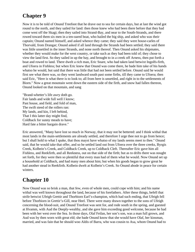#### **Chapter 9**

Now it is to be told of Onund Treefoot that he drave out to sea for certain days, but at last the wind got round to the north, and they sailed for land: then those knew who had been there before that they had come west off the Skagi; then they sailed into Strand-Bay, and near to the South-Strands, and there rowed toward them six men in a ten-oared boat, who hailed the big ship, and asked who was their captain; Onund named himself, and asked whence they came; they said they were house-carles of Thorvald, from Drangar; Onund asked if all land through the Strands had been settled; they said there was little unsettled in the inner Strands, and none north thereof. Then Onund asked his shipmates, whether they would make for the west country, or take such as they had been told of; they chose to view the land first. So they sailed in up the bay, and brought to in a creek off Arness, then put forth a boat and rowed to land. There dwelt a rich man, Eric Snare, who had taken land betwixt Ingolfs-firth, and Ufoera in Fishless; but when Eric knew that Onund was come there, he bade him take of his hands whatso he would, but said that there was little that had not been settled before. Onund said he would first see what there was, so they went landward south past some firths, till they came to Ufoera; then said Eric, "Here is what there is to look to; all from here is unsettled, and right in to the settlements of Biorn." Now a great mountain went down the eastern side of the firth, and snow had fallen thereon, Onund looked on that mountain, and sang

"Brand-whetter's life awry doth go. Fair lands and wide full well I know; Past house, and field, and fold of man, The swift steed of the rollers ran: My lands, and kin, I left behind, That I this latter day might find, Coldback for sunny meads to have; Hard fate a bitter bargain drave."

Eric answered, "Many have lost so much in Norway, that it may not be bettered: and I think withal that most lands in the main-settlements are already settled, and therefore I urge thee not to go from hence; but I shall hold to what I spake, that thou mayst have whatso of my lands seems meet to thee." Onund said, that he would take that offer, and so he settled land out from Ufoera over the three creeks, Byrgis Creek, Kolbein's Creek, and Coldback Creek, up to Coldback Cleft. Thereafter Eric gave him all Fishless, and Reekfirth, and all Reekness, out on that side of the firth; but as to drifts there was nought set forth, for they were then so plentiful that every man had of them what he would. Now Onund set up a household at Coldback, and had many men about him; but when his goods began to grow great he had another stead in Reekfirth. Kolbein dwelt at Kolbein's Creek. So Onund abode in peace for certain winters.

### **Chapter 10**

Now Onund was so brisk a man, that few, even of whole men, could cope with him; and his name withal was well known throughout the land, because of his forefathers. After these things, befell that strife betwixt Ufeigh Grettir and Thorbiorn Earl's-champion, which had such ending, that Ufeigh fell before Thorbiorn in Grettir's-Gill, near Heel. There were many drawn together to the sons of Ufeigh concerning the blood-suit, and Onund Treefoot was sent for, and rode south in the spring, and guested at Hvamm, with Aud the Deeply-wealthy, and she gave him exceeding good welcome, because he had been with her west over the Sea. In those days, Olaf Feilan, her son's son, was a man full grown, and Aud was by then worn with great eld; she bade Onund know that she would have Olaf, her kinsman, married, and was fain that he should woo Aldis of Barra, who was cousin to Asa, whom Onund had to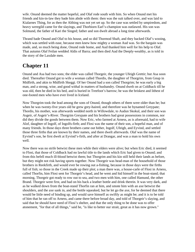wife. Onund deemed the matter hopeful, and Olaf rode south with him. So when Onund met his friends and kin-in-law they bade him abide with them: then was the suit talked over, and was laid to Kialarnes Thing, for as then the Althing was not yet set up. So the case was settled by umpiredom, and heavy weregild came for the slayings, and Thorbiorn Earl's-champion was outlawed. His son was Solmund, the father of Kari the Singed; father and son dwelt abroad a long time afterwards.

Thrand bade Onund and Olaf to his house, and so did Thormod Shaft, and they backed Olaf's wooing, which was settled with ease, because men knew how mighty a woman Aud was. So the bargain was made, and, so much being done, Onund rode home, and Aud thanked him well for his help to Olaf. That autumn Olaf Feilan wedded Aldis of Barra; and then died Aud the Deeply-wealthy, as is told in the story of the Laxdale men.

#### **Chapter 11**

Onund and Asa had two sons; the elder was called Thorgeir, the younger Ufeigh Grettir; but Asa soon died. Thereafter Onund got to wife a woman called Thordis, the daughter of Thorgrim, from Gnup in Midfirth, and akin to Midfirth Skeggi. Of her Onund had a son called Thorgrim; he was early a big man, and a strong, wise, and good withal in matters of husbandry. Onund dwelt on at Coldback till he was old, then he died in his bed, and is buried in Treefoot's barrow; he was the briskest and lithest of one-footed men who have ever lived in Iceland.

Now Thorgrim took the lead among the sons of Onund, though others of them were older than he; but when he was twenty-five years old he grew grey-haired, and therefore was he bynamed Greypate; Thordis, his mother, was afterwards wedded north in Willowdale, to Audun Skokul, and their son was Asgeir, of Asgeir's-River. Thorgrim Greypate and his brothers had great possessions in common, nor did they divide the goods between them. Now Eric, who farmed at Arness, as is aforesaid, had to wife Alof, daughter of Ingolf, of Ingolfs-firth; and Flosi was the name of their son, a hopeful man, and of many friends. In those days three brothers came out hither, Ingolf, Ufeigh, and Eyvind, and settled those three firths that are known by their names, and there dwelt afterwards. Olaf was the name of Eyvind's son, he first dwelt at Eyvind's-firth, and after at Drangar, and was a man to hold his own well.

Now there was no strife betwixt these men while their elders were alive; but when Eric died, it seemed to Flosi, that those of Coldback had no lawful title to the lands which Eric had given to Onund; and from this befell much ill-blood betwixt them; but Thorgrim and his kin still held their lands as before, but they might not risk having sports together. Now Thorgeir was head-man of the household of those brothers in Reekfirth, and would ever be rowing out a-fishing, because in those days were the firths full of fish; so those in the Creek made up their plot; a man there was, a house-carle of Flosi in Arness, called Thorfin, him Flosi sent for Thorgeir's head, and he went and hid himself in the boat-stand; that morning, Thorgeir got ready to row out to sea, and two men with him, one called Hamund, the other Brand. Thorgeir went first, and had on his back a leather bottle and drink therein. It was very dark, and as he walked down from the boat-stand Thorfin ran at him, and smote him with an axe betwixt the shoulders, and the axe sank in, and the bottle squeaked, but he let go the axe, for he deemed that there would be little need of binding up, and would save himself as swiftly as might be; and it is to be told of him that he ran off to Arness, and came there before broad day, and told of Thorgeir's slaying, and said that he should have need of Flosi's shelter, and that the only thing to be done was to offer atonement, "for that of all things," said he, "is like to better our strait, great as it has now grown."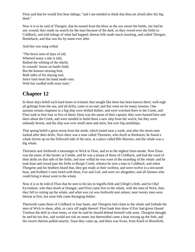Flosi said that he would first hear tidings; "and I am minded to think that thou art afraid after thy big deed."

Now it is to be said of Thorgeir, that he turned from the blow as the axe smote the bottle, nor had he any wound; they made no search for the man because of the dark, so they rowed over the firths to Coldback, and told tidings of what had happed; thereat folk made much mocking, and called Thorgeir, Bottleback, and that was his by-name ever after.

And this was sung withal

"The brave men of days of old, Whereof many a tale is told, Bathed the whiting of the shield, In wounds' house on battle-field; But the honour-missing fool, Both sides of his slaying tool, Since faint heart his hand made vain. With but curdled milk must stain."

### **Chapter 12**

In those days befell such hard times in Iceland, that nought like them has been known there; well-nigh all gettings from the sea, and all drifts, came to an end; and this went on for many seasons. One autumn certain chapmen in a big ship were drifted thither, and were wrecked there in the Creek, and Flosi took to him four or five of them; Stein was the name of their captain; they were housed here and there about the Creek, and were minded to build them a new ship from the wreck; but they were unhandy herein, and the ship was over small stem and stern, but over big amidships.

That spring befell a great storm from the north, which lasted near a week, and after the storm men looked after their drifts. Now there was a man called Thorstein, who dwelt at Reekness; he found a whale driven up on the firthward side of the ness, at a place called Rib-Skerries, and the whale was a big whale.

Thorstein sent forthwith a messenger to Wick to Flosi, and so to the nighest farm-steads. Now Einar was the name of the farmer at Combe, and he was a tenant of those of Coldback, and had the ward of their drifts on that side of the firths; and now withal he was ware of the stranding of the whale: and he took boat and rowed past the firths to Byrgis Creek, whence he sent a man to Coldback; and when Thorgrim and his brothers heard that, they got ready at their swiftest, and were twelve in a ten-oared boat, and Kolbein's sons fared with them, Ivar and Leif, and were six altogether; and all farmers who could bring it about went to the whale.

Now it is to be told of Flosi that he sent to his kin in Ingolfs-firth and Ufeigh's-firth, and for Olaf Eyvindson, who then dwelt at Drangar; and Flosi came first to the whale, with the men of Wick, then they fell to cutting up the whale, and what was cut was forthwith sent ashore; near twenty men were thereat at first, but soon folk came thronging thither.

Therewith came those of Coldback in four boats, and Thorgrim laid claim to the whale and forbade the men of Wick to shear, allot, or carry off aught thereof: Flosi bade him show if Eric had given Onund Treefoot the drift in clear terms, or else he said he should defend himself with arms. Thorgrim thought he and his too few, and would not risk an onset; but therewithal came a boat rowing up the firth, and the rowers therein pulled smartly. Soon they came up, and there was Swan, from Knoll in Biornfirth,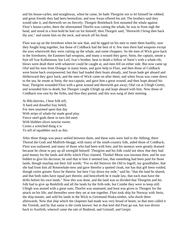and his house-carles; and straightway, when he came, he bade Thorgrim not to let himself be robbed; and great friends they had been heretofore, and now Swan offered his aid. The brothers said they would take it, and therewith set on fiercely; Thorgeir Bottleback first mounted the whale against Flosi's house-carles; there the aforenamed Thorfin was cutting the whale, he was in front nigh the head, and stood in a foot-hold he had cut for himself; then Thorgeir said, "Herewith I bring thee back thy axe," and smote him on the neck, and struck off his head.

Flosi was up on the foreshore when he saw that, and he egged on his men to meet them hardily; now they fought long together, but those of Coldback had the best of it: few men there had weapons except the axes wherewith they were cutting up the whale, and some choppers. So the men of Wick gave back to the foreshores; the Eastmen had weapons, and many a wound they gave; Stein, the captain, smote a foot off Ivar Kolbeinson, but Leif, Ivar's brother, beat to death a fellow of Stein's with a whale-rib; blows were dealt there with whatever could be caught at, and men fell on either side. But now came up Olaf and his men from Drangar in many boats, and gave help to Flosi, and then those of Coldback were borne back overpowered; but they had loaded their boats already, and Swan bade get aboard and thitherward they gave back, and the men of Wick came on after them; and when Swan was come down to the sea, he smote at Stein, the sea-captain, and gave him a great wound, and then leapt aboard his boat; Thorgrim wounded Flosi with a great wound and therewith got away; Olaf cut at Ufeigh Grettir, and wounded him to death; but Thorgeir caught Ufeigh up and leapt aboard with him. Now those of Coldback row east by the firths, and thus they parted; and this was sung of their meeting

At Rib-skerries, I hear folk tell, A hard and dreadful fray befell, For men unarmed upon that day With strips of whale-fat made good play. Fierce steel-gods these in turn did meet With blubber-slices nowise sweet; Certes a wretched thing it is To tell of squabbles such as this.

After these things was peace settled between them, and these suits were laid to the Althing; there Thorod the Godi and Midfirth-Skeggi, with many of the south-country folk, aided those of Coldback; Flosi was outlawed, and many of those who had been with him; and his moneys were greatly drained because he chose to pay up all weregild himself. Thorgrim and his folk could not show that they had paid money for the lands and drifts which Flosi claimed. Thorkel Moon was lawman then, and he was bidden to give his decision; he said that to him it seemed law, that something had been paid for those lands, though mayhap not their full worth; "For so did Steinvor the Old to Ingolf, my grandfather, that she had from him all Rosmwhale-ness and gave therefor a spotted cloak, nor has that gift been voided, though certes greater flaws be therein: but here I lay down my rede," said he, "that the land be shared, and that both sides have equal part therein; and henceforth be it made law, that each man have the drifts before his own lands." Now this was done, and the land was so divided that Thorgrim and his folk had to give up Reekfirth and all the lands by the firth-side, but Combe they were to keep still. Ufeigh was atoned with a great sum; Thorfin was unatoned, and boot was given to Thorgeir for the attack on his life; and thereafter were they set at one together. Flosi took ship for Norway with Stein, the ship-master, and sold his lands in the Wick to Geirmund Hiuka-timber, who dwelt there afterwards. Now that ship which the chapmen had made was very broad of beam, so that men called it the Treetub, and by that name is the creek known: but in that keel did Flosi go out, but was driven back to Axefirth, whereof came the tale of Bodmod, and Grimulf, and Gerpir.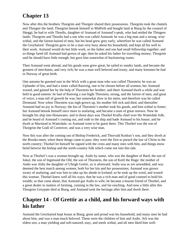## **Chapter 13**

Now after this the brothers Thorgrim and Thorgeir shared their possessions. Thorgrim took the chattels and Thorgeir the land; Thorgrim betook himself to Midfirth and bought land at Biarg by the counsel of Skeggi; he had to wife Thordis, daughter of Asmund of Asmund's-peak, who had settled the Thingere lands: Thorgrim and Thordis had a son who was called Asmund; he was a big man and a strong, wise withal, and the fairest-haired of men, but his head grew grey early, wherefore he was called Asmund the Greyhaired. Thorgrim grew to be a man very busy about his household, and kept all his well to their work. Asmund would do but little work, so the father and son had small fellowship together; and so things fared till Asmund had grown of age; then he asked his father for travelling money; Thorgrim said he should have little enough, but gave him somewhat of huckstering wares.

Then Asmund went abroad, and his goods soon grew great; he sailed to sundry lands, and became the greatest of merchants, and very rich; he was a man well beloved and trusty, and many kinsmen he had in Norway of great birth.

One autumn he guested east in the Wick with a great man who was called Thorstein; he was an Uplander of kin, and had a sister called Ranveig, one to be chosen before all women; her Asmund wooed, and gained her by the help of Thorstein her brother; and there Asmund dwelt a while and was held in good esteem: he had of Ranveig a son hight Thorstein, strong, and the fairest of men, and great of voice; a man tall of growth he was, but somewhat slow in his mien, and therefore was he called Dromund. Now when Thorstein was nigh grown up, his mother fell sick and died, and thereafter Asmund had no joy in Norway; the kin of Thorstein's mother took his goods, and him withal to foster; but Asmund betook himself once more to seafaring, and became a man of great renown. Now he brought his ship into Hunawater, and in those days was Thorkel Krafla chief over the Waterdale folk; and he heard of Asmund's coming out, and rode to the ship and bade Asmund to his house; and he dwelt at Marstead in Waterdale; so Asmund went to be guest there. This Thorkel was the son of Thorgrim the Godi of Cornriver, and was a very wise man.

Now this was after the coming out of Bishop Frederick, and Thorvald Kodran's son, and they dwelt at the Brooks-meet, when these things came to pass: they were the first to preach the law of Christ in the north country; Thorkel let himself be signed with the cross and many men with him, and things enow betid betwixt the bishop and the north-country folk which come not into this tale.

Now at Thorkel's was a woman brought up, Asdis by name, who was the daughter of Bard, the son of Jokul, the son of Ingimund the Old, the son of Thorstein, the son of Ketil the Huge: the mother of Asdis was Aldis the daughter of Ufeigh Grettir, as is aforesaid; Asdis was as yet unwedded, and was deemed the best match among women, both for her kin and her possessions; Asmund was grown weary of seafaring, and was fain to take up his abode in Iceland; so he took up the word, and wooed this woman. Thorkel knew well all his ways, that he was a rich man and of good counsel to hold his wealth; so that came about, that Asmund got Asdis to wife; he became a bosom friend of Thorkel, and a great dealer in matters of farming, cunning in the law, and far-reaching. And now a little after this Thorgrim Greypate died at Biarg, and Asmund took the heritage after him and dwelt there.

#### **Chapter 14 - Of Grettir as a child, and his forward ways with his father**

Asmund the Greyhaired kept house at Biarg; great and proud was his household, and many men he had about him, and was a man much beloved. These were the children of him and Asdis. Atli was the eldest son; a man yielding and soft-natured, easy, and meek withal, and all men liked him well: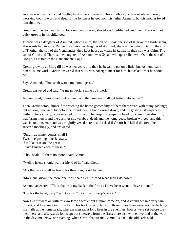another son they had called Grettir; he was very froward in his childhood; of few words, and rough; worrying both in word and deed. Little fondness he got from his father Asmund, but his mother loved him right well.

Grettir Asmundson was fair to look on, broad-faced, short-faced, red-haired, and much freckled; not of quick growth in his childhood.

Thordis was a daughter of Asmund, whom Glum, the son of Uspak, the son of Kiarlak of Skridinsenni, afterwards had to wife. Ranveig was another daughter of Asmund; she was the wife of Gamli, the son of Thorhal, the son of the Vendlander; they kept house at Meals in Ramfirth; their son was Grim. The son of Glum and Thordis, the daughter of Asmund, was Uspak, who quarrelled with Odd, the son of Ufeigh, as is told in the Bandamanna Saga.

Grettir grew up at Biarg till he was ten years old; then he began to get on a little; but Asmund bade him do some work; Grettir answered that work was not right meet for him, but asked what he should do.

Says Asmund, "Thou shalt watch my home-geese."

Grettir answered and said, "A mean work, a milksop's work."

Asmund said, "Turn it well out of hand, and then matters shall get better between us."

Then Grettir betook himself to watching the home-geese; fifty of them there were, with many goslings; but no long time went by before he found them a troublesome drove, and the goslings slow-paced withal. Thereat he got sore worried, for little did he keep his temper in hand. So some time after this, wayfaring men found the goslings strewn about dead, and the home-geese broken-winged; and this was in autumn. Asmund was mightily vexed hereat, and asked if Grettir had killed the fowl: he sneered mockingly, and answered

"Surely as winter comes, shall I Twist the goslings' necks awry. If in like case are the geese, I have finished each of these."

"Thou shalt kill them no more," said Asmund.

"Well, a friend should warn a friend of ill," said Grettir.

"Another work shall be found for thee then," said Asmund.

"More one knows the more one tries," said Grettir; "and what shall I do now?"

Asmund answered, "Thou shalt rub my back at the fire, as I have been wont to have it done."

"Hot for the hand, truly," said Grettir; "but still a milksop's work."

Now Grettir went on with this work for a while; but autumn came on, and Asmund became very fain of heat, and he spurs Grettir on to rub his back briskly. Now, in those times there were wont to be large fire-halls at the homesteads, wherein men sat at long fires in the evenings; boards were set before the men there, and afterwards folk slept out sideways from the fires; there also women worked at the wool in the daytime. Now, one evening, when Grettir had to rub Asmund's back, the old carle said,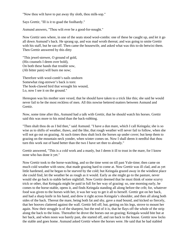"Now thou wilt have to put away thy sloth, thou milk-sop."

Says Grettir, "Ill is it to goad the foolhardy."

Asmund answers, "Thou wilt ever be a good-for-nought."

Now Grettir sees where, in one of the seats stood wool-combs: one of these he caught up, and let it go all down Asmund's back. He sprang up, and was mad wroth thereat; and was going to smite Grettir with his staff, but he ran off. Then came the housewife, and asked what was this to-do betwixt them. Then Grettir answered by this ditty

"This jewel-strewer, O ground of gold, (His counsels I deem over bold), On both these hands that trouble sow, (Ah bitter pain) will burn me now;

Therefore with wool-comb's nails unshorn Somewhat ring-strewer's back is torn: The hook-clawed bird that wrought his wound, Lo, now I see it on the ground."

Hereupon was his mother sore vexed, that he should have taken to a trick like this; she said he would never fail to be the most reckless of men. All this nowise bettered matters between Asmund and Grettir.

Now, some time after this, Asmund had a talk with Grettir, that he should watch his horses. Grettir said this was more to his mind than the back-rubbing.

"Then shalt thou do as I bid thee," said Asmund. "I have a dun mare, which I call Keingala; she is so wise as to shifts of weather, thaws, and the like, that rough weather will never fail to follow, when she will not go out on grazing. At such times thou shalt lock the horses up under cover; but keep them to grazing on the mountain neck yonder, when winter comes on. Now I shall deem it needful that thou turn this work out of hand better than the two I have set thee to already."

Grettir answered, "This is a cold work and a manly, but I deem it ill to trust in the mare, for I know none who has done it yet."

Now Grettir took to the horse-watching, and so the time went on till past Yule-time; then came on much cold weather with snow, that made grazing hard to come at. Now Grettir was ill clad, and as yet little hardened, and he began to be starved by the cold; but Keingala grazed away in the windiest place she could find, let the weather be as rough as it would. Early as she might go to the pasture, never would she go back to stable before nightfall. Now Grettir deemed that he must think of some scurvy trick or other, that Keingala might be paid in full for her way of grazing: so, one morning early, he comes to the horse-stable, opens it, and finds Keingala standing all along before the crib; for, whatever food was given to the horses with her, it was her way to get it all to herself. Grettir got on her back, and had a sharp knife in his hand, and drew it right across Keingala's shoulder, and then all along both sides of the back. Thereat the mare, being both fat and shy, gave a mad bound, and kicked so fiercely, that her hooves clattered against the wall. Grettir fell off; but, getting on his legs, strove to mount her again. Now their struggle is of the sharpest, but the end of it is, that he flays off the whole of the strip along the back to the loins. Thereafter he drove the horses out on grazing; Keingala would bite but at her back, and when noon was barely past, she started off, and ran back to the house. Grettir now locks the stable and goes home. Asmund asked Grettir where the horses were. He said that he had stabled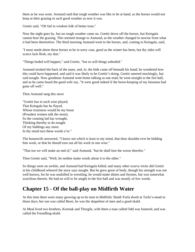them as he was wont. Asmund said that rough weather was like to be at hand, as the horses would not keep at their grazing in such good weather as now it was.

Grettir said, "Oft fail in wisdom folk of better trust."

Now the night goes by, but no rough weather came on. Grettir drove off the horses, but Keingala cannot bear the grazing. This seemed strange to Asmund, as the weather changed in nowise from what it had been theretofore. The third morning Asmund went to the horses, and, coming to Keingala, said,

"I must needs deem these horses to be in sorry case, good as the winter has been, but thy sides will scarce lack flesh, my dun."

"Things boded will happen," said Grettir, "but so will things unboded."

Asmund stroked the back of the mare, and, lo, the hide came off beneath his hand; he wondered how this could have happened, and said it was likely to be Grettir's doing. Grettir sneered mockingly, but said nought. Now goodman Asmund went home talking as one mad; he went straight to the fire-hall, and as he came heard the good wife say, "It were good indeed if the horse-keeping of my kinsman had gone off well."

Then Asmund sang this stave

"Grettir has in such wise played, That Keingala has he flayed, Whose trustiness would be my boast (Proudest women talk the most); So the cunning lad has wrought, Thinking thereby to do nought Of my biddings any more. In thy mind turn these words o'er."

The housewife answered, "I know not which is least to my mind, that thou shouldst ever be bidding him work, or that he should turn out all his work in one wise."

"That too we will make an end of," said Asmund, "but he shall fare the worse therefor."

Then Grettir said, "Well, let neither make words about it to the other."

So things went on awhile, and Asmund had Keingala killed; and many other scurvy tricks did Grettir in his childhood whereof the story says nought. But he grew great of body, though his strength was not well known, for he was unskilled in wrestling; he would make ditties and rhymes, but was somewhat scurrilous therein. He had no will to lie anight in the fire-hall and was mostly of few words.

#### **Chapter 15 - Of the ball-play on Midfirth Water**

At this time there were many growing up to be men in Midfirth; Skald-Torfa dwelt at Torfa's-stead in those days; her son was called Bessi, he was the shapeliest of men and a good skald.

At Meal lived two brothers, Kormak and Thorgils, with them a man called Odd was fostered, and was called the Foundling-skald.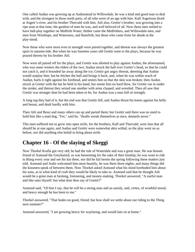One called Audun was growing up at Audunstead in Willowdale, he was a kind and good man to deal with, and the strongest in those north parts, of all who were of an age with him. Kalf Asgeirson dwelt at Asgeir's-river, and his brother Thorvald with him. Atli also, Grettir's brother, was growing into a ripe man at that time; the gentlest of men he was, and well beloved of all. Now these men settled to have ball-play together on Midfirth Water; thither came the Midfirthers, and Willowdale men, and men from Westhope, and Waterness, and Ramfirth, but those who came from far abode at the play-stead.

Now those who were most even in strength were paired together, and thereat was always the greatest sport in autumn-tide. But when he was fourteen years old Grettir went to the plays, because he was prayed thereto by his brother Atli.

Now were all paired off for the plays, and Grettir was allotted to play against Audun, the aforenamed, who was some winters the eldest of the two; Audun struck the ball over Grettir's head, so that he could not catch it, and it bounded far away along the ice; Grettir got angry thereat, deeming that Audun would outplay him; but he fetches the ball and brings it back, and, when he was within reach of Audun, hurls it right against his forehead, and smites him so that the skin was broken; then Audun struck at Grettir with the bat he held in his hand, but smote him no hard blow, for Grettir ran in under the stroke; and thereat they seized one another with arms clasped, and wrestled. Then all saw that Grettir was stronger than he had been taken to be, for Audun was a man full of strength.

A long tug they had of it, but the end was that Grettir fell, and Audun thrust his knees against his belly and breast, and dealt hardly with him.

Then Atli and Bessi and many others ran up and parted them; but Grettir said there was no need to hold him like a mad dog, "For," said he, "thralls wreak themselves at once, dastards never."

This men suffered not to grow into open strife, for the brothers, Kalf and Thorvald, were fain that all should be at one again, and Audun and Grettir were somewhat akin withal; so the play went on as before, nor did anything else befall to bring about strife.

#### **Chapter 16 - Of the slaying of Skeggi**

Now Thorkel Krafla got very old; he had the rule of Waterdale and was a great man. He was bosom friend of Asmund the Greyhaired, as was beseeming for the sake of their kinship; he was wont to ride to Biarg every year and see his kin there, nor did he fail herein the spring following these matters just told. Asmund and Asdis welcomed him most heartily, he was there three nights, and many things did the kinsmen speak of between them. Now Thorkel asked Asmund what his mind foreboded him about his sons, as to what kind of craft they would be likely to take to. Asmund said that he thought Atli would be a great man at farming, foreseeing, and money-making. Thorkel answered, "A useful man and like unto thyself: but what dost thou say of Grettir?"

Asmund said, "Of him I say, that he will be a strong man and an unruly, and, certes, of wrathful mood, and heavy enough he has been to me."

Thorkel answered, "That bodes no good, friend; but how shall we settle about our riding to the Thing next summer?"

Asmund answered, "I am growing heavy for wayfaring, and would fain sit at home."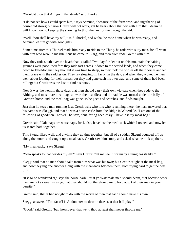"Wouldst thou that Atli go in thy stead?" said Thorkel.

"I do not see how I could spare him," says Asmund, "because of the farm-work and ingathering of household stores; but now Grettir will not work, yet he bears about that wit with him that I deem he will know how to keep up the showing forth of the law for me through thy aid."

"Well, thou shall have thy will," said Thorkel, and withal he rode home when he was ready, and Asmund let him go with good gifts.

Some time after this Thorkel made him ready to ride to the Thing, he rode with sixty men, for all went with him who were in his rule: thus he came to Biarg, and therefrom rode Grettir with him.

Now they rode south over the heath that is called Two-days'-ride; but on this mountain the baiting grounds were poor, therefore they rode fast across it down to the settled lands, and when they came down to Fleet-tongue they thought it was time to sleep, so they took the bridles off their horses and let them graze with the saddles on. They lay sleeping till far on in the day, and when they woke, the men went about looking for their horses; but they had gone each his own way, and some of them had been rolling; but Grettir was the last to find his horse.

Now it was the wont in those days that men should carry their own victuals when they rode to the Althing, and most bore meal-bags athwart their saddles; and the saddle was turned under the belly of Grettir's horse, and the meal-bag was gone, so he goes and searches, and finds nought.

Just then he sees a man running fast, Grettir asks who it is who is running there; the man answered that his name was Skeggi, and that he was a house-carle from the Ridge in Waterdale. "I am one of the following of goodman Thorkel," he says, "but, faring heedlessly, I have lost my meal-bag."

Grettir said, "Odd haps are worst haps, for I, also, have lost the meal-sack which I owned, and now let us search both together."

This Skeggi liked well, and a while they go thus together; but all of a sudden Skeggi bounded off up along the moors and caught up a meal-sack. Grettir saw him stoop, and asked what he took up there.

"My meal-sack," says Skeggi.

"Who speaks to that besides thyself?" says Grettir; "let me see it, for many a thing has its like."

Skeggi said that no man should take from him what was his own; but Grettir caught at the meal-bag, and now they tug one another along with the meal-sack between them, both trying hard to get the best of it.

"It is to be wondered at," says the house-carle, "that ye Waterdale men should deem, that because other men are not as wealthy as ye, that they should not therefore dare to hold aught of their own in your despite."

Grettir said, that it had nought to do with the worth of men that each should have his own.

Skeggi answers, "Too far off is Audun now to throttle thee as at that ball-play."

"Good," said Grettir; "but, howsoever that went, thou at least shall never throttle me."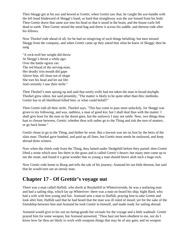Then Skeggi got at his axe and hewed at Grettir; when Grettir saw that, he caught the axe-handle with the left hand bladeward of Skeggi's hand, so hard that straightway was the axe loosed from his hold. Then Grettir drave that same axe into his head so that it stood in the brain, and the house-carle fell dead to earth. Then Grettir seized the meal-bag and threw it across his saddle, and thereon rode after his fellows.

Now Thorkel rode ahead of all, for he had no misgiving of such things befalling: but men missed Skeggi from the company, and when Grettir came up they asked him what he knew of Skeggi; then he sang

"A rock-troll her weight did throw At Skeggi's throat a while ago: Over the battle ogress ran The red blood of the serving-man; Her deadly iron mouth did gape Above him, till clean out of shape She tore his head and let out life: And certainly I saw their strife."

Then Thorkel's men sprung up and said that surely trolls had not taken the man in broad daylight. Thorkel grew silent, but said presently, "The matter is likely to be quite other than this; methinks Grettir has in all likelihood killed him, or what could befall?"

Then Grettir told all their strife. Thorkel says, "This has come to pass most unluckily, for Skeggi was given to my following, and was, nathless, a man of good kin; but I shall deal thus with the matter: I shall give boot for the man as the doom goes, but the outlawry I may not settle. Now, two things thou hast to choose between, Grettir; whether thou wilt rather go to the Thing and risk the turn of matters, or go back home."

Grettir chose to go to the Thing, and thither he went. But a lawsuit was set on foot by the heirs of the slain man: Thorkel gave handsel, and paid up all fines, but Grettir must needs be outlawed, and keep abroad three winters.

Now when the chiefs rode from the Thing, they baited under Sledgehill before they parted: then Grettir lifted a stone which now lies there in the grass and is called Grettir's-heave; but many men came up to see the stone, and found it a great wonder that so young a man should heave aloft such a huge rock.

Now Grettir rode home to Biarg and tells the tale of his journey; Asmund let out little thereon, but said that he would turn out an unruly man.

#### **Chapter 17 - Of Grettir's voyage out**

There was a man called Haflidi, who dwelt at Reydarfell in Whiteriverside, he was a seafaring man and had a sailing ship, which lay up Whiteriver: there was a man on board his ship, hight Bard, who had a wife with him young and fair. Asmund sent a man to Haflidi, praying him to take Grettir and look after him; Haflidi said that he had heard that the man was ill ruled of mood; yet for the sake of the friendship between him and Asmund he took Grettir to himself, and made ready for sailing abroad.

Asmund would give to his son no faring-goods but victuals for the voyage and a little wadmall. Grettir prayed him for some weapon, but Asmund answered, "Thou hast not been obedient to me, nor do I know how far thou art likely to work with weapons things that may be of any gain; and no weapon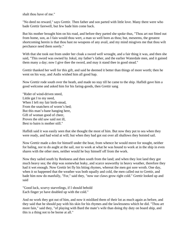shalt thou have of me."

"No deed no reward," says Grettir. Then father and son parted with little love. Many there were who bade Grettir farewell, but few bade him come back.

But his mother brought him on his road, and before they parted she spoke thus, "Thou art not fitted out from home, son, as I fain would thou wert, a man so well born as thou; but, meseems, the greatest shortcoming herein is that thou hast no weapons of any avail, and my mind misgives me that thou wilt perchance need them sorely."

With that she took out from under her cloak a sword well wrought, and a fair thing it was, and then she said, "This sword was owned by Jokul, my father's father, and the earlier Waterdale men, and it gained them many a day; now I give thee the sword, and may it stand thee in good stead."

Grettir thanked her well for this gift, and said he deemed it better than things of more worth; then he went on his way, and Asdis wished him all good hap.

Now Grettir rode south over the heath, and made no stay till he came to the ship. Haflidi gave him a good welcome and asked him for his faring-goods, then Grettir sang

"Rider of wind-driven steed, Little gat I to my need, When I left my fair birth-stead, From the snatchers of worm's bed; But this man's-bane hanging here, Gift of woman good of cheer, Proves the old saw said not ill, Best to bairn is mother still."

Haflidi said it was easily seen that she thought the most of him. But now they put to sea when they were ready, and had wind at will; but when they had got out over all shallows they hoisted sail.

Now Grettir made a den for himself under the boat, from whence he would move for nought, neither for baling, nor to do aught at the sail, nor to work at what he was bound to work at in the ship in even shares with the other men, neither would he buy himself off from the work.

Now they sailed south by Reekness and then south from the land; and when they lost land they got much heavy sea; the ship was somewhat leaky, and scarce seaworthy in heavy weather, therefore they had it wet enough. Now Grettir let fly his biting rhymes, whereat the men got sore wroth. One day, when it so happened that the weather was both squally and cold, the men called out to Grettir, and bade him now do manfully, "For," said they, "now our claws grow right cold." Grettir looked up and said

"Good luck, scurvy starvelings, if I should behold Each finger ye have doubled up with the cold."

And no work they got out of him, and now it misliked them of their lot as much again as before, and they said that he should pay with his skin for his rhymes and the lawlessness which he did. "Thou art more fain," said they, "of playing with Bard the mate's wife than doing thy duty on board ship, and this is a thing not to be borne at all."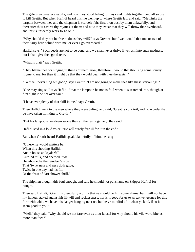The gale grew greater steadily, and now they stood baling for days and nights together, and all swore to kill Grettir. But when Haflidi heard this, he went up to where Grettir lay, and said, "Methinks the bargain between thee and the chapmen is scarcely fair; first thou dost by them unlawfully, and thereafter thou castest thy rhymes at them; and now they swear that they will throw thee overboard, and this is unseemly work to go on."

"Why should they not be free to do as they will?" says Grettir; "but I well would that one or two of them tarry here behind with me, or ever I go overboard."

Haflidi says, "Such deeds are not to be done, and we shall never thrive if ye rush into such madness; but I shall give thee good rede."

"What is that?" says Grettir.

"They blame thee for singing ill things of them; now, therefore, I would that thou sing some scurvy rhyme to me, for then it might be that they would bear with thee the easier."

"To thee I never sing but good," says Grettir: "I am not going to make thee like these starvelings."

"One may sing so," says Haflidi, "that the lampoon be not so foul when it is searched into, though at first sight it be not over fair."

"I have ever plenty of that skill in me," says Grettir.

Then Haflidi went to the men where they were baling, and said, "Great is your toil, and no wonder that ye have taken ill liking to Grettir."

"But his lampoons we deem worse than all the rest together," they said.

Haflidi said in a loud voice, "He will surely fare ill for it in the end."

But when Grettir heard Haflidi speak blamefully of him, he sang

"Otherwise would matters be, When this shouting Haflidi Ate in house at Reydarfell Curdled milk, and deemed it well; He who decks the reindeer's side That 'twixt ness and ness doth glide, Twice in one day had his fill Of the feast of dart shower shrill."

The shipmen thought this foul enough, and said he should not put shame on Skipper Haflidi for nought.

Then said Haflidi, "Grettir is plentifully worthy that ye should do him some shame, but I will not have my honour staked against his ill-will and recklessness; nor is it good for us to wreak vengeance for this forthwith while we have this danger hanging over us; but be ye mindful of it when ye land, if so it seem good to you."

"Well," they said, "why should we not fare even as thou farest? for why should his vile word bite us more than thee?"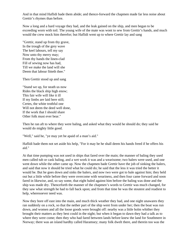And in that mind Haflidi bade them abide; and thence-forward the chapmen made far less noise about Grettir's rhymes than before.

Now a long and a hard voyage they had, and the leak gained on the ship, and men began to be exceeding worn with toil. The young wife of the mate was wont to sew from Grettir's hands, and much would the crew mock him therefor; but Haflidi went up to where Grettir lay and sang

"Grettir, stand up from thy grave, In the trough of the grey wave The keel labours, tell my say Now unto thy merry may; From thy hands the linen-clad Fill of sewing now has had, Till we make the land will she Deem that labour fitteth thee."

Then Grettir stood up and sang

"Stand we up, for neath us now Rides the black ship high enow; This fair wife will like it ill If my limbs are laid here still; Certes, the white trothful one Will not deem the deed well done, If the work that I should share Other folk must ever bear."

Then he ran aft to where they were baling, and asked what they would he should do; they said he would do mighty little good.

"Well," said he, "ye may yet be apaid of a man's aid."

Haflidi bade them not set aside his help, "For it may be he shall deem his hands freed if he offers his aid."

At that time pumping was not used in ships that fared over the main; the manner of baling they used men called tub or cask baling, and a wet work it was and a wearisome; two balers were used, and one went down while the other came up. Now the chapmen bade Grettir have the job of sinking the balers, and said that now it should be tried what he could do; he said that the less it was tried the better it would be. But he goes down and sinks the balers, and now two were got to bale against him; they held out but a little while before they were overcome with weariness, and then four came forward and soon fared in likewise, and, so say some, that eight baled against him before the baling was done and the ship was made dry. Thenceforth the manner of the chapmen's words to Grettir was much changed, for they saw what strength he had to fall back upon; and from that time he was the stoutest and readiest to help, wheresoever need was.

Now they bore off east into the main, and much thick weather they had, and one night unawares they ran suddenly on a rock, so that the nether part of the ship went from under her; then the boat was run down, and women and all the loose goods were brought off: nearby was a little holm whither they brought their matters as they best could in the night; but when it began to dawn they had a talk as to where they were come; then they who had fared between lands before knew the land for Southmere in Norway; there was an island hardby called Haramsey; many folk dwelt there, and therein too was the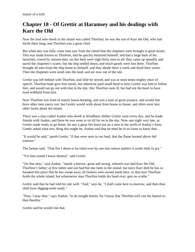## **Chapter 18 - Of Grettir at Haramsey and his dealings with Karr the Old**

Now the lord who dwelt in the island was called Thorfinn; he was the son of Karr the Old, who had dwelt there long; and Thorfinn was a great chief.

But when day was fully come men saw from the island that the chapmen were brought to great straits. This was made known to Thorfinn, and he quickly bestirred himself, and had a large bark of his launched, rowed by sixteen men, on this bark were nigh thirty men in all; they came up speedily and saved the chapmen's wares; but the ship settled down, and much goods were lost there. Thorfinn brought all men from the ship home to himself, and they abode there a week and dried their wares. Then the chapmen went south into the land, and are now out of the tale.

Grettir was left behind with Thorfinn, and little he stirred, and was at most times mighty short of speech. Thorfinn bade give him meals, but otherwise paid small heed to him; Grettir was loth to follow him, and would not go out with him in the day; this Thorfinn took ill, but had not the heart to have food withheld from him.

Now Thorfinn was fond of stately house-keeping, and was a man of great joyance, and would fain have other men merry too: but Grettir would walk about from house to house, and often went into other farms about the island.

There was a man called Audun who dwelt at Windham; thither Grettir went every day, and he made friends with Audun, and there he was wont to sit till far on in the day. Now one night very late, as Grettir made ready to go home, he saw a great fire burst out on a ness to the north of Audun's farm. Grettir asked what new thing this might be. Audun said that he need be in no haste to know that.

"It would be said," quoth Grettir, "if that were seen in our land, that the flame burned above hid treasure."

The farmer said, "That fire I deem to be ruled over by one into whose matters it avails little to pry."

"Yet fain would I know thereof," said Grettir.

"On that ness," said Audun, "stands a barrow, great and strong, wherein was laid Karr the Old, Thorfinn's father; at first father and son had but one farm in the island; but since Karr died he has so haunted this place that he has swept away all farmers who owned lands here, so that now Thorfinn holds the whole island; but whatsoever man Thorfinn holds his hand over, gets no scathe."

Grettir said that he had told his tale well: "And," says he, "I shall come here to-morrow, and then thou shalt have digging-tools ready."

"Now, I pray thee," says Audun, "to do nought herein, for I know that Thorfinn will cast his hatred on thee therefor."

Grettir said he would risk that.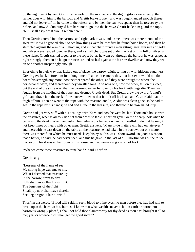So the night went by, and Grettir came early on the morrow and the digging-tools were ready; the farmer goes with him to the barrow, and Grettir brake it open, and was rough-handed enough thereat, and did not leave off till he came to the rafters, and by then the day was spent; then he tore away the rafters, and now Audun prayed him hard not to go into the barrow; Grettir bade him guard the rope, "but I shall espy what dwells within here."

Then Grettir entered into the barrow, and right dark it was, and a smell there was therein none of the sweetest. Now he groped about to see how things were below; first he found horse-bones, and then he stumbled against the arm of a high-chair, and in that chair found a man sitting; great treasures of gold and silver were heaped together there, and a small chest was set under the feet of him full of silver; all these riches Grettir carried together to the rope; but as he went out through the barrow he was griped at right strongly; thereon he let go the treasure and rushed against the barrow-dweller, and now they set on one another unsparingly enough.

Everything in their way was kicked out of place, the barrow-wight setting on with hideous eagerness; Grettir gave back before him for a long time, till at last it came to this, that he saw it would not do to hoard his strength any more; now neither spared the other, and they were brought to where the horse-bones were, and thereabout they wrestled long. And now one, now the other, fell on his knee; but the end of the strife was, that the barrow-dweller fell over on his back with huge din. Then ran Audun from the holding of the rope, and deemed Grettir dead. But Grettir drew the sword, 'Jokul's gift,' and drave it at the neck of the barrow-bider so that it took off his head, and Grettir laid it at the thigh of him. Then he went to the rope with the treasure, and lo, Audun was clean gone, so he had to get up the rope by his hands; he had tied a line to the treasure, and therewith he now haled it up.

Grettir had got very stiff with his dealings with Karr, and now he went back to Thorfinn's house with the treasures, whenas all folk had set them down to table. Thorfinn gave Grettir a sharp look when he came into the drinking-hall, and asked him what work he had on hand so needful to do that he might not keep times of meals with other men. Grettir answers, "Many little matters will hap on late eves," and therewith he cast down on the table all the treasure he had taken in the barrow; but one matter there was thereof, on which he must needs keep his eyes; this was a short-sword, so good a weapon, that a better, he said, he had never seen; and this he gave up the last of all. Thorfinn was blithe to see that sword, for it was an heirloom of his house, and had never yet gone out of his kin.

"Whence came these treasures to thine hand?" said Thorfinn.

#### Grettir sang

"Lessener of the flame of sea, My strong hope was true to me, When I deemed that treasure lay In the barrow; from to-day Folk shall know that I was right; The begetters of the fight Small joy now shall have therein, Seeking dragon's-lair to win."

Thorfinn answered, "Blood will seldom seem blood to thine eyes; no man before thee has had will to break open the barrow; but, because I know that what wealth soever is hid in earth or borne into barrow is wrongly placed, I shall not hold thee blameworthy for thy deed as thou hast brought it all to me; yea, or whence didst thou get the good sword?"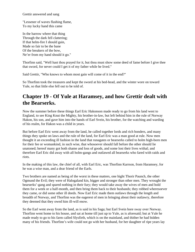Grettir answered and sang

"Lessener of waves flashing flame, To my lucky hand this came

In the barrow where that thing Through the dark fell clattering; If that helm-fire I should gain, Made so fair to be the bane Of the breakers of the bow, Ne'er from my hand should it go."

Thorfinn said, "Well hast thou prayed for it, but thou must show some deed of fame before I give thee that sword, for never could I get it of my father while he lived."

Said Grettir, "Who knows to whom most gain will come of it in the end?"

So Thorfinn took the treasures and kept the sword at his bed-head, and the winter wore on toward Yule, so that little else fell out to be told of.

#### **Chapter 19 - Of Yule at Haramsey, and how Grettir dealt with the Bearserks.**

Now the summer before these things Earl Eric Hakonson made ready to go from his land west to England, to see King Knut the Mighty, his brother-in-law, but left behind him in the rule of Norway Hakon, his son, and gave him into the hands of Earl Svein, his brother, for the watching and warding of his realm, for Hakon was a child in years.

But before Earl Eric went away from the land, he called together lords and rich bonders, and many things they spoke on laws and the rule of the land, for Earl Eric was a man good at rule. Now men thought it an exceeding ill fashion in the land that runagates or bearserks called to holm high-born men for their fee or womankind, in such wise, that whosoever should fall before the other should lie unatoned; hereof many got both shame and loss of goods, and some lost their lives withal; and therefore Earl Eric did away with all holm-gangs and outlawed all bearserks who fared with raids and riots.

In the making of this law, the chief of all, with Earl Eric, was Thorfinn Karrson, from Haramsey, for he was a wise man, and a dear friend of the Earls.

Two brothers are named as being of the worst in these matters, one hight Thorir Paunch, the other Ogmund the Evil; they were of Halogaland kin, bigger and stronger than other men. They wrought the bearserks'-gang and spared nothing in their fury; they would take away the wives of men and hold them for a week or a half-month, and then bring them back to their husbands; they robbed wheresoever they came, or did some other ill deeds. Now Earl Eric made them outlaws through the length and breadth of Norway, and Thorfinn was the eagerest of men in bringing about their outlawry, therefore they deemed that they owed him ill-will enow.

So the Earl went away from the land, as is said in his Saga; but Earl Svein bore sway over Norway. Thorfinn went home to his house, and sat at home till just up to Yule, as is aforesaid; but at Yule he made ready to go to his farm called Slysfirth, which is on the mainland, and thither he had bidden many of his friends. Thorfinn's wife could not go with her husband, for her daughter of ripe years lay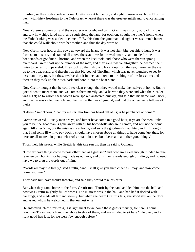ill a-bed, so they both abode at home. Grettir was at home too, and eight house-carles. Now Thorfinn went with thirty freedmen to the Yule-feast, whereat there was the greatest mirth and joyance among men.

Now Yule-eve comes on, and the weather was bright and calm; Grettir was mostly abroad this day, and saw how ships fared north and south along the land, for each one sought the other's home where the Yule drinking was settled to come off. By this time the goodman's daughter was so much better that she could walk about with her mother, and thus the day wore on.

Now Grettir sees how a ship rows up toward the island; it was not right big, but shield-hung it was from stem to stern, and stained all above the sea: these folk rowed smartly, and made for the boat-stands of goodman Thorfinn, and when the keel took land, those who were therein sprang overboard. Grettir cast up the number of the men, and they were twelve altogether; he deemed their guise to be far from peaceful. They took up their ship and bore it up from the sea; thereafter they ran up to the boat-stand, and therein was that big boat of Thorfinn, which was never launched to sea by less than thirty men, but these twelve shot it in one haul down to the shingle of the foreshore; and thereon they took up their own bark and bore it into the boat-stand.

Now Grettir thought that he could see clear enough that they would make themselves at home. But he goes down to meet them, and welcomes them merrily, and asks who they were and what their leader was hight; he to whom these words were spoken answered quickly, and said that his name was Thorir, and that he was called Paunch, and that his brother was Ogmund, and that the others were fellows of theirs.

"I deem," said Thorir, "that thy master Thorfinn has heard tell of us; is he perchance at home?"

Grettir answered, "Lucky men are ye, and hither have come in a good hour, if ye are the men I take you to be; the goodman is gone away with all his home-folk who are freemen, and will not be home again till after Yule; but the mistress is at home, and so is the goodman's daughter; and if I thought that I had some ill-will to pay back, I should have chosen above all things to have come just thus; for here are all matters in plenty whereof ye stand in need both beer, and all other good things."

Thorir held his peace, while Grettir let this tale run on, then he said to Ogmund

"How far have things come to pass other than as I guessed? and now am I well enough minded to take revenge on Thorfinn for having made us outlaws; and this man is ready enough of tidings, and no need have we to drag the words out of him."

"Words all may use freely," said Grettir, "and I shall give you such cheer as I may; and now come home with me."

They bade him have thanks therefor, and said they would take his offer.

But when they came home to the farm, Grettir took Thorir by the hand and led him into the hall; and now was Grettir mightily full of words. The mistress was in the hall, and had had it decked with hangings, and made all fair and seemly; but when she heard Grettir's talk, she stood still on the floor, and asked whom he welcomed in that earnest wise.

He answered, "Now, mistress, is it right meet to welcome these guests merrily, for here is come goodman Thorir Paunch and the whole twelve of them, and are minded to sit here Yule over, and a right good hap it is, for we were few enough before."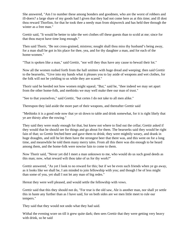She answered, "Am I to number these among bonders and goodmen, who are the worst of robbers and ill-doers? a large share of my goods had I given that they had not come here as at this time; and ill dost thou reward Thorfinn, for that he took thee a needy man from shipwreck and has held thee through the winter as a free man."

Grettir said, "It would be better to take the wet clothes off these guests than to scold at me; since for that thou mayst have time long enough."

Then said Thorir, "Be not cross-grained, mistress; nought shall thou miss thy husband's being away, for a man shall be got in his place for thee, yea, and for thy daughter a man, and for each of the home-women."

"That is spoken like a man," said Grettir, "nor will they thus have any cause to bewail their lot."

Now all the women rushed forth from the hall smitten with huge dread and weeping; then said Grettir to the bearserks, "Give into my hands what it pleases you to lay aside of weapons and wet clothes, for the folk will not be yielding to us while they are scared."

Thorir said he heeded not how women might squeal; "But," said he, "thee indeed we may set apart from the other home-folk, and methinks we may well make thee our man of trust."

"See to that yourselves," said Grettir, "but certes I do not take to all men alike."

Thereupon they laid aside the more part of their weapons, and thereafter Grettir said

"Methinks it is a good rede now that ye sit down to table and drink somewhat, for it is right likely that ye are thirsty after the rowing."

They said they were ready enough for that, but knew not where to find out the cellar; Grettir asked if they would that he should see for things and go about for them. The bearserks said they would be right fain of that; so Grettir fetched beer and gave them to drink; they were mightily weary, and drank in huge draughts, and still he let them have the strongest beer that there was, and this went on for a long time, and meanwhile he told them many merry tales. From all this there was din enough to be heard among them, and the home-folk were nowise fain to come to them.

Now Thorir said, "Never yet did I meet a man unknown to me, who would do us such good deeds as this man; now, what reward wilt thou take of us for thy work?"

Grettir answered, "As yet I look to no reward for this; but if we be even such friends when ye go away, as it looks like we shall be, I am minded to join fellowship with you; and though I be of less might than some of you, yet shall I not let any man of big redes."

Hereat they were well pleased, and would settle the fellowship with vows.

Grettir said that this they should not do, "For true is the old saw, Ale is another man, nor shall ye settle this in haste any further than as I have said, for on both sides are we men little meet to rule our tempers."

They said that they would not undo what they had said.

Withal the evening wore on till it grew quite dark; then sees Grettir that they were getting very heavy with drink, so he said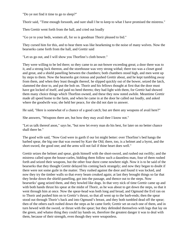"Do ye not find it time to go to sleep?"

Thorir said, "Time enough forsooth, and sure shall I be to keep to what I have promised the mistress."

Then Grettir went forth from the hall, and cried out loudly

"Go ye to your beds, women all, for so is goodman Thorir pleased to bid."

They cursed him for this, and to hear them was like hearkening to the noise of many wolves. Now the bearserks came forth from the hall, and Grettir said

"Let us go out, and I will show you Thorfinn's cloth bower."

They were willing to be led there; so they came to an out-bower exceeding great; a door there was to it, and a strong lock thereon, and the storehouse was very strong withal; there too was a closet good and great, and a shield panelling between the chambers; both chambers stood high, and men went up by steps to them. Now the bearserks got riotous and pushed Grettir about, and he kept tumbling away from them, and when they least thought thereof, he slipped quickly out of the bower, seized the latch, slammed the door to, and put the bolt on. Thorir and his fellows thought at first that the door must have got locked of itself, and paid no heed thereto; they had light with them, for Grettir had showed them many choice things which Thorfinn owned, and these they now noted awhile. Meantime Grettir made all speed home to the farm, and when he came in at the door he called out loudly, and asked where the goodwife was; she held her peace, for she did not dare to answer.

He said, "Here is somewhat of a chance of a good catch; but are there any weapons of avail here?"

She answers, "Weapons there are, but how they may avail thee I know not."

"Let us talk thereof anon," says he, "but now let every man do his best, for later on no better chance shall there be."

The good wife said, "Now God were in garth if our lot might better: over Thorfinn's bed hangs the barbed spear, the big one that was owned by Karr the Old; there, too, is a helmet and a byrni, and the short-sword, the good one; and the arms will not fail if thine heart does well."

Grettir seizes the helmet and spear, girds himself with the short-sword, and rushed out swiftly; and the mistress called upon the house-carles, bidding them follow such a dauntless man, four of them rushed forth and seized their weapons, but the other four durst come nowhere nigh. Now it is to be said of the bearserks that they thought Grettir delayed his coming back strangely; and now they began to doubt if there were not some guile in the matter. They rushed against the door and found it was locked, and now they try the timber walls so that every beam creaked again; at last they brought things so far that they broke down the shield-panelling, got into the passage, and thence out to the steps. Now bearserks'-gang seized them, and they howled like dogs. In that very nick of time Grettir came up and with both hands thrust his spear at the midst of Thorir, as he was about to get down the steps, so that it went through him at once. Now the spear-head was both long and broad, and Ogmund the Evil ran on to Thorir and pushed him on to Grettir's thrust, so that all went up to the barb-ends; then the spear stood out through Thorir's back and into Ogmund's breast, and they both tumbled dead off the spear; then of the others each rushed down the steps as he came forth; Grettir set on each one of them, and in turn hewed with the sword, or thrust with the spear; but they defended themselves with logs that lay on the green, and whatso thing they could lay hands on, therefore the greatest danger it was to deal with them, because of their strength, even though they were weaponless.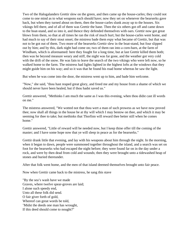Two of the Halogalanders Grettir slew on the green, and then came up the house-carles; they could not come to one mind as to what weapons each should have; now they set on whenever the bearserks gave back, but when they turned about on them, then the house-carles slunk away up to the houses. Six vikings fell there, and of all of them was Grettir the bane. Then the six others got off and came down to the boat-stand, and so into it, and thence they defended themselves with oars. Grettir now got great blows from them, so that at all times he ran the risk of much hurt; but the house-carles went home, and had much to say of their stout onset; the mistress bade them espy what became of Grettir, but that was not to be got out of them. Two more of the bearserks Grettir slew in the boat-stand, but four slipped out by him; and by this, dark night had come on; two of them ran into a corn-barn, at the farm of Windham, which is aforenamed: here they fought for a long time, but at last Grettir killed them both; then was he beyond measure weary and stiff, the night was far gone, and the weather got very cold with the drift of the snow. He was fain to leave the search of the two vikings who were left now, so he walked home to the farm. The mistress had lights lighted in the highest lofts at the windows that they might guide him on his way; and so it was that he found his road home whereas he saw the light.

But when he was come into the door, the mistress went up to him, and bade him welcome.

"Now," she said, "thou hast reaped great glory, and freed me and my house from a shame of which we should never have been healed, but if thou hadst saved us."

Grettir answered, "Methinks I am much the same as I was this evening, when thou didst cast ill words on me."

The mistress answered, "We wotted not that thou wert a man of such prowess as we have now proved thee; now shall all things in the house be at thy will which I may bestow on thee, and which it may be seeming for thee to take; but methinks that Thorfinn will reward thee better still when he comes home."

Grettir answered, "Little of reward will be needed now, but I keep thine offer till the coming of the master; and I have some hope now that ye will sleep in peace as for the bearserks."

Grettir drank little that evening, and lay with his weapons about him through the night. In the morning, when it began to dawn, people were summoned together throughout the island, and a search was set on foot for the bearserks who had escaped the night before; they were found far on in the day under a rock, and were by then dead from cold and wounds; then they were brought unto a tidewashed heap of stones and buried thereunder.

After that folk went home, and the men of that island deemed themselves brought unto fair peace.

Now when Grettir came back to the mistress, he sang this stave

"By the sea's wash have we made Graves, where twelve spear-groves are laid; I alone such speedy end, Unto all these folk did send. O fair giver forth of gold, Whereof can great words be told, 'Midst the deeds one man has wrought, If this deed should come to nought?"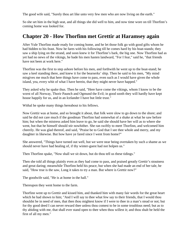The good wife said, "Surely thou art like unto very few men who are now living on the earth."

So she set him in the high seat, and all things she did well to him, and now time wore on till Thorfinn's coming home was looked for.

#### **Chapter 20 - How Thorfinn met Grettir at Haramsey again**

After Yule Thorfinn made ready for coming home, and he let those folk go with good gifts whom he had bidden to his feast. Now he fares with his following till he comes hard by his boat-stands; they saw a ship lying on the strand, and soon knew it for Thorfinn's bark, the big one. Now Thorfinn had as yet had no news of the vikings, he bade his men hasten landward, "For I fear," said he, "that friends have not been at work here."

Thorfinn was the first to step ashore before his men, and forthwith he went up to the boat-stand; he saw a keel standing there, and knew it for the bearserks' ship. Then he said to his men, "My mind misgives me much that here things have come to pass, even such as I would have given the whole island, yea, every whit of what I have herein, that they might never have happed."

They asked why he spake thus. Then he said, "Here have come the vikings, whom I know to be the worst of all Norway, Thorir Paunch and Ogmund the Evil; in good sooth they will hardly have kept house happily for us, and in an Icelander I have but little trust."

Withal he spoke many things hereabout to his fellows.

Now Grettir was at home, and so brought it about, that folk were slow to go down to the shore; and said he did not care much if the goodman Thorfinn had somewhat of a shake at what he saw before him; but when the mistress asked him leave to go, he said she should have her will as to where she went, but that he himself should stir nowhither. She ran swiftly to meet Thorfinn, and welcomed him cheerily. He was glad thereof, and said, "Praise be to God that I see thee whole and merry, and my daughter in likewise. But how have ye fared since I went from home?"

She answered, "Things have turned out well, but we were near being overtaken by such a shame as we should never have had healing of, if thy winter-guest had not holpen us."

Then Thorfinn spake, "Now shall we sit down, but do thou tell us these tidings."

Then she told all things plainly even as they had come to pass, and praised greatly Grettir's stoutness and great daring; meanwhile Thorfinn held his peace, but when she had made an end of her tale, he said, "How true is the saw, Long it takes to try a man. But where is Grettir now?"

The goodwife said, "He is at home in the hall."

Thereupon they went home to the farm.

Thorfinn went up to Grettir and kissed him, and thanked him with many fair words for the great heart which he had shown to him; "And I will say to thee what few say to their friends, that I would thou shouldst be in need of men, that then thou mightest know if I were to thee in a man's stead or not; but for thy good deed I can never reward thee unless thou comest to be in some troublous need; but as to thy abiding with me, that shall ever stand open to thee when thou willest it; and thou shalt be held the first of all my men."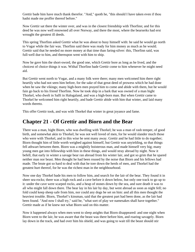Grettir bade him have much thank therefor. "And," quoth he, "this should I have taken even if thou hadst made me proffer thereof before."

Now Grettir sat there the winter over, and was in the closest friendship with Thorfinn; and for this deed he was now well renowned all over Norway, and there the most, where the bearserks had erst wrought the greatest ill deeds.

This spring Thorfinn asked Grettir what he was about to busy himself with: he said he would go north to Vogar while the fair was. Thorfinn said there was ready for him money as much as he would. Grettir said that he needed no more money at that time than faring-silver: this, Thorfinn said, was full-well due to him, and thereupon went with him to ship.

Now he gave him the short-sword, the good one, which Grettir bore as long as he lived, and the choicest of choice things it was. Withal Thorfinn bade Grettir come to him whenever he might need aid.

But Grettir went north to Vogar, and a many folk were there; many men welcomed him there right heartily who had not seen him before, for the sake of that great deed of prowess which he had done when he saw the vikings; many high-born men prayed him to come and abide with them, but he would fain go back to his friend Thorfinn. Now he took ship in a bark that was owned of a man hight Thorkel, who dwelt in Salft in Halogaland, and was a high-born man. But when Grettir came to Thorkel he welcomed him right heartily, and bade Grettir abide with him that winter, and laid many words thereto.

This offer Grettir took, and was with Thorkel that winter in great joyance and fame.

#### **Chapter 21 - Of Grettir and Biorn and the Bear**

There was a man, hight Biorn, who was dwelling with Thorkel; he was a man of rash temper, of good birth, and somewhat akin to Thorkel; he was not well loved of men, for he would slander much those who were with Thorkel, and in this wise he sent many away. Grettir and he had little to do together; Biorn thought him of little worth weighed against himself, but Grettir was unyielding, so that things fell athwart between them. Biorn was a mightily boisterous man, and made himself very big; many young men gat into fellowship with him in these things, and would stray abroad by night. Now it befell, that early in winter a savage bear ran abroad from his winter lair, and got so grim that he spared neither man nor beast. Men thought he had been roused by the noise that Biorn and his fellows had made. The brute got so hard to deal with that he tore down the herds of men, and Thorkel had the greatest hurt thereof, for he was the richest man in the neighbourhood.

Now one day Thorkel bade his men to follow him, and search for the lair of the bear. They found it in sheer sea-rocks; there was a high rock and a cave before it down below, but only one track to go up to it: under the cave were scarped rocks, and a heap of stones down by the sea, and sure death it was to all who might fall down there. The bear lay in his lair by day, but went abroad as soon as night fell; no fold could keep sheep safe from him, nor could any dogs be set on him: and all this men thought the heaviest trouble. Biorn, Thorkel's kinsman, said that the greatest part had been done, as the lair had been found. "And now I shall try," said he, "what sort of play we namesakes shall have together." Grettir made as if he knew not what Biorn said on this matter.

Now it happened always when men went to sleep anights that Biorn disappeared: and one night when Biorn went to the lair, he was aware that the beast was there before him, and roaring savagely. Biorn lay down in the track, and had over him his shield, and was going to wait till the beast should stir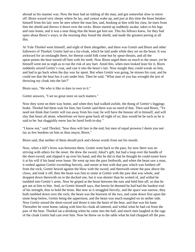abroad as his manner was. Now the bear had an inkling of the man, and got somewhat slow to move off. Biorn waxed very sleepy where he lay, and cannot wake up, and just at this time the beast betakes himself from his lair; now he sees where the man lies, and, hooking at him with his claw, he tears from him the shield and throws it down over the rocks. Biorn started up suddenly awake, takes to his legs and runs home, and it was a near thing that the beast gat him not. This his fellows knew, for they had spies about Biorn's ways; in the morning they found the shield, and made the greatest jeering at all this.

At Yule Thorkel went himself, and eight of them altogether, and there was Grettir and Biorn and other followers of Thorkel. Grettir had on a fur-cloak, which he laid aside while they set on the beast. It was awkward for an onslaught there, for thereat could folk come but by spear-thrusts, and all the spear-points the bear turned off him with his teeth. Now Biorn urged them on much to the onset, yet he himself went not so nigh as to run the risk of any hurt. Amid this, when men looked least for it, Biorn suddenly seized Grettir's coat, and cast it into the beast's lair. Now nought they could wreak on him, and had to go back when the day was far spent. But when Grettir was going, he misses his coat, and he could see that the bear has it cast under him. Then he said, "What man of you has wrought the jest of throwing my cloak into the lair?"

Biorn says, "He who is like to dare to own to it."

Grettir answers, "I set no great store on such matters."

Now they went on their way home, and when they had walked awhile, the thong of Grettir's leggings brake. Thorkel bid them wait for him; but Grettir said there was no need of that. Then said Biorn, "Ye need not think that Grettir will run away from his coat; he will have the honour all to himself, and will slay that beast all alone, wherefrom we have gone back all eight of us; thus would he be such as he is said to be: but sluggishly enow has he fared forth to-day."

"I know not," said Thorkel, "how thou wilt fare in the end, but men of equal prowess I deem you not: lay as few burdens on him as thou mayst, Biorn."

Biorn said, that neither of them should pick and choose words from out his mouth.

Now, when a hill's brow was between them, Grettir went back to the pass, for now there was no striving with others for the onset. He drew the sword, Jokul's gift, but had a loop over the handle of the short-sword, and slipped it up over his hand, and this he did in that he thought he could easier have it at his will if his hand were loose. He went up into the pass forthwith, and when the beast saw a man, it rushed against Grettir exceeding fiercely, and smote at him with that paw which was furthest off from the rock; Grettir hewed against the blow with the sword, and therewith smote the paw above the claws, and took it off; then the beast was fain to smite at Grettir with the paw that was whole, and dropped down therewith on to the docked one, but it was shorter than he wotted of, and withal he tumbled into Grettir's arms. Now he griped at the beast between the ears and held him off, so that he got not at him to bite. And, so Grettir himself says, that herein he deemed he had had the hardest trial of his strength, thus to hold the brute. But now as it struggled fiercely, and the space was narrow, they both tumbled down over the rock; the beast was the heaviest of the two, and came down first upon the stone heap below, Grettir being the uppermost, and the beast was much mangled on its nether side. Now Grettir seized the short-sword and thrust it into the heart of the bear, and that was his bane. Thereafter he went home, taking with him his cloak all tattered, and withal what he had cut from the paw of the bear. Thorkel sat a-drinking when he came into the hall, and much men laughed at the rags of the cloak Grettir had cast over him. Now he threw on to the table what he had chopped off the paw.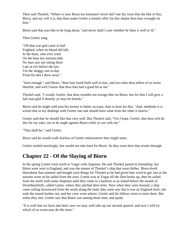Then said Thorkel, "Where is now Biorn my kinsman? never did I see thy irons bite the like of this, Biorn, and my will it is, that thou make Grettir a seemly offer for this shame thou hast wrought on him."

Biorn said that was like to be long about, "and never shall I care whether he likes it well or ill."

Then Grettir sang

"Oft that war-god came to hall Frighted, when no blood did fall, In the dusk; who ever cried On the bear last autumn-tide; No man saw me sitting there Late at eve before the lair; Yet the shaggy one to-day From his den I drew away."

"Sure enough," said Biorn, "thou hast fared forth well to-day, and two tales thou tellest of us twain therefor; and well I know that thou hast had a good hit at me."

Thorkel said, "I would, Grettir, that thou wouldst not avenge thee on Biorn, but for him I will give a full man-gild if thereby ye may be friends."

Biorn said he might well turn his money to better account, than to boot for this; "And, methinks it is wisest that in my dealings with Grettir one oak should have what from the other it shaves."

Grettir said that he should like that very well. But Thorkel said, "Yet I hope, Grettir, that thou wilt do this for my sake, not to do aught against Biorn while ye are with me."

"That shall be," said Grettir.

Biorn said he would walk fearless of Grettir wheresoever they might meet.

Grettir smiled mockingly, but would not take boot for Biorn. So they were here that winter through.

#### **Chapter 22 - Of the Slaying of Biorn**

In the spring Grettir went north to Vogar with chapmen. He and Thorkel parted in friendship; but Biorn went west to England, and was the master of Thorkel's ship that went thither. Biorn dwelt thereabout that summer and bought such things for Thorkel as he had given him word to get; but as the autumn wore on he sailed from the west. Grettir was at Vogar till the fleet broke up; then he sailed from the north with some chapmen until they came to a harbour at an island before the mouth of Drontheimfirth, called Gartar, where they pitched their tents. Now when they were housed, a ship came sailing havenward from the south along the land; they soon saw that it was an England farer; she took the strand further out, and her crew went ashore; Grettir and his fellows went to meet them. But when they met, Grettir saw that Biorn was among those men, and spake

"It is well that we have met here; now we may well take up our ancient quarrel, and now I will try which of us twain may do the most."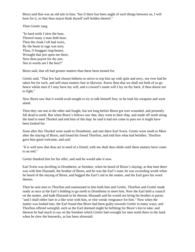Biorn said that was an old tale to him, "but if there has been aught of such things between us, I will boot for it, so that thou mayst think thyself well holden thereof."

Then Grettir sang

"In hard strife I slew the bear, Thereof many a man doth hear; Then the cloak I oft had worn, By the beast to rags was torn; Thou, O braggart ring-bearer, Wrought that jest upon me there, Now thou payest for thy jest, Not in words am I the best?"

Biorn said, that oft had greater matters than these been atoned for.

Grettir said, "That few had chosen hitherto to strive to trip him up with spite and envy, nor ever had he taken fee for such, and still must matters fare in likewise. Know thou that we shall not both of us go hence whole men if I may have my will, and a coward's name will I lay on thy back, if thou darest not to fight."

Now Biorn saw that it would avail nought to try to talk himself free; so he took his weapons and went aland.

Then they ran one at the other and fought, but not long before Biorn got sore wounded, and presently fell dead to earth. But when Biorn's fellows saw that, they went to their ship, and made off north along the land to meet Thorkel and told him of this hap: he said it had not come to pass ere it might have been looked for.

Soon after this Thorkel went south to Drontheim, and met there Earl Svein. Grettir went south to Mere after the slaying of Biorn, and found his friend Thorfinn, and told him what had befallen. Thorfinn gave him good welcome, and said

"It is well now that thou art in need of a friend; with me shalt thou abide until these matters have come to an end."

Grettir thanked him for his offer, and said he would take it now.

Earl Svein was dwelling in Drontheim, at Steinker, when he heard of Biorn's slaying; at that time there was with him Hiarandi, the brother of Biorn, and he was the Earl's man; he was exceeding wroth when he heard of the slaying of Biorn, and begged the Earl's aid in the matter, and the Earl gave his word thereto.

Then he sent men to Thorfinn and summoned to him both him and Grettir. Thorfinn and Grettir made ready at once at the Earl's bidding to go north to Drontheim to meet him. Now the Earl held a council on the matter, and bade Hiarandi to be thereat; Hiarandi said he would not bring his brother to purse; "and I shall either fare in a like wise with him, or else wreak vengeance for him." Now when the matter was looked into, the Earl found that Biorn had been guilty towards Grettir in many ways; and Thorfinn offered weregild, such as the Earl deemed might be befitting for Biorn's kin to take; and thereon he had much to say on the freedom which Grettir had wrought for men north there in the land, when he slew the bearserks, as has been aforesaid.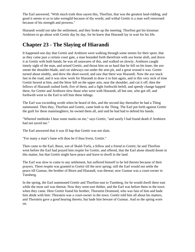The Earl answered, "With much truth thou sayest this, Thorfinn, that was the greatest land-ridding, and good it seems to us to take weregild because of thy words; and withal Grettir is a man well renowned because of his strength and prowess."

Hiarandi would not take the settlement, and they broke up the meeting. Thorfinn got his kinsman Arnbiorn to go about with Grettir day by day, for he knew that Hiarandi lay in wait for his life.

#### **Chapter 23 - The Slaying of Hiarandi**

It happened one day that Grettir and Arnbiorn were walking through some streets for their sport, that as they came past a certain court gate, a man bounded forth therefrom with axe borne aloft, and drave it at Grettir with both hands; he was all unawares of this, and walked on slowly; Arnbiorn caught timely sight of the man, and seized Grettir, and thrust him on so hard that he fell on his knee; the axe smote the shoulder-blade, and cut sideways out under the arm-pit, and a great wound it was. Grettir turned about nimbly, and drew the short-sword, and saw that there was Hiarandi. Now the axe stuck fast in the road, and it was slow work for Hiarandi to draw it to him again, and in this very nick of time Grettir hewed at him, and the blow fell on the upper arm, near the shoulder, and cut it off; then the fellows of Hiarandi rushed forth, five of them, and a fight forthwith befell, and speedy change happed there, for Grettir and Arnbiorn slew those who were with Hiarandi, all but one, who got off, and forthwith went to the Earl to tell him these tidings.

The Earl was exceeding wroth when he heard of this, and the second day thereafter he had a Thing summoned. Then they, Thorfinn and Grettir, came both to the Thing. The Earl put forth against Grettir the guilt for these manslaughters; he owned them all, and said he had had to defend his hands.

"Whereof methinks I bear some marks on me," says Grettir, "and surely I had found death if Arnbiorn had not saved me."

The Earl answered that it was ill hap that Grettir was not slain.

"For many a man's bane wilt thou be if thou livest, Grettir."

Then came to the Earl, Bessi, son of Skald-Torfa, a fellow and a friend to Grettir; he and Thorfinn went before the Earl had prayed him respite for Grettir, and offered, that the Earl alone should doom in this matter, but that Grettir might have peace and leave to dwell in the land.

The Earl was slow to come to any settlement, but suffered himself to be led thereto because of their prayers. There respite was granted to Grettir till the next spring; still the Earl would not settle the peace till Gunnar, the brother of Biorn and Hiarandi, was thereat; now Gunnar was a court-owner in Tunsberg.

In the spring, the Earl summoned Grettir and Thorfinn east to Tunsberg, for he would dwell there east while the most sail was thereat. Now they went east thither, and the Earl was before them in the town when they came. Here Grettir found his brother, Thorstein Dromond, who was fain of him and bade him abide with him: Thorstein was a court-owner in the town. Grettir told him all about his matters, and Thorstein gave a good hearing thereto, but bade him beware of Gunnar. And so the spring wore on.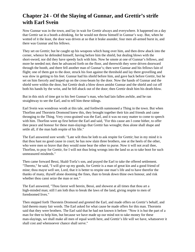#### **Chapter 24 - Of the Slaying of Gunnar, and Grettir's strife with Earl Svein**

Now Gunnar was in the town, and lay in wait for Grettir always and everywhere. It happened on a day that Grettir sat in a booth a-drinking, for he would not throw himself in Gunnar's way. But, when he wotted of it the least, the door was driven at so that it brake asunder, four men all-armed burst in, and there was Gunnar and his fellows.

They set on Grettir; but he caught up his weapons which hung over him, and then drew aback into the corner, whence he defended himself, having before him the shield, but dealing blows with the short-sword, nor did they have speedy luck with him. Now he smote at one of Gunnar's fellows, and more he needed not; then he advanced forth on the floor, and therewith they were driven doorward through the booth, and there fell another man of Gunnar's; then were Gunnar and his fellows fain of flight; one of them got to the door, struck his foot against the threshold and lay there grovelling and was slow in getting to his feet. Gunnar had his shield before him, and gave back before Grettir, but he set on him fiercely and leaped up on the cross-beam by the door. Now the hands of Gunnar and the shield were within the door, but Grettir dealt a blow down amidst Gunnar and the shield and cut off both his hands by the wrist, and he fell aback out of the door; then Grettir dealt him his death-blow.

But in this nick of time got to his feet Gunnar's man, who had lain fallen awhile, and he ran straightway to see the Earl, and to tell him these tidings.

Earl Svein was wondrous wroth at this tale, and forthwith summoned a Thing in the town. But when Thorfinn and Thorstein Dromond knew this, they brought together their kin and friends and came thronging to the Thing. Very cross-grained was the Earl, and it was no easy matter to come to speech with him. Thorfinn went up first before the Earl and said, "For this cause am I come hither, to offer thee peace and honour for these man-slayings that Grettir has wrought; thou alone shall shape and settle all, if the man hath respite of his life."

The Earl answered sore wroth: "Late wilt thou be loth to ask respite for Grettir; but in my mind it is that thou hast no good cause in court; he has now slain three brothers, one at the heels of the other, who were men so brave that they would none bear the other to purse. Now it will not avail thee, Thorfinn, to pray for Grettir, for I will not thus bring wrongs into the land so as to take boot for such unmeasured misdeeds."

Then came forward Bessi, Skald-Torfa's son, and prayed the Earl to take the offered settlement. "Thereto," he said, "I will give up my goods, for Grettir is a man of great kin and a good friend of mine; thou mayst well see, Lord, that it is better to respite one man's life and to have therefor the thanks of many, thyself alone dooming the fines, than to break down thine own honour, and risk whether thou canst seize the man or not."

The Earl answered, "Thou farest well herein, Bessi, and showest at all times that thou art a high-minded man; still I am loth thus to break the laws of the land, giving respite to men of foredoomed lives."

Then stepped forth Thorstein Dromond and greeted the Earl, and made offers on Grettir's behalf, and laid thereto many fair words. The Earl asked for what cause he made offers for this man. Thorstein said that they were brothers. The Earl said that he had not known it before: "Now it is but the part of a man for thee to help him, but because we have made up our mind not to take money for these man-slayings, we shall make all men of equal worth here, and Grettir's life will we have, whatsoever it shall cost and whensoever chance shall serve."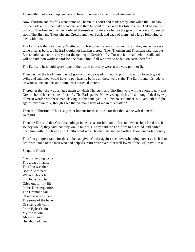Thereat the Earl sprang up, and would listen in nowise to the offered atonements.

Now Thorfinn and his folk went home to Thorstein's court and made ready. But when the Earl saw this he bade all his men take weapons, and then he went thither with his folk in array. But before he came up Thorfinn and his men ordered themselves for defence before the gate of the court. Foremost stood Thorfinn and Thorstein and Grettir, and then Bessi, and each of them had a large following of men with him.

The Earl bade them to give up Grettir, nor to bring themselves into an evil strait; they made the very same offer as before. The Earl would not hearken thereto. Then Thorfinn and Thorstein said that the Earl should have more ado yet for the getting of Grettir's life, "For one fate shall befall us all, and it will be said thou workest hard for one man's life, if all we have to be laid on earth therefor."

The Earl said he should spare none of them, and now they were at the very point to fight.

Then went to the Earl many men of goodwill, and prayed him not to push matters on to such great evils, and said they would have to pay heavily before all these were slain. The Earl found this rede to be wholesome, and became somewhat softened thereat.

Thereafter they drew up an agreement to which Thorstein and Thorfinn were willing enough, now that Grettir should have respite of his life. The Earl spake: "Know ye," quoth he, "that though I deal by way of mean words with these man-slayings at this time, yet I call this no settlement, but I am loth to fight against my own folk; though I see that ye make little of me in this matter."

Then said Thorfinn, "This is a greater honour for thee, Lord, for that thou alone wilt doom the weregild."

Then the Earl said that Grettir should go in peace, as for him, out to Iceland, when ships fared out, if so they would; they said that they would take this. They paid the Earl fines to his mind, and parted from him with little friendship. Grettir went with Thorfinn; he and his brother Thorstein parted fondly.

Thorfinn got great fame for the aid he had given Grettir against such overwhelming power as he had to deal with: none of the men who had helped Grettir were ever after well loved of the Earl, save Bessi.

So quoth Grettir

"To our helping came The great of name; Thorfinn was there Born rule to bear; When all bolts fell Into locks, and hell Cried out for my life In the Tunsberg strife. The Dromund fair Of red seas was there, The stone of the bane Of steel-gods vain: From Bylest's kin My life to win, Above all men He laboured then.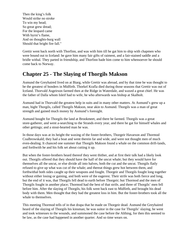Then the king's folk Would strike no stroke To win my head; So great grew dread; For the leopard came With byrni's flame, And on thoughts-burg wall Should that bright fire fall."

Grettir went back north with Thorfinn, and was with him till he gat him to ship with chapmen who were bound out to Iceland: he gave him many fair gifts of raiment, and a fair-stained saddle and a bridle withal. They parted in friendship, and Thorfinn bade him come to him whensoever he should come back to Norway.

## **Chapter 25 - The Slaying of Thorgils Makson**

Asmund the Greyhaired lived on at Biarg, while Grettir was abroad, and by that time he was thought to be the greatest of bonders in Midfirth. Thorkel Krafla died during those seasons that Grettir was out of Iceland. Thorvald Asgeirson farmed then at the Ridge in Waterdale, and waxed a great chief. He was the father of Dalla whom Isleif had to wife, he who afterwards was bishop at Skalholt.

Asmund had in Thorvald the greatest help in suits and in many other matters. At Asmund's grew up a man, hight Thorgils, called Thorgils Makson, near akin to Asmund. Thorgils was a man of great strength and gained much money by Asmund's foresight.

Asmund bought for Thorgils the land at Brookmeet, and there he farmed. Thorgils was a great store-gatherer, and went a-searching to the Strands every year, and there he gat for himself whales and other gettings; and a stout-hearted man he was.

In those days was at its height the waxing of the foster-brothers, Thorgeir Havarson and Thormod Coalbrowskald; they had a boat and went therein far and wide, and were not thought men of much even-dealing. It chanced one summer that Thorgils Makson found a whale on the common drift-lands, and forthwith he and his folk set about cutting it up.

But when the foster-brothers heard thereof they went thither, and at first their talk had a likely look out. Thorgils offered that they should have the half of the uncut whale; but they would have for themselves all the uncut, or else divide all into halves, both the cut and the uncut. Thorgils flatly refused to give up what was cut of the whale; and thereat things grew hot between them, and forthwithal both sides caught up their weapons and fought. Thorgeir and Thorgils fought long together without either losing or gaining, and both were of the eagerest. Their strife was both fierce and long, but the end of it was, that Thorgils fell dead to earth before Thorgeir; but Thormod and the men of Thorgils fought in another place; Thormod had the best of that strife, and three of Thorgils' men fell before him. After the slaying of Thorgils, his folk went back east to Midfirth, and brought his dead body with them. Men thought that they had the greatest loss in him. But the foster-brothers took all the whale to themselves.

This meeting Thormod tells of in that drapa that he made on Thorgeir dead. Asmund the Greyhaired heard of the slaying of Thorgils his kinsman; he was suitor in the case for Thorgils' slaying, he went and took witnesses to the wounds, and summoned the case before the Althing, for then this seemed to be law, as the case had happened in another quarter. And so time wears on.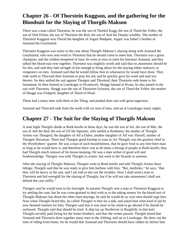# **Chapter 26 - Of Thorstein Kuggson, and the gathering for the Bloodsuit for the Slaying of Thorgils Makson**

There was a man called Thorstein, he was the son of Thorkel Kugg, the son of Thord the Yeller, the son of Olaf Feilan, the son of Thorstein the Red, the son of Aud the Deeply-wealthy. The mother of Thorstein Kuggson was Thurid the daughter of Asgeir Madpate, Asgeir was father's brother of Asmund the Greyhaired.

Thorstein Kuggson was suitor in the case about Thorgils Makson's slaying along with Asmund the Greyhaired, who now sent word to Thorstein that he should come to meet him. Thorstein was a great champion, and the wildest-tempered of men; he went at once to meet his kinsman Asmund, and they talked the blood-suit over together. Thorstein was mightily wroth and said that no atonement should be for this, and said they had strength of kin enough to bring about for the slaying either outlawry or vengeance on men. Asmund said that he would follow him in whatsoever he would have done. They rode north to Thorvald their kinsman to pray his aid, and he quickly gave his word and said yea thereto. So they settled the suit against Thorgeir and Thormod; then Thorstein rode home to his farmstead, he then farmed at Liarskogar in Hvamsveit. Skeggi farmed at Hvam, he also joined in the suit with Thorstein. Skeggi was the son of Thorarinn Fylsenni, the son of Thord the Yeller; the mother of Skeggi was Fridgerd, daughter of Thord of Head.

These had a many men with them at the Thing, and pushed their suit with great eagerness.

Asmund and Thorvald rode from the north with six tens of men, and sat at Liarskogar many nights.

## **Chapter 27 - The Suit for the Slaying of Thorgils Makson**

A man hight Thorgils abode at Reek-knolls in those days, he was the son of Ari, the son of Mar, the son of Atli the Red, the son of Ulf the Squinter, who settled at Reekness; the mother of Thorgils Arisen was Thorgerd, the daughter of Alf a-Dales; another daughter of Alf was Thorelf, mother of Thorgeir Havarson. There had Thorgeir good kinship to trust in, for Thorgils was the greatest chief in the Westfirthers' quarter. He was a man of such bountifulness, that he gave food to any free-born man as long as he would have it, and therefore there was at all times a throng of people at Reek-knolls; thus had Thorgils much renown of his house-keeping. He was a man withal of good will and foreknowledge. Thorgeir was with Thorgils in winter, but went to the Strands in summer.

After the slaying of Thorgils Makson, Thorgeir went to Reek-knolls and told Thorgils Arisen these tidings; Thorgils said that he was ready to give him harbour with him, "But, methinks," he says, "that they will be heavy in the suit, and I am loth to eke out the troubles. Now I shall send a man to Thorstein and bid weregild for the slaying of Thorgils; but if he will not take atonement I shall not defend the case stiffly."

Thorgeir said he would trust to his foresight. In autumn Thorgils sent a man to Thorstein Kuggson to try settling the case, but he was cross-grained to deal with as to the taking money for the blood-suit of Thorgils Makson; but about the other man-slayings, he said he would do as wise men should urge him. Now when Thorgils heard this, he called Thorgeir to him for a talk, and asked him what kind of aid he now deemed meetest for him; Thorgeir said that it was most to his mind to go abroad if he should be outlawed. Thorgils said that should be tried. A ship lay up Northriver in Burgfirth; in that keel Thorgils secretly paid faring for the foster-brothers, and thus the winter passed. Thorgils heard that Asmund and Thorstein drew together many men to the Althing, and sat in Liarskogar. He drew out the time of riding from home, for he would that Asmund and Thorstein should have ridden by before him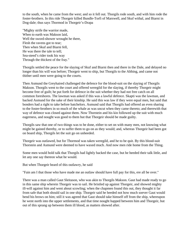to the south, when he came from the west; and so it fell out. Thorgils rode south, and with him rode the foster-brothers. In this ride Thorgeir killed Bundle-Torfi of Marswell, and Skuf withal, and Biarni in Dog-dale; thus says Thormod in Thorgeir's-Drapa

"Mighty strife the warrior made, When to earth was Makson laid, Well the sword-shower wrought he there, Flesh the ravens got to tear; Then when Skuf and Biarni fell, He was there the tale to tell; Sea-steed's rider took his way Through the thickest of the fray."

Thorgils settled the peace for the slaying of Skuf and Biarni then and there in the Dale, and delayed no longer than his will was before; Thorgeir went to ship, but Thorgils to the Althing, and came not thither until men were going to the courts.

Then Asmund the Greyhaired challenged the defence for the blood-suit on the slaying of Thorgils Makson. Thorgils went to the court and offered weregild for the slaying, if thereby Thorgeir might become free of guilt; he put forth for defence in the suit whether they had not free catch on all common foreshores. The lawman was asked if this was a lawful defence. Skapti was the lawman, and backed Asmund for the sake of their kinship. He said this was law if they were equal men, but said that bonders had a right to take before batchelors. Asmund said that Thorgils had offered an even sharing to the foster-brothers in so much of the whale as was uncut when they came thereto; and therewith that way of defence was closed against them. Now Thorstein and his kin followed up the suit with much eagerness, and nought was good to them but that Thorgeir should be made guilty.

Thorgils saw that one of two things was to be done, either to set on with many men, not knowing what might be gained thereby, or to suffer them to go on as they would; and, whereas Thorgeir had been got on board ship, Thorgils let the suit go on unheeded.

Thorgeir was outlawed, but for Thormod was taken weregild, and he to be quit. By this blood-suit Thorstein and Asmund were deemed to have waxed much. And now men ride home from the Thing.

Some men would hold talk that Thorgils had lightly backed the case, but he heeded their talk little, and let any one say thereon what he would.

But when Thorgeir heard of this outlawry, he said

"Fain am I that those who have made me an outlaw should have full pay for this, ere all be over."

There was a man called Gaut Sleitason, who was akin to Thorgils Makson. Gaut had made ready to go in this same ship wherein Thorgeir was to sail. He bristled up against Thorgeir, and showed mighty ill-will against him and went about scowling; when the chapmen found this out, they thought it far from safe that both should sail in one ship. Thorgeir said he heeded not how much soever Gaut would bend his brows on him; still it was agreed that Gaut should take himself off from the ship, whereupon he went north into the upper settlements, and that time nought happed between him and Thorgeir, but out of this sprang up between them ill blood, as matters showed after.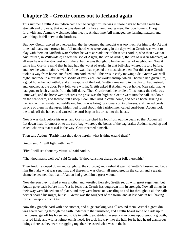# **Chapter 28 - Grettir comes out to Iceland again**

This summer Grettir Asmundson came out to Skagafirth: he was in those days so famed a man for strength and prowess, that none was deemed his like among young men. He rode home to Biarg forthwith, and Asmund welcomed him meetly. At that time Atli managed the farming matters, and well things befell betwixt the brothers.

But now Grettir waxed so overbearing, that he deemed that nought was too much for him to do. At that time had many men grown into full manhood who were young in the days when Grettir was wont to play with them on Midfirth-water before he went abroad; one of these was Audun, who then dwelt at Audunstead, in Willowdale; he was the son of Asgeir, the son of Audun, the son of Asgeir Madpate; of all men he was the strongest north there; but he was thought to be the gentlest of neighbours. Now it came into Grettir's mind that he had had the worst of Audun in that ball-play whereof is told before; and now he would fain try which of the twain had ripened the most since then. For this cause Grettir took his way from home, and fared unto Audunstead. This was in early mowing tide; Grettir was well dight, and rode in a fair-stained saddle of very excellent workmanship, which Thorfinn had given him; a good horse he had withal, and all weapons of the best. Grettir came early in the day to Audunstead, and knocked at the door. Few folk were within; Grettir asked if Audun was at home. Men said that he had gone to fetch victuals from the hill-dairy. Then Grettir took the bridle off his horse; the field was unmowed, and the horse went whereas the grass was the highest. Grettir went into the hall, sat down on the seat-beam, and thereon fell asleep. Soon after Audun came home, and sees a horse grazing in the field with a fair-stained saddle on; Audun was bringing victuals on two horses, and carried curds on one of them, in drawn-up hides, tied round about: this fashion men called curd-bags. Audun took the loads off the horses and carried the curd-bags in his arms into the house.

Now it was dark before his eyes, and Grettir stretched his foot from out the beam so that Audun fell flat down head-foremost on to the curd-bag, whereby the bonds of the bag brake; Audun leaped up and asked who was that rascal in the way. Grettir named himself.

Then said Audun, "Rashly hast thou done herein; what is thine errand then?"

Grettir said, "I will fight with thee."

"First I will see about my victuals," said Audun.

"That thou mayst well do," said Grettir, "if thou canst not charge other folk therewith."

Then Audun stooped down and caught up the curd-bag and dashed it against Grettir's bosom, and bade him first take what was sent him; and therewith was Grettir all smothered in the curds; and a greater shame he deemed that than if Audun had given him a great wound.

Now thereon they rushed at one another and wrestled fiercely; Grettir set on with great eagerness, but Audun gave back before him. Yet he feels that Grettir has outgrown him in strength. Now all things in their way were kicked out of place, and they were borne on wrestling to and fro throughout all the hall; neither spared his might, but still Grettir was the toughest of the twain, and at last Audun fell, having torn all weapons from Grettir.

Now they grapple hard with one another, and huge cracking was all around them. Withal a great din was heard coming through the earth underneath the farmstead, and Grettir heard some one ride up to the houses, get off his horse, and stride in with great strides; he sees a man come up, of goodly growth, in a red kirtle and with a helmet on his head. He took his way into the hall, for he had heard clamorous doings there as they were struggling together; he asked what was in the hall.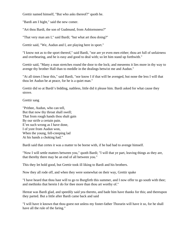Grettir named himself, "But who asks thereof?" quoth he.

"Bardi am I hight," said the new comer.

"Art thou Bardi, the son of Gudmund, from Asbiornsness?"

"That very man am I," said Bardi; "but what art thou doing?"

Grettir said, "We, Audun and I, are playing here in sport."

"I know not as to the sport thereof," said Bardi, "nor are ye even men either; thou art full of unfairness and overbearing, and he is easy and good to deal with; so let him stand up forthwith."

Grettir said, "Many a man stretches round the door to the lock; and meseems it lies more in thy way to avenge thy brother Hall than to meddle in the dealings betwixt me and Audun."

"At all times I hear this," said Bardi, "nor know I if that will be avenged, but none the less I will that thou let Audun be at peace, for he is a quiet man."

Grettir did so at Bardi's bidding, nathless, little did it please him. Bardi asked for what cause they strove.

Grettir sang

"Prithee, Audun, who can tell, But that now thy throat shall swell; That from rough hands thou shalt gain By our strife a certain pain. E'en such wrong as I have done, I of yore from Audun won, When the young, fell-creeping lad At his hands a choking had."

Bardi said that certes it was a matter to be borne with, if he had had to avenge himself.

"Now I will settle matters between you," quoth Bardi; "I will that ye part, leaving things as they are, that thereby there may be an end of all between you."

This they let hold good, but Grettir took ill liking to Bardi and his brothers.

Now they all rode off, and when they were somewhat on their way, Grettir spake

"I have heard that thou hast will to go to Burgfirth this summer, and I now offer to go south with thee; and methinks that herein I do for thee more than thou art worthy of."

Hereat was Bardi glad, and speedily said yea thereto, and bade him have thanks for this; and thereupon they parted. But a little after Bardi came back and said

"I will have it known that thou goest not unless my foster-father Thorarin will have it so, for he shall have all the rule of the faring."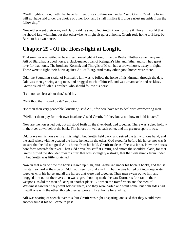"Well mightest thou, methinks, have full freedom as to thine own redes," said Grettir, "and my faring I will not have laid under the choice of other folk; and I shall mislike it if thou easiest me aside from thy fellowship."

Now either went their way, and Bardi said he should let Grettir know for sure if Thorarin would that he should fare with him, but that otherwise he might sit quiet at home. Grettir rode home to Biarg, but Bardi to his own house.

## **Chapter 29 - Of the Horse-fight at Longfit.**

That summer was settled to be a great horse-fight at Longfit, below Reeks. Thither came many men. Atli of Biarg had a good horse, a black-maned roan of Keingala's kin, and father and son had great love for that horse. The brothers, Kormak and Thorgils of Meal, had a brown horse, trusty in fight. These were to fight their horse against Atli of Biarg. And many other good horses were there.

Odd, the Foundling-skald, of Kormak's kin, was to follow the horse of his kinsman through the day. Odd was then growing a big man, and bragged much of himself, and was untameable and reckless. Grettir asked of Atli his brother, who should follow his horse.

"I am not so clear about that," said he.

"Wilt thou that I stand by it?" said Grettir.

"Be thou then very peaceable, kinsman," said Atli, "for here have we to deal with overbearing men."

"Well, let them pay for their own insolence," said Grettir, "if they know not how to hold it back."

Now are the horses led out, but all stood forth on the river-bank tied together. There was a deep hollow in the river down below the bank. The horses bit well at each other, and the greatest sport it was.

Odd drave on his horse with all his might, but Grettir held back, and seized the tail with one hand, and the staff wherewith he goaded the horse he held in the other. Odd stood far before his horse, nor was it so sure that he did not goad Atli's horse from his hold. Grettir made as if he saw it not. Now the horses bore forth towards the river. Then Odd drave his staff at Grettir, and smote the shoulder-blade, for that Grettir turned the shoulder towards him: that was so mighty a stroke, that the flesh shrank from under it, but Grettir was little scratched.

Now in that nick of time the horses reared up high, and Grettir ran under his horse's hocks, and thrust his staff so hard at the side of Odd that three ribs brake in him, but he was hurled out into deep water, together with his horse and all the horses that were tied together. Then men swam out to him and dragged him out of the river; then was a great hooting made thereat; Kormak's folk ran to their weapons, as did the men of Biarg in another place. But when the Ramfirthers and the men of Waterness saw that, they went betwixt them, and they were parted and went home, but both sides had ill-will one with the other, though they sat peacefully at home for a while.

Atli was sparing of speech over this, but Grettir was right unsparing, and said that they would meet another time if his will came to pass.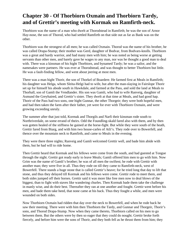# **Chapter 30 - Of Thorbiorn Oxmain and Thorbiorn Tardy, and of Grettir's meeting with Kormak on Ramfirth-neck.**

Thorbiorn was the name of a man who dwelt at Thorodstead in Ramfirth; he was the son of Arnor Hay-nose, the son of Thorod, who had settled Ramfirth on that side out as far as Bank was on the other.

Thorbiorn was the strongest of all men; he was called Oxmain. Thorod was the name of his brother, he was called Drapa-Stump; their mother was Gerd, daughter of Bodvar, from Bodvars-knolls. Thorbiorn was a great and hardy warrior, and had many men with him; he was noted as being worse at getting servants than other men, and barely gave he wages to any man, nor was he thought a good man to deal with. There was a kinsman of his hight Thorbiorn, and bynamed Tardy; he was a sailor, and the namesakes were partners. He was ever at Thorodstead, and was thought to better Thorbiorn but little. He was a fault-finding fellow, and went about jeering at most men.

There was a man hight Thorir, the son of Thorkel of Boardere. He farmed first at Meals in Ramfirth; his daughter was Helga, whom Sleita-Helgi had to wife, but after the man-slaying in Fairslope Thorir set up for himself his abode south in Hawkdale, and farmed at the Pass, and sold the land at Meals to Thorhall, son of Gamli the Vendlander. His son was Gamli, who had to wife Ranveig, daughter of Asmund the Greyhaired, and Grettir's sister. They dwelt at that time at Meals, and had good hap. Thorir of the Pass had two sons, one hight Gunnar, the other Thorgeir; they were both hopeful men, and had then taken the farm after their father, yet were for ever with Thorbiorn Oxmain, and were growing exceeding unruly.

The summer after that just told, Kormak and Thorgils and Narfi their kinsman rode south to Northriverdale, on some errand of theirs. Odd the Foundling-skald fared also with them, and by then was gotten healed of the stiffness he gained at the horse-fight. But while they were south of the heath, Grettir fared from Biarg, and with him two house-carles of Atli's. They rode over to Bowerfell, and thence over the mountain neck to Ramfirth, and came to Meals in the evening.

They were there three nights; Ranveig and Gamli welcomed Grettir well, and bade him abide with them, but he had will to ride home.

Then Grettir heard that Kormak and his fellows were come from the south, and had guested at Tongue through the night. Grettir got ready early to leave Meals; Gamli offered him men to go with him. Now Grim was the name of Gamli's brother; he was of all men the swiftest; he rode with Grettir with another man; they were five in all. Thus they rode on till they came to Ramfirth-neck, west of Bowerfell. There stands a huge stone that is called Grettir's heave; for he tried long that day to lift that stone, and thus they delayed till Kormak and his fellows were come. Grettir rode to meet them, and both sides jumped off their horses. Grettir said it was more like free men now to deal blows of the biggest, than to fight with staves like wandering churles. Then Kormak bade them take the challenge in manly wise, and do their best. Thereafter they ran at one another and fought. Grettir went before his men, and bade them take heed, that none came at his back. Thus they fought a while, and men were wounded on both sides.

Now Thorbiorn Oxmain had ridden that day over the neck to Bowerfell, and when he rode back he saw their meeting. There were with him then Thorbiorn the Tardy, and Gunnar and Thorgeir, Thorir's sons, and Thorod Drapa-Stump. Now when they came thereto, Thorbiorn called on his men to go between them. But the others were by then so eager that they could do nought. Grettir broke forth fiercely, and before him were the sons of Thorir, and they both fell as he thrust them from him; they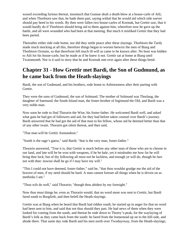waxed exceeding furious thereat, insomuch that Gunnar dealt a death-blow at a house-carle of Atli; and when Thorbiorn saw that, he bade them part, saying withal that he would aid which side soever should pay heed to his words. By then were fallen two house-carles of Kormak, but Grettir saw, that it would hardly do if Thorbiorn should bring aid to them against him, wherefore now he gave up the battle, and all were wounded who had been at that meeting. But much it misliked Grettir that they had been parted.

Thereafter either side rode home, nor did they settle peace after these slayings. Thorbiorn the Tardy made much mocking at all this, therefore things began to worsen betwixt the men of Biarg and Thorbiorn Oxmain, so that therefrom fell much ill-will as came to be known after. No boot was bidden to Atli for his house-carle, but he made as if he knew it not. Grettir sat at home at Biarg until Twainmonth. Nor is it said in story that he and Kormak met ever again after these things betid.

## **Chapter 31 - How Grettir met Bardi, the Son of Gudmund, as he came back from the Heath-slayings**

Bardi, the son of Gudmund, and his brothers, rode home to Asbiornsness after their parting with Grettir.

They were the sons of Gudmund, the son of Solmund. The mother of Solmund was Thorlaug, the daughter of Saemund, the South-Island man, the foster-brother of Ingimund the Old, and Bardi was a very noble man.

Now soon he rode to find Thorarin the Wise, his foster-father. He welcomed Bardi well, and asked what gain he had got of followers and aid, for they had before taken counsel over Bardi's journey. Bardi answered that he had got the aid of that man to his fellow, whose aid he deemed better than that of any other twain. Thorarin got silent thereat, and then said,

"That man will be Grettir Asmundson."

"Sooth is the sage's guess," said Bardi; "that is the very man, foster-father."

Thorarin answered, "True it is, that Grettir is much before any other man of those who are to choose in our land, and late will he be won with weapons, if he be hale, yet it misdoubts me how far he will bring thee luck; but of thy following all must not be luckless, and enough ye will do, though he fare not with thee: nowise shall he go if I may have my will."

"This I could not have deemed, foster-father," said he, "that thou wouldst grudge me the aid of the bravest of men, if my need should be hard. A man cannot foresee all things when he is driven on as methinks I am."

"Thou wilt do well," said Thorarin; "though thou abidest by my foresight."

Now thus must things be, even as Thorarin would, that no word more was sent to Grettir, but Bardi fared south to Burgfirth, and then befell the Heath-slayings.

Grettir was at Biarg when he heard that Bardi had ridden south; he started up in anger for that no word had been sent to him, and said that not thus should they part. He had news of them when they were looked for coming from the south, and thereat he rode down to Thorey's-peak, for the waylaying of Bardi's folk as they came back from the south: he fared from the homestead up on to the hill-side, and abode there. That same day rode Bardi and his men north over Twodaysway, from the Heath-slayings;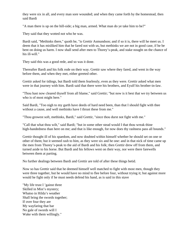they were six in all, and every man sore wounded; and when they came forth by the homestead, then said Bardi

"A man there is up on the hill-side; a big man, armed. What man do ye take him to be?"

They said that they wotted not who he was.

Bardi said, "Methinks there," quoth he, "is Grettir Asmundson; and if so it is, there will he meet us. I deem that it has misliked him that he fared not with us, but methinks we are not in good case, if he be bent on doing us harm. I now shall send after men to Thorey's-peak, and stake nought on the chance of his ill-will."

They said this was a good rede, and so was it done.

Thereafter Bardi and his folk rode on their way. Grettir saw where they fared, and went in the way before them, and when they met, either greeted other.

Grettir asked for tidings, but Bardi told them fearlessly, even as they were. Grettir asked what men were in that journey with him. Bardi said that there were his brothers, and Eyulf his brother-in-law.

"Thou hast now cleared thyself from all blame," said Grettir; "but now is it best that we try between us who is of most might here."

Said Bardi, "Too nigh to my garth have deeds of hard need been, than that I should fight with thee without a cause, and well methinks have I thrust these from me."

"Thou growest soft, methinks, Bardi," said Grettir, "since thou durst not fight with me."

"Call that what thou wilt," said Bardi; "but in some other stead would I that thou wreak thine high-handedness than here on me; and that is like enough, for now does thy rashness pass all bounds."

Grettir thought ill of his spaedom, and now doubted within himself whether he should set on one or other of them; but it seemed rash to him, as they were six and he one: and in that nick of time came up the men from Thorey's-peak to the aid of Bardi and his folk; then Grettir drew off from them, and turned aside to his horse. But Bardi and his fellows went on their way, nor were there farewells between them at parting.

No further dealings between Bardi and Grettir are told of after these things betid.

Now so has Grettir said that he deemed himself well matched to fight with most men, though they were three together, but he would have no mind to flee before four, without trying it; but against more would he fight only if he must needs defend his hand, as is said in this stave

"My life trust I 'gainst three Skilled in Mist's mystery; Whatso in Hilda's weather Shall bring the swords together; If over four they are My wayfaring that bar No gale of swords will I Wake with them willingly."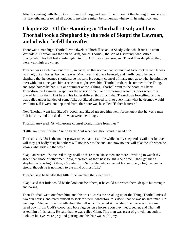After his parting with Bardi, Grettir fared to Biarg, and very ill he it thought that he might nowhere try his strength, and searched all about if anywhere might be somewhat wherewith he might contend.

# **Chapter 32 - Of the Haunting at Thorhall-stead; and how Thorhall took a Shepherd by the rede of Skapti the Lawman, and of what befell thereafter**

There was a man hight Thorhall, who dwelt at Thorhall-stead, in Shady-vale, which runs up from Waterdale. Thorhall was the son of Grim, son of Thorhall, the son of Fridmund, who settled Shady-vale. Thorhall had a wife hight Gudrun. Grim was their son, and Thurid their daughter; they were well-nigh grown up.

Thorhall was a rich man, but mostly in cattle, so that no man had so much of live-stock as he. He was no chief, but an honest bonder he was. Much was that place haunted, and hardly could he get a shepherd that he deemed should serve his turn. He sought counsel of many men as to what he might do therewith, but none gave him a rede that might serve him. Thorhall rode each summer to the Thing, and good horses he had. But one summer at the Althing, Thorhall went to the booth of Skapti Thorodson the Lawman. Skapti was the wisest of men, and wholesome were his redes when folk prayed him for them. But he and his father differed thus much, that Thorod was foretelling, and yet was called under-handed of some folk; but Skapti showed forth to every man what he deemed would avail most, if it were not departed from, therefore was he called "Father-betterer."

Now Thorhall went into Skapti's booth, and Skapti greeted him well, for he knew that he was a man rich in cattle, and he asked him what were the tidings.

Thorhall answered, "A wholesome counsel would I have from thee."

"Little am I meet for that," said Skapti; "but what dost thou stand in need of?"

Thorhall said, "So is the matter grown to be, that but a little while do my shepherds avail me; for ever will they get badly hurt; but others will not serve to the end, and now no one will take the job when he knows what bides in the way."

Skapti answered, "Some evil things shall be there then, since men are more unwilling to watch thy sheep than those of other men. Now, therefore, as thou hast sought rede of me, I shall get thee a shepherd who is hight Glam, a Swede, from Sylgsdale, who came out last summer, a big man and a strong, though he is not much to the mind of most folk."

Thorhall said he heeded that little if he watched the sheep well.

Skapti said that little would be the look out for others, if he could not watch them, despite his strength and daring.

Then Thorhall went out from him, and this was towards the breaking up of the Thing. Thorhall missed two dun horses, and fared himself to seek for them; wherefore folk deem that he was no great man. He went up to Sledgehill, and south along the fell which is called Armansfell; then he saw how a man fared down from Godi's-wood, and bore faggots on a horse. Soon they met together, and Thorhall asked him of his name. He said that he was called Glam. This man was great of growth, uncouth to look on; his eyes were grey and glaring, and his hair was wolf-grey.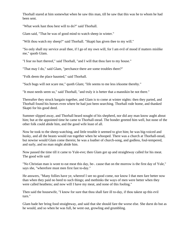Thorhall stared at him somewhat when he saw this man, till he saw that this was he to whom he had been sent.

"What work hast thou best will to do?" said Thorhall.

Glam said, "That he was of good mind to watch sheep in winter."

"Wilt thou watch my sheep?" said Thorhall. "Skapti has given thee to my will."

"So only shall my service avail thee, if I go of my own will, for I am evil of mood if matters mislike me," quoth Glam.

"I fear no hurt thereof," said Thorhall, "and I will that thou fare to my house."

"That may I do," said Glam, "perchance there are some troubles there?"

"Folk deem the place haunted," said Thorhall.

"Such bugs will not scare me," quoth Glam; "life seems to me less irksome thereby."

"It must needs seem so," said Thorhall, "and truly it is better that a mannikin be not there."

Thereafter they struck bargain together, and Glam is to come at winter nights: then they parted, and Thorhall found his horses even where he had just been searching. Thorhall rode home, and thanked Skapti for his good deed.

Summer slipped away, and Thorhall heard nought of his shepherd, nor did any man know aught about him; but at the appointed time he came to Thorhall-stead. The bonder greeted him well, but none of the other folk could abide him, and the good wife least of all.

Now he took to the sheep-watching, and little trouble it seemed to give him; he was big-voiced and husky, and all the beasts would run together when he whooped. There was a church at Thorhall-stead, but nowise would Glam come therein; he was a loather of church-song, and godless, foul-tempered, and surly, and no man might abide him.

Now passed the time till it came to Yule-eve; then Glam got up and straightway called for his meat. The good wife said

"No Christian man is wont to eat meat this day, be-. cause that on the morrow is the first day of Yule," says she, "wherefore must men first fast to-day."

He answers, "Many follies have ye, whereof I see no good come, nor know I that men fare better now than when they paid no heed to such things; and methinks the ways of men were better when they were called heathens; and now will I have my meat, and none of this fooling."

Then said the housewife, "I know for sure that thou shall fare ill to-day, if thou takest up this evil turn."

Glam bade her bring food straightway, and said that she should fare the worse else. She durst do but as he would, and so when he was full, he went out, growling and grumbling.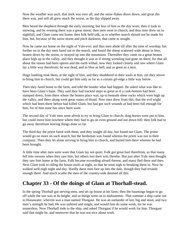Now the weather was such, that mirk was over all, and the snow-flakes drave down, and great din there was, and still all grew much the worse, as the day slipped away.

Men heard the shepherd through the early morning, but less of him as the day wore; then it took to snowing, and by evening there was a great storm; then men went to church, and thus time drew on to nightfall; and Glam came not home; then folk held talk, as to whether search should not be made for him, but, because of the snow-storm and pitch darkness, that came to nought.

Now he came not home on the night of Yule-eve; and thus men abide till after the time of worship; but further on in the day men fared out to the search, and found the sheep scattered wide about in fens, beaten down by the storm, or strayed up into the mountains. Thereafter they came on a great beaten place high up in the valley, and they thought it was as if strong wrestling had gone on there; for that all about the stones had been uptorn and the earth withal; now they looked closely and saw where Glam lay a little way therefrom; he was dead, and as blue as hell, and as great as a neat.

Huge loathing took them, at the sight of him, and they shuddered in their souls at him, yet they strove to bring him to church, but could get him only as far as a certain gil-edge a little way below.

Then they fared home to the farm, and told the bonder what had happed. He asked what was like to have been Glam's bane. They said they had tracked steps as great as if a cask-bottom had been stamped down, from there where the beaten place was, up to beneath sheer rocks which were high up the valley, and there along went great stains of blood. Now men drew from this, that the evil wight which had been there before had killed Glam, but had got such wounds as had been full enough for him, for of him none has since been ware.

The second day of Yule men went afresh to try to bring Glam to church; drag horses were put to him, but could move him nowhere where they had to go on even ground and not down hill; then folk had to go away therefrom leaving things done so far.

The third day the priest fared with them, and they sought all day, but found not Glam. The priest would go no more on such search, but the herdsman was found whenso the priest was not in their company. Then they let alone striving to bring him to church, and buried him there whereto he had been brought.

A little time after men were ware that Glam lay not quiet. Folk got great hurt therefrom, so that many fell into swoons when they saw him, but others lost their wits thereby. But just after Yule men thought they saw him home at the farm. Folk became exceeding afeard thereat, and many fled there and then. Next Glam took to riding the house-roofs at night, so that he went nigh to breaking them in. Now he walked well-nigh night and day. Hardly durst men fare up into the dale, though they had errands enough there. And much scathe the men of the country-side deemed all this.

#### **Chapter 33 - Of the doings of Glam at Thorhall-stead.**

In the spring Thorhall got serving-men, and set up house at his farm; then the hauntings began to go off while the sun was at its height; and so things went on to midsummer. That summer a ship came out to Hunawater, wherein was a man named Thorgaut. He was an outlander of kin, big and stout, and two men's strength he had. He was unhired and single, and would fain do some work, for he was moneyless. Now Thorhall rode to the ship, and asked Thorgaut if he would work for him. Thorgaut said that might be, and moreover that he was not nice about work.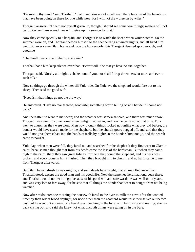"Be sure in thy mind," said Thorhall, "that mannikins are of small avail there because of the hauntings that have been going on there for one while now; for I will not draw thee on by wiles."

Thorgaut answers, "I deem not myself given up, though I should see some wraithlings; matters will not be light when I am scared, nor will I give up my service for that."

Now they come speedily to a bargain, and Thorgaut is to watch the sheep when winter comes. So the summer wore on, and Thorgaut betook himself to the shepherding at winter nights, and all liked him well. But ever came Glam home and rode the house-roofs; this Thorgaut deemed sport enough, and quoth he

"The thrall must come nigher to scare me."

Thorhall bade him keep silence over that. "Better will it be that ye have no trial together."

Thorgaut said, "Surely all might is shaken out of you, nor shall I drop down betwixt morn and eve at such talk."

Now so things go through the winter till Yule-tide. On Yule eve the shepherd would fare out to his sheep. Then said the good wife

"Need is it that things go not the old way."

He answered, "Have no fear thereof, goodwife; something worth telling of will betide if I come not back."

And thereafter he went to his sheep; and the weather was somewhat cold, and there was much snow. Thorgaut was wont to come home when twilight had set in, and now he came not at that time. Folk went to church as they were wont. Men now thought things looked not unlike what they did before; the bonder would have search made for the shepherd, but the church-goers begged off, and said that they would not give themselves into the hands of trolls by night; so the bonder durst not go, and the search came to nought.

Yule-day, when men were full, they fared out and searched for the shepherd; they first went to Glam's cairn, because men thought that from his deeds came the loss of the herdsman. But when they came nigh to the cairn, there they saw great tidings, for there they found the shepherd, and his neck was broken, and every bone in him smashed. Then they brought him to church, and no harm came to men from Thorgaut afterwards.

But Glam began afresh to wax mighty; and such deeds he wrought, that all men fled away from Thorhall-stead, except the good man and his goodwife. Now the same neatherd had long been there, and Thorhall would not let him go, because of his good will and safe ward; he was well on in years, and was very loth to fare away, for he saw that all things the bonder had went to nought from not being watched.

Now after midwinter one morning the housewife fared to the byre to milk the cows after the wonted time; by then was it broad daylight, for none other than the neatherd would trust themselves out before day; but he went out at dawn. She heard great cracking in the byre, with bellowing and roaring; she ran back crying out, and said she knew not what uncouth things were going on in the byre.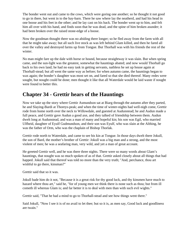The bonder went out and came to the cows, which were goring one another; so he thought it not good to go in there, but went in to the hay-barn. There he saw where lay the neatherd, and had his head in one boose and his feet in the other; and he lay cast on his back. The bonder went up to him, and felt him all over with his hand, and finds soon that he was dead, and the spine of him broken asunder; it had been broken over the raised stone-edge of a boose.

Now the goodman thought there was no abiding there longer; so he fled away from the farm with all that he might take away; but all such live stock as was left behind Glam killed, and then he fared all over the valley and destroyed farms up from Tongue. But Thorhall was with his friends the rest of the winter.

No man might fare up the dale with horse or hound, because straightway it was slain. But when spring came, and the sun-light was the greatest, somewhat the hauntings abated; and now would Thorhall go back to his own land; he had no easy task in getting servants, nathless he set up house again at Thorhall-stead; but all went the same way as before; for when autumn came, the hauntings began to wax again; the bonder's daughter was most set on, and fared so that she died thereof. Many redes were sought, but nought could be done; men thought it like that all Waterdale would be laid waste if nought were found to better this.

## **Chapter 34 - Grettir hears of the Hauntings**

Now we take up the story where Grettir Asmundson sat at Biarg through the autumn after they parted, he and Slaying-Bardi at Thoreys-peak; and when the time of winter-nights had well-nigh come, Grettir rode from home north over the neck to Willowdale, and guested at Audunstead; he and Audun made a full peace, and Grettir gave Audun a good axe, and they talked of friendship between them. Audun dwelt long at Audunstead, and was a man of many and hopeful kin; his son was Egil, who married Ulfheid, daughter of Eyulf Gudmundson, and their son was Eyulf, who was slain at the Althing, he was the father of Orm, who was the chaplain of Bishop Thorlak.

Grettir rode north to Waterdale, and came to see his kin at Tongue. In those days dwelt there Jokull, the son of Bard, the mother's brother of Grettir: Jokull was a big man and a strong, and the most violent of men; he was a seafaring man, very wild, and yet a man of great account.

He greeted Grettir well, and he was there three nights. There were so many words about Glam's hauntings, that nought was so much spoken of as of that. Grettir asked closely about all things that had happed. Jokull said that thereof was told no more than the very truth; "And, perchance, thou art wishful to go there, kinsman?"

Grettir said that so it was.

Jokull bade him do it not, "Because it is a great risk for thy good luck, and thy kinsmen have much to hazard where thou art," said he, "for of young men we think there is none such as thou; but from ill cometh ill whereas Glam is; and far better it is to deal with men than with such evil wights."

Grettir said, "That he had a mind to go to Thorhall-stead and see how things went there."

Said Jokull, "Now I see it is of no avail to let thee; but so it is, as men say, Good luck and goodliness are twain."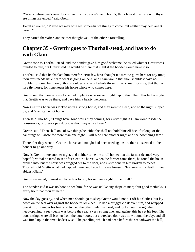"Woe is before one's own door when it is inside one's neighbour's; think how it may fare with thyself ere things are ended," said Grettir.

Jokull answered, "Maybe we may both see somewhat of things to come, but neither may help aught herein."

They parted thereafter, and neither thought well of the other's foretelling.

# **Chapter 35 - Grettir goes to Thorhall-stead, and has to do with Glam**

Grettir rode to Thorhall-stead, and the bonder gave him good welcome; he asked whither Grettir was minded to fare, but Grettir said he would be there that night if the bonder would have it so.

Thorhall said that he thanked him therefor, "But few have thought it a treat to guest here for any time; thou must needs have heard what is going on here, and I fain would that thou shouldest have no trouble from me: but though thou shouldest come off whole thyself, that know I for sure, that thou wilt lose thy horse, for none keeps his horse whole who comes here."

Grettir said that horses were to be had in plenty whatsoever might hap to this. Then Thorhall was glad that Grettir was to be there, and gave him a hearty welcome.

Now Grettir's horse was locked up in a strong house, and they went to sleep; and so the night slipped by, and Glam came not home.

Then said Thorhall, "Things have gone well at thy coming, for every night is Glam wont to ride the house-roofs, or break open doors, as thou mayest well see."

Grettir said, "Then shall one of two things be, either he shall not hold himself back for long, or the hauntings will abate for more than one night; I will bide here another night and see how things fare."

Thereafter they went to Grettir's horse, and nought had been tried against it; then all seemed to the bonder to go one way.

Now is Grettir there another night, and neither came the thrall home; that the farmer deemed very hopeful; withal he fared to see after Grettir's horse. When the farmer came there, he found the house broken into, but the horse was dragged out to the door, and every bone in him broken to pieces. Thorhall told Grettir what had happed there, and bade him save himself, "For sure is thy death if thou abidest Glam."

Grettir answered, "I must not have less for my horse than a sight of the thrall."

The bonder said it was no boon to see him, for he was unlike any shape of man; "but good methinks is every hour that thou art here."

Now the day goes by, and when men should go to sleep Grettir would not put off his clothes, but lay down on the seat over against the bonder's lock-bed. He had a drugget cloak over him, and wrapped one skirt of it under his feet, and twined the other under his head, and looked out through the head-opening; a seat-beam was before the seat, a very strong one, and against this he set his feet. The door-fittings were all broken from the outer door, but a wrecked door was now bound thereby, and all was fitted up in the wretchedest wise. The panelling which had been before the seat athwart the hall,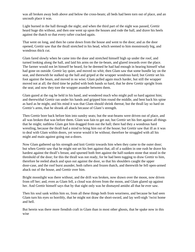was all broken away both above and below the cross-beam; all beds had been torn out of place, and an uncouth place it was.

Light burned in the hall through the night; and when the third part of the night was passed, Grettir heard huge din without, and then one went up upon the houses and rode the hall, and drave his heels against the thatch so that every rafter cracked again.

That went on long, and then he came down from the house and went to the door; and as the door opened, Grettir saw that the thrall stretched in his head, which seemed to him monstrously big, and wondrous thick cut.

Glam fared slowly when he came into the door and stretched himself high up under the roof, and turned looking along the hall, and laid his arms on the tie-beam, and glared inwards over the place. The farmer would not let himself be heard, for he deemed he had had enough in hearing himself what had gone on outside. Grettir lay quiet, and moved no whit; then Glam saw that some bundle lay on the seat, and therewith he stalked up the hall and griped at the wrapper wondrous hard; but Grettir set his foot against the beam, and moved in no wise; Glam pulled again much harder, but still the wrapper moved not at all; the third time he pulled with both hands so hard, that he drew Grettir upright from the seat; and now they tore the wrapper asunder between them.

Glam gazed at the rag he held in his hand, and wondered much who might pull so hard against him; and therewithal Grettir ran under his hands and gripped him round the middle, and bent back his spine as hard as he might, and his mind it was that Glam should shrink thereat; but the thrall lay so hard on Grettir's arms, that he shrank all aback because of Glam's strength.

Then Grettir bore back before him into sundry seats; but the seat-beams were driven out of place, and all was broken that was before them. Glam was fain to get out, but Grettir set his feet against all things that he might; nathless Glam got him dragged from out the hall; there had they a wondrous hard wrestling, because the thrall had a mind to bring him out of the house; but Grettir saw that ill as it was to deal with Glam within doors, yet worse would it be without; therefore he struggled with all his might and main against going out-a-doors.

Now Glam gathered up his strength and knit Grettir towards him when they came to the outer door; but when Grettir saw that he might not set his feet against that, all of a sudden in one rush he drave his hardest against the thrall's breast, and spurned both feet against the half-sunken stone that stood in the threshold of the door; for this the thrall was not ready, for he had been tugging to draw Grettir to him, therefore he reeled aback and spun out against the door, so that his shoulders caught the upper door-case, and the roof burst asunder, both rafters and frozen thatch, and therewith he fell open-armed aback out of the house, and Grettir over him.

Bright moonlight was there without, and the drift was broken, now drawn over the moon, now driven from off her; and, even as Glam fell, a cloud was driven from the moon, and Glam glared up against her. And Grettir himself says that by that sight only was he dismayed amidst all that he ever saw.

Then his soul sank within him so, from all these things both from weariness, and because he had seen Glam turn his eyes so horribly, that he might not draw the short-sword, and lay well-nigh 'twixt home and hell.

But herein was there more fiendish craft in Glam than in most other ghosts, that he spake now in this wise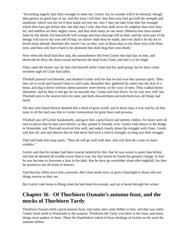"Exceeding eagerly hast thou wrought to meet me, Grettir, but no wonder will it be deemed, though thou gettest no good hap of me; and this must I tell thee, that thou now hast got half the strength and manhood, which was thy lot if thou hadst not met me: now I may not take from thee the strength which thou hast got before this; but that may I rule, that thou shalt never be mightier than now thou art; and nathless art thou mighty enow, and that shall many an one learn. Hitherto hast thou earned fame by thy deeds, but henceforth will wrongs and man-slayings fall on thee, and the most part of thy doings will turn to thy woe and ill-hap; an outlaw shalt thou be made, and ever shall it be thy lot to dwell alone abroad; therefore this weird I lay on thee, ever in those days to see these eyes with thine eyes, and thou wilt find it hard to be aloneand that shall drag thee unto death."

Now when the thrall had thus said, the astonishment fell from Grettir that had lain on him, and therewith he drew the short-sword and hewed the head from Glam, and laid it at his thigh.

Then came the farmer out; he had clad himself while Glam had his spell going, but he durst come nowhere nigh till Glam had fallen.

Thorhall praised God therefor, and thanked Grettir well for that he had won this unclean spirit. Then they set to work and burned Glam to cold coals, thereafter they gathered his ashes into the skin of a beast, and dug it down whereas sheep-pastures were fewest, or the ways of men. They walked home thereafter, and by then it had got far on towards day; Grettir laid him down, for he was very stiff: but Thorhall sent to the nearest farm for men, and both showed them and told them how all things had fared.

All men who heard thereof deemed this a deed of great worth, and in those days it was said by all that none in all the land was like to Grettir Asmundson for great heart and prowess.

Thorhall saw off Grettir handsomely, and gave him a good horse and seemly clothes, for those were all torn to pieces that he had worn before; so they parted in friendly wise. Grettir rode thence to the Ridge in Waterdale, and Thorvald received him well, and asked closely about the struggle with Glam. Grettir told him all, and said thereto that he had never had such a trial of strength, so long was their struggle.

Thorvald bade him keep quiet, "Then all will go well with thee, else wilt thou be a man of many troubles."

Grettir said that his temper had been nowise bettered by this, that he was worse to quiet than before, and that he deemed all trouble worse than it was; but that herein he found the greatest change, in that he was become so fearsome a man in the dark, that he durst go nowhither alone after nightfall, for then he seemed to see all kinds of horrors.

And that has fallen since into a proverb, that Glam lends eyes, or gives Glamsight to those who see things nowise as they are.

But Grettir rode home to Biarg when he had done his errands, and sat at home through the winter.

# **Chapter 36 - Of Thorbiorn Oxmain's autumn-feast, and the mocks of Thorbiorn Tardy**

Thorbiorn Oxmain held a great autumn feast, and many men came thither to him, and that was while Grettir fared north to Waterdale in the autumn; Thorbiorn the Tardy was there at the feast, and many things were spoken of there. There the Ramfirthers asked of those dealings of Grettir on the neck the summer before.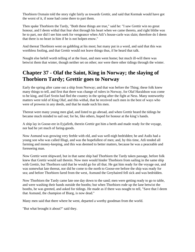Thorbiorn Oxmain told the story right fairly as towards Grettir, and said that Kormak would have got the worst of it, if none had come there to part them.

Then spake Thorbiorn the Tardy, "Both these things are true," said he: "I saw Grettir win no great honour, and I deem withal that fear shot through his heart when we came thereto, and right blithe was he to part, nor did I see him seek for vengeance when Atli's house-carle was slain; therefore do I deem that there is no heart in him if he is not holpen enow."

And thereat Thorbiorn went on gabbling at his most; but many put in a word, and said that this was worthless fooling, and that Grettir would not leave things thus, if he heard that talk.

Nought else befell worth telling of at the feast, and men went home; but much ill-will there was betwixt them that winter, though neither set on other; nor were there other tidings through the winter.

# **Chapter 37 - Olaf the Saint, King in Norway; the slaying of Thorbiorn Tardy; Grettir goes to Norway**

Early the spring after came out a ship from Norway; and that was before the Thing; these folk knew many things to tell, and first that there was change of rulers in Norway, for Olaf Haraldson was come to be king, and Earl Svein had fled the country in the spring after the fight at Ness. Many noteworthy matters were told of King Olaf, and this withal, that he received such men in the best of ways who were of prowess in any deeds, and that he made such his men.

Thereat were many young men glad, and listed to go abroad, and when Grettir heard the tidings he became much minded to sail out; for he, like others, hoped for honour at the king's hands.

A ship lay in Goose-ere in Eyjafirth, therein Grettir got him a berth and made ready for the voyage, nor had he yet much of faring-goods.

Now Asmund was growing very feeble with eld, and was well-nigh bedridden; he and Asdis had a young son who was called Illugi, and was the hopefullest of men; and, by this time, Atli tended all farming and money-keeping, and this was deemed to better matters, because he was a peaceable and foreseeing man.

Now Grettir went shipward, but in that same ship had Thorbiorn the Tardy taken passage, before folk knew that Grettir would sail therein. Now men would hinder Thorbiorn from sailing in the same ship with Grettir, but Thorbiorn said that he would go for all that. He gat him ready for the voyage out, and was somewhat late thereat, nor did he come to the north to Goose-ere before the ship was ready for sea; and before Thorbiorn fared from the west, Asmund the Greyhaired fell sick and was bedridden.

Now Thorbiorn the Tardy came late one day down to the sand; men were getting ready to go to table, and were washing their hands outside the booths; but when Thorbiorn rode up the lane betwixt the booths, he was greeted, and asked for tidings. He made as if there was nought to tell, "Save that I deem that Asmund, the champion of Biarg, is now dead."

Many men said that there where he went, departed a worthy goodman from the world.

"But what brought it about?" said they.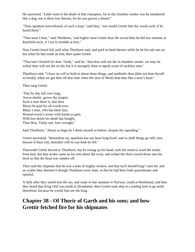He answered, "Little went to the death of that champion, for in the chamber smoke was he smothered like a dog; nor is there loss therein, for he was grown a dotard."

"Thou speakest marvellously of such a man," said they, "nor would Grettir like thy words well, if he heard them."

"That must I bear," said Thorbiorn, "and higher must Grettir bear the sword than he did last summer at Ramfirth-neck, if I am to tremble at him."

Now Grettir heard full well what Thorbiorn said, and paid no heed thereto while he let his tale run on; but when he had made an end, then spake Grettir

"That fate I foretell for thee, Tardy," said he, "that thou wilt not die in chamber smoke, yet may be withal thou wilt not die of eld; but it is strangely done to speak scorn of sackless men."

Thorbiorn said, "I have no will to hold in about these things, and methinks thou didst not bear thyself so briskly when we got thee off that time when the men of Meals beat thee like a neat's head."

Then sang Grettir

"Day by day full over long, Arrow-dealer, grows thy tongue; Such a man there is, that thou Mayst be paid for all words now; Many a man, who has been fain, Wound-worm's tower with hands to gain, With less deeds his death has bought, Than thou, Tardy-one, hast wrought."

Said Thorbiorn, "About as feign do I deem myself as before, despite thy squealing."

Grettir answered, "Heretofore my spaedom has not been long-lived, and so shall things go still; now beware if thou wilt, hereafter will no out-look be left."

Therewith Grettir hewed at Thorbiorn, but he swung up his hand, with the mind to ward the stroke from him, but that stroke came on his arm about the wrist, and withal the short-sword drave into his neck so that the head was smitten off.

Then said the chapmen that he was a man of mighty strokes, and that such should king's men be; and no scathe they deemed it though Thorbiorn were slain, in that he had been both quarrelsome and spiteful.

A little after they sailed into the sea, and came in late summer to Norway, south at Hordaland, and then they heard that King Olaf was north at Drontheim; then Grettir took ship in a trading keel to go north therefrom, because he would fain see the king.

#### **Chapter 38 - Of Thorir of Garth and his sons; and how Grettir fetched fire for his shipmates**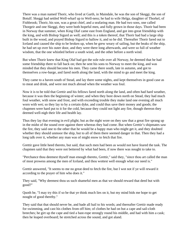There was a man named Thorir, who lived at Garth, in Maindale, he was the son of Skeggi, the son of Botulf. Skeggi had settled Well-wharf up to Well-ness; he had to wife Helga, daughter of Thorkel, of Fishbrook; Thorir, his son, was a great chief, and a seafaring man. He had two sons, one called Thorgeir and one Skeggi, they were both hopeful men, and fully grown in those days. Thorir had been in Norway that summer, when King Olaf came east from England, and got into great friendship with the king, and with Bishop Sigurd as well; and this is a token thereof, that Thorir had had a large ship built in the wood, and prayed Bishop Sigurd to hallow it, and so he did. Thereafter Thorir fared out to Iceland and caused the ship to be broken up, when he grew weary of sailing, but the beaks of the ship, he had set up over his outer door, and they were there long afterwards, and were so full of weather wisdom, that the one whistled before a south wind, and the other before a north wind.

But when Thorir knew that King Olaf had got the sole rule over all Norway, he deemed that he had some friendship there to fall back on; then he sent his sons to Norway to meet the king, and was minded that they should become his men. They came there south, late in autumn, and got to themselves a row-barge, and fared north along the land, with the mind to go and meet the king.

They came to a haven south of Stead, and lay there some nights, and kept themselves in good case as to meat and drink, and were not much abroad when the weather was foul.

Now it is to be told that Grettir and his fellows fared north along the land, and often had hard weather, because it was then the beginning of winter; and when they bore down north on Stead, they had much foul weather, with snow and frost, and with exceeding trouble they make land one evening all much worn with wet; so they lay to by a certain dyke, and could thus save their money and goods; the chapmen were hard put to it for the cold, because they could not light any fire, though thereon they deemed well-nigh their life and health lay.

Thus they lay that evening in evil plight; but as the night wore on they saw that a great fire sprang up in the midst of the sound over against there whereas they had come. But when Grettir's shipmates saw the fire, they said one to the other that he would be a happy man who might get it, and they doubted whether they should unmoor the ship, but to all of them there seemed danger in that. Then they had a long talk over it, whether any man was of might enow to fetch that fire.

Grettir gave little heed thereto, but said, that such men had been as would not have feared the task. The chapmen said that they were not bettered by what had been, if now there was nought to take to.

"Perchance thou deemest thyself man enough thereto, Grettir," said they, "since thou art called the man of most prowess among the men of Iceland, and thou wottest well enough what our need is."

Grettir answered, "It seems to me no great deed to fetch the fire, but I wot not if ye will reward it according to the prayer of him who does it."

They said, "Why deemest thou us such shameful men as that we should reward that deed but with good?"

Quoth he, "I may try this if so be that ye think much lies on it, but my mind bids me hope to get nought of good thereby."

They said that that should never be, and bade all hail to his words; and thereafter Grettir made ready for swimming, and cast his clothes from off him; of clothes he had on but a cape and sail-cloth breeches; he girt up the cape and tied a bast-rope strongly round his middle, and had with him a cask; then he leaped overboard; he stretched across the sound, and got aland.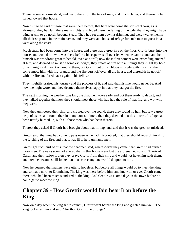There he saw a house stand, and heard therefrom the talk of men, and much clatter, and therewith he turned toward that house.

Now is it to be said of those that were there before, that here were come the sons of Thorir, as is aforesaid; they had lain there many nights, and bided there the falling of the gale, that they might have wind at will to go north, beyond Stead. They had set them down a-drinking, and were twelve men in all; their ship rode in the main haven, and they were at a house of refuge for such men to guest in, as went along the coast.

Much straw had been borne into the house, and there was a great fire on the floor; Grettir burst into the house, and wotted not who was there before; his cape was all over ice when he came aland, and he himself was wondrous great to behold, even as a troll; now those first comers were exceeding amazed at him, and deemed he must be some evil wight; they smote at him with all things they might lay hold of, and mighty din went on around them; but Grettir put off all blows strongly with his arms, then some smote him with fire-brands, and the fire burst off over all the house, and therewith he got off with the fire and fared back again to his fellows.

They mightily praised his journey and the prowess of it, and said that his like would never be. And now the night wore, and they deemed themselves happy in that they had got the fire.

The next morning the weather was fair; the chapmen woke early and got them ready to depart, and they talked together that now they should meet those who had had the rule of that fire, and wot who they were.

Now they unmoored their ship, and crossed over the sound; there they found no hall, but saw a great heap of ashes, and found therein many bones of men; then they deemed that this house of refuge had been utterly burned up, with all those men who had been therein.

Thereat they asked if Grettir had brought about that ill-hap, and said that it was the greatest misdeed.

Grettir said, that now had come to pass even as he had misdoubted, that they should reward him ill for the fetching of the fire, and that it was ill to help unmanly men.

Grettir got such hurt of this, that the chapmen said, wheresoever they came, that Grettir had burned those men. The news soon got abroad that in that house were lost the aforenamed sons of Thorir of Garth, and their fellows; then they drave Grettir from their ship and would not have him with them; and now he became so ill looked on that scarce any one would do good to him.

Now he deemed that matters were utterly hopeless, but before all things would go to meet the king, and so made north to Drontheim. The king was there before him, and knew all or ever Grettir came there, who had been much slandered to the king. And Grettir was some days in the town before he could get to meet the king.

#### **Chapter 39 - How Grettir would fain bear Iron before the King**

Now on a day when the king sat in council, Grettir went before the king and greeted him well. The king looked at him and said, "Art thou Grettir the Strong?"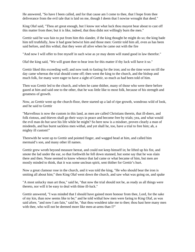He answered, "So have I been called, and for that cause am I come to thee, that I hope from thee deliverance from the evil tale that is laid on me, though I deem that I nowise wrought that deed."

King Olaf said, "Thou art great enough, but I know not what luck thou mayest bear about to cast off this matter from thee; but it is like, indeed, that thou didst not willingly burn the men."

Grettir said he was fain to put from him this slander, if the king thought he might do so; the king bade him tell truthfully, how it had gone betwixt him and those men: Grettir told him all, even as has been said before, and this withal, that they were all alive when he came out with the fire

"And now I will offer to free myself in such wise as ye may deem will stand good in law therefor."

Olaf the king said, "We will grant thee to bear iron for this matter if thy luck will have it so."

Grettir liked this exceeding well; and now took to fasting for the iron; and so the time wore on till the day came whereas the trial should come off; then went the king to the church, and the bishop and much folk, for many were eager to have a sight of Grettir, so much as had been told of him.

Then was Grettir led to the church, and when he came thither, many of those who were there before gazed at him and said one to the other, that he was little like to most folk, because of his strength and greatness of growth.

Now, as Grettir went up the church-floor, there started up a lad of ripe growth, wondrous wild of look, and he said to Grettir

"Marvellous is now the custom in this land, as men are called Christians therein, that ill-doers, and folk riotous, and thieves shall go their ways in peace and become free by trials; yea, and what would the evil man do but save his life while he might? So here now is a misdoer, proven clearly a man of misdeeds, and has burnt sackless men withal, and yet shall he, too, have a trial to free him; ah, a mighty ill custom!"

Therewith he went up to Grettir and pointed finger, and wagged head at him, and called him mermaid's son, and many other ill names.

Grettir grew wroth beyond measure hereat, and could not keep himself in; he lifted up his fist, and smote the lad under the ear, so that forthwith he fell down stunned, but some say that he was slain there and then. None seemed to know whence that lad came or what became of him, but men are mostly minded to think, that it was some unclean spirit, sent thither for Grettir's hurt.

Now a great clamour rose in the church, and it was told the king, "He who should bear the iron is smiting all about him;" then King Olaf went down the church, and saw what was going on, and spake

"A most unlucky man art thou," said he, "that now the trial should not be, as ready as all things were thereto, nor will it be easy to deal with thine ill-luck."

Grettir answered, "I was minded that I should have gained more honour from thee, Lord, for the sake of my kin, than now seems like to be;" and he told withal how men were faring to King Olaf, as was said afore, "and now I am fain," said he, "that thou wouldest take me to thee; thou hast here many men with thee, who will not be deemed more like men-at-arms than I?"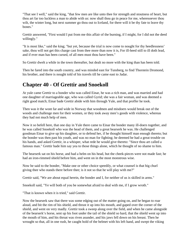"That see I well," said the king, "that few men are like unto thee for strength and stoutness of heart, but thou art far too luckless a man to abide with us: now shall thou go in peace for me, wheresoever thou wilt, the winter long, but next summer go thou out to Iceland, for there will it be thy fate to leave thy bones."

Grettir answered, "First would I put from me this affair of the burning, if I might, for I did not the deed willingly."

"It is most like," said the king; "but yet, because the trial is now come to nought for thy heedlessness' sake, thou will not get this charge cast from thee more than now it is, For ill-heed still to ill doth lead, and if ever man has been cursed, of all men must thou have been."

So Grettir dwelt a while in the town thereafter, but dealt no more with the king than has been told.

Then he fared into the south country, and was minded east for Tunsberg, to find Thorstein Dromond, his brother, and there is nought told of his travels till he came east to Jadar.

# **Chapter 40 - Of Grettir and Snoekoll**

At yule came Grettir to a bonder who was called Einar, he was a rich man, and was married and had one daughter of marriageable age, who was called Gyrid; she was a fair woman, and was deemed a right good match; Einar bade Grettir abide with him through Yule, and that proffer he took.

Then was it the wont far and wide in Norway that woodmen and misdoers would break out of the woods and challenge men for their women, or they took away men's goods with violence, whereas they had not much help of men.

Now it so befell here, that one day in Yule there came to Einar the bonder many ill-doers together, and he was called Snoekoll who was the head of them, and a great bearserk he was. He challenged goodman Einar to give up his daughter, or to defend her, if he thought himself man enough thereto; but the bonder was then past his youth, and was no man for fighting; he deemed he had a great trouble on his hands, and asked Grettir, in a whisper, what rede he would give thereto: "Since thou art called a famous man." Grettir bade him say yea to those things alone, which he thought of no shame to him.

The bearserk sat on his horse, and had a helm on his head, but the cheek-pieces were not made fast; he had an iron-rimmed shield before him, and went on in the most monstrous wise.

Now he said to the bonder, "Make one or other choice speedily, or what counsel is that big churl giving thee who stands there before thee; is it not so that he will play with me?"

Grettir said, "We are about equal herein, the bonder and I, for neither of us is skilled in arms."

Snoekoll said, "Ye will both of you be somewhat afraid to deal with me, if I grow wroth."

"That is known when it is tried," said Grettir.

Now the bearserk saw that there was some edging out of the matter going on, and he began to roar aloud, and bit the rim of his shield, and thrust it up into his mouth, and gaped over the corner of the shield, and went on very madly. Grettir took a sweep along over the field, and when he came alongside of the bearserk's horse, sent up his foot under the tail of the shield so hard, that the shield went up into the mouth of him, and his throat was riven asunder, and his jaws fell down on his breast. Then he wrought so that, all in one rush, he caught hold of the helmet with his left hand, and swept the viking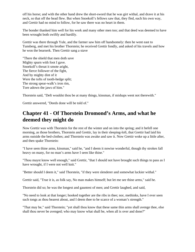off his horse; and with the other hand drew the short-sword that he was girt withal, and drave it at his neck, so that off the head flew. But when Snoekoll's fellows saw that, they fled, each his own way, and Grettir had no mind to follow, for he saw there was no heart in them.

The bonder thanked him well for his work and many other men too; and that deed was deemed to have been wrought both swiftly and hardily.

Grettir was there through Yule, and the farmer saw him off handsomely: then he went east to Tunsberg, and met his brother Thorstein; he received Grettir fondly, and asked of his travels and how he won the bearserk. Then Grettir sang a stave

"There the shield that men doth save Mighty spurn with foot I gave. Snoekoll's throat it smote aright, The fierce follower of the fight, And by mighty dint of it Were the tofts of tooth-hedge split; The strong spear-walk's iron rim, Tore adown the jaws of him."

Thorstein said, "Deft wouldst thou be at many things, kinsman, if mishaps went not therewith."

Grettir answered, "Deeds done will be told of."

#### **Chapter 41 - Of Thorstein Dromond's Arms, and what he deemed they might do**

Now Grettir was with Thorstein for the rest of the winter and on into the spring; and it befell one morning, as those brothers, Thorstein and Grettir, lay in their sleeping-loft, that Grettir had laid his arms outside the bed-clothes; and Thorstein was awake and saw it. Now Grettir woke up a little after, and then spake Thorstein:

"I have seen thine arms, kinsman," said he, "and I deem it nowise wonderful, though thy strokes fall heavy on many, for no man's arms have I seen like thine."

"Thou mayst know well enough," said Grettir, "that I should not have brought such things to pass as I have wrought, if I were not well knit."

"Better should I deem it," said Thorstein, "if they were slenderer and somewhat luckier withal."

Grettir said, "True it is, as folk say, No man makes himself; but let me see thine arms," said he.

Thorstein did so; he was the longest and gauntest of men; and Grettir laughed, and said,

"No need to look at that longer; hooked together are the ribs in thee; nor, methinks, have I ever seen such tongs as thou bearest about, and I deem thee to be scarce of a woman's strength."

"That may be," said Thorstein; "yet shall thou know that these same thin arms shall avenge thee, else shall thou never be avenged; who may know what shall be, when all is over and done?"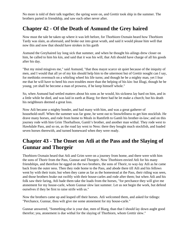No more is told of their talk together; the spring wore on, and Grettir took ship in the summer. The brothers parted in friendship, and saw each other never after.

## **Chapter 42 - Of the Death of Asmund the Grey haired**

Now must the tale be taken up where it was left before, for Thorbiorn Oxmain heard how Thorbiorn Tardy was slain, as aforesaid, and broke out into great wrath, and said it would please him well that now this and now that should have strokes in his garth

Asmund the Greyhaired lay long sick that summer, and when he thought his ailings drew closer on him, he called to him his kin, and said that it was his will, that Atli should have charge of all his goods after his day.

"But my mind misgives me," said Asmund, "that thou mayst scarce sit quiet because of the iniquity of men, and I would that all ye of my kin should help him to the uttermost but of Grettir nought can I say, for methinks overmuch on a whirling wheel his life turns; and though he be a mighty man, yet I fear me that he will have to heed his own troubles more than the helping of his kin: but Illugi, though he be young, yet shall he become a man of prowess, if he keep himself whole."

So, when Asmund had settled matters about his sons as he would, his sickness lay hard on him, and in a little while he died, and was laid in earth at Biarg; for there had he let make a church; but his death his neighbours deemed a great loss.

Now Atli became a mighty bonder, and had many with him, and was a great gatherer of household-stuff. When the summer was far gone, he went out to Snowfellness to get him stockfish. He drave many horses, and rode from home to Meals in Ramfirth to Gamli his brother-in-law; and on this journey rode with him Grim Thorhallson, Gamli's brother, and another man withal. They rode west to Hawkdale Pass, and so on, as the road lay west to Ness: there they bought much stockfish, and loaded seven horses therewith, and turned homeward when they were ready.

# **Chapter 43 - The Onset on Atli at the Pass and the Slaying of Gunnar and Thorgeir**

Thorbiorn Oxmain heard that Atli and Grim were on a journey from home, and there were with him the sons of Thorir from the Pass, Gunnar and Thorgeir. Now Thorbiorn envied Atli for his many friendships, and therefore he egged on the two brothers, the sons of Thorir, to way-lay Atli as he came back from the outer ness. Then they rode home to the Pass, and abode there till Atli and his fellows went by with their train; but when they came as far as the homestead at the Pass, their riding was seen, and those brothers brake out swiftly with their house-carles and rode after them; but when Atli and his folk saw their faring, Atli bade them take the loads from the horses, "for perchance they will give me atonement for my house-carle, whom Gunnar slew last summer. Let us not begin the work, but defend ourselves if they be first to raise strife with us."

Now the brothers came up and leaped off their horses. Atli welcomed them, and asked for tidings: "Perchance, Gunnar, thou wilt give me some atonement for my house-carle."

Gunnar answered, "Something else is your due, men of Biarg, than that I should lay down aught good therefor; yea, atonement is due withal for the slaying of Thorbiorn, whom Grettir slew."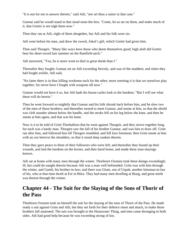"It is not for me to answer thereto," said Atli; "nor art thou a suitor in that case."

Gunnar said he would stand in that stead none-the-less. "Come, let us set on them, and make much of it, that Grettir is not nigh them now."

Then they ran at Atli, eight of them altogether, but Atli and his folk were six.

Atli went before his men, and drew the sword, Jokul's gift, which Grettir had given him.

Then said Thorgeir, "Many like ways have those who deem themselves good; high aloft did Grettir bear his short-sword last summer on the Ramfirth-neck."

Atli answered, "Yea, he is more wont to deal in great deeds than I."

Thereafter they fought; Gunnar set on Atli exceeding fiercely, and was of the maddest; and when they had fought awhile, Atli said,

"No fame there is in thus killing workmen each for the other; more seeming it is that we ourselves play together, for never have I fought with weapons till now."

Gunnar would not have it so, but Atli bade his house-carles look to the burdens; "But I will see what these will do herein."

Then he went forward so mightily that Gunnar and his folk shrunk back before him, and he slew two of the men of those brothers, and thereafter turned to meet Gunnar, and smote at him, so that the shield was cleft asunder almost below the handle, and the stroke fell on his leg below the knee, and then he smote at him again, and that was his bane.

Now is it to be told of Grim Thorhallson that he went against Thorgeir, and they strove together long, for each was a hardy man. Thorgeir saw the fall of his brother Gunnar, and was fain to draw off. Grim ran after him, and followed him till Thorgeir stumbled, and fell face foremost; then Grim smote at him with an axe betwixt the shoulders, so that it stood deep sunken therein.

Then they gave peace to three of their followers who were left; and thereafter they bound up their wounds, and laid the burdens on the horses, and then fared home, and made these man-slayings known.

Atli sat at home with many men through the winter. Thorbiorn Oxmain took these doings exceedingly ill, but could do naught therein because Atli was a man well befriended. Grim was with him through the winter, and Gamli, his brother-in-law; and there was Glum, son of Uspak, another kinsman-in-law of his, who at that time dwelt at Ere in Bitra. They had many men dwelling at Biarg, and great mirth was thereat through the winter.

## **Chapter 44 - The Suit for the Slaying of the Sons of Thorir of the Pass**

Thorbiorn Oxmain took on himself the suit for the slaying of the sons of Thorir of the Pass. He made ready a suit against Grim and Atli, but they set forth for their defence onset and attack, to make those brothers fall unatoned. The suit was brought to the Hunawater Thing, and men came thronging to both sides. Atli had good help because he was exceeding strong of kin.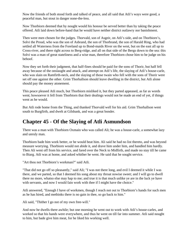Now the friends of both stood forth and talked of peace, and all said that Atli's ways were good, a peaceful man, but stout in danger none-the-less.

Now Thorbiorn deemed that by nought would his honour be served better than by taking the peace offered. Atli laid down before-hand that he would have neither district outlawry nor banishment.

Then were men chosen for the judges. Thorvald, son of Asgeir, on Atli's side, and on Thorbiorn's, Solvi the Proud, who was the son of Asbrand, the son of Thorbrand, the son of Harald Ring, who had settled all Waterness from the Foreland up to Bond-maids River on the west, but on the east all up to Cross-river, and there right across to Berg-ridge, and all on that side of the Bergs down to the sea: this Solvi was a man of great stateliness and a wise man, therefore Thorbiorn chose him to be judge on his behoof.

Now they set forth their judgment, that half-fines should be paid for the sons of Thorir, but half fell away because of the onslaught and attack, and attempt on Atli's life, the slaying of Atli's house-carle, who was slain on Ramfirth-neck, and the slaying of those twain who fell with the sons of Thorir were set off one against the other. Grim Thorhallson should leave dwelling in the district, but Atli alone should pay the money atonement.

This peace pleased Atli much, but Thorbiorn misliked it, but they parted appeased, as far as words went; howsoever it fell from Thorbiorn that their dealings would not be made an end of yet, if things went as he would.

But Atli rode home from the Thing, and thanked Thorvald well for his aid. Grim Thorhallson went south to Burgfirth, and dwelt at Gilsbank, and was a great bonder.

## **Chapter 45 - Of the Slaying of Atli Asmundson**

There was a man with Thorbiorn Oxmain who was called Ali; he was a house-carle, a somewhat lazy and unruly man.

Thorbiorn bade him work better, or he would beat him. Ali said he had no list thereto, and was beyond measure worrying. Thorbiorn would not abide it, and drave him under him, and handled him hardly. Then Ali went off from his service, and fared over the Neck to Midfirth, and made no stay till he came to Biarg. Atli was at home, and asked whither he went. He said that he sought service.

"Art thou not Thorbiorn's workman?" said Atli.

"That did not go off so pleasantly," said Ali; "I was not there long, and evil I deemed it while I was there, and we parted, so that I deemed his song about my throat nowise sweet; and I will go to dwell there no more, whatso else may hap to me; and true it is that much unlike ye are in the luck ye have with servants, and now I would fain work with thee if I might have the choice."

Atli answered, "Enough I have of workmen, though I reach not out to Thorbiorn's hands for such men as he has hired, and methinks there is no gain in thee, so go back to him."

Ali said, "Thither I go not of my own free-will."

And now he dwells there awhile; but one morning he went out to work with Atli's house-carles, and worked so that his hands were everywhere, and thus he went on till far into summer. Atli said nought to him, but bade give him meat, for he liked his working well.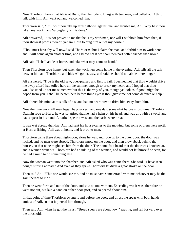Now Thorbiorn hears that Ali is at Biarg; then he rode to Biarg with two men, and called out Atli to talk with him. Atli went out and welcomed him.

Thorbiorn said, "Still wilt thou take up afresh ill-will against me, and trouble me, Atli. Why hast thou taken my workman? Wrongfully is this done."

Atli answered, "It is not proven to me that he is thy workman, nor will I withhold him from thee, if thou showest proofs thereof, yet am I loth to drag him out of my house."

"Thou must have thy will now," said Thorbiorn; "but I claim the man, and forbid him to work here; and I will come again another time, and I know not if we shall then part better friends than now."

Atli said, "I shall abide at home, and take what may come to hand."

Then Thorbiorn rode home; but when the workmen come home in the evening, Atli tells all the talk betwixt him and Thorbiorn, and bids Ali go his way, and said he should not abide there longer.

Ali answered, "True is the old saw, over-praised and first to fail. I deemed not that thou wouldst drive me away after I had toiled here all the summer enough to break my heart, and I hoped that thou wouldst stand up for me somehow; but this is the way of you, though ye look as if good might be hoped from you. I shall be beaten here before thine eyes if thou givest me not some defence or help."

Atli altered his mind at this talk of his, and had no heart now to drive him away from him.

Now the time wore, till men began hay-harvest, and one day, somewhat before midsummer, Thorbiorn Oxmain rode to Biarg, he was so attired that he had a helm on his head, and was girt with a sword, and had a spear in his hand. A barbed spear it was, and the barbs were broad.

It was wet abroad that day. Atli had sent his house-carles to the mowing, but some of them were north at Horn a-fishing. Atli was at home, and few other men.

Thorbiorn came there about high-noon; alone he was, and rode up to the outer door; the door was locked, and no men were abroad. Thorbiorn smote on the door, and then drew aback behind the houses, so that none might see him from the door. The home-folk heard that the door was knocked at, and a woman went out. Thorbiorn had an inkling of the woman, and would not let himself be seen, for he had a mind to do something else.

Now the woman went into the chamber, and Atli asked who was come there. She said, "I have seen nought stirring abroad." And even as they spake Thorbiorn let drive a great stroke on the door.

Then said Atli, "This one would see me, and he must have some errand with me, whatever may be the gain thereof to me."

Then he went forth and out of the door, and saw no one without. Exceeding wet it was, therefore he went not out, but laid a hand on either door-post, and so peered about him.

In that point of time Thorbiorn swung round before the door, and thrust the spear with both hands amidst of Atli, so that it pierced him through.

Then said Atli, when he got the thrust, "Broad spears are about now," says he, and fell forward over the threshold.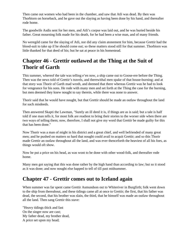Then came out women who had been in the chamber, and saw that Atli was dead. By then was Thorbiorn on horseback, and he gave out the slaying as having been done by his hand, and thereafter rode home.

The goodwife Asdis sent for her men, and Atli's corpse was laid out, and he was buried beside his father. Great mourning folk made for his death, for he had been a wise man, and of many friends.

No weregild came for the slaying of Atli, nor did any claim atonement for him, because Grettir had the blood-suit to take up if he should come out; so these matters stood still for that summer. Thorbiorn was little thanked for that deed of his; but he sat at peace in his homestead.

## **Chapter 46 - Grettir outlawed at the Thing at the Suit of Thorir of Garth**

This summer, whereof the tale was telling e'en now, a ship came out to Goose-ere before the Thing. Then was the news told of Grettir's travels, and therewithal men spake of that house-burning; and at that story was Thorir of Garth mad wroth, and deemed that there whereas Grettir was he had to look for vengeance for his sons. He rode with many men and set forth at the Thing the case for the burning, but men deemed they knew nought to say therein, while there was none to answer.

Thorir said that he would have nought, but that Grettir should be made an outlaw throughout the land for such misdeeds.

Then answered Skapti the Lawman, "Surely an ill deed it is, if things are as is said; but a tale is half told if one man tells it, for most folk are readiest to bring their stories to the worser side when there are two ways of telling them; now, therefore, I shall not give my word that Grettir be made guilty for this that has been done."

Now Thorir was a man of might in his district and a great chief, and well befriended of many great men; and he pushed on matters so hard that nought could avail to acquit Grettir; and so this Thorir made Grettir an outlaw throughout all the land, and was ever thenceforth the heaviest of all his foes, as things would oft show.

Now he put a price on his head, as was wont to be done with other wood-folk, and thereafter rode home.

Many men got saying that this was done rather by the high hand than according to law; but so it stood as it was done; and now nought else happed to tell of till past midsummer.

## **Chapter 47 - Grettir comes out to Iceland again**

When summer was far spent came Grettir Asmundson out to Whiteriver in Burgfirth; folk went down to the ship from thereabout, and these tidings came all at once to Grettir; the first, that his father was dead, the second, that his brother was slain, the third, that he himself was made an outlaw throughout all the land. Then sang Grettir this stave:

"Heavy tidings thick and fast On the singer now are cast; My father dead, my brother dead, A price set upon my head;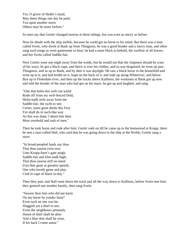Yet, O grove of Hedin's maid, May these things one day be paid; Yea upon another morn Others may be more forlorn."

So men say that Grettir changed nowise at these tidings, but was even as merry as before.

Now he abode with the ship awhile, because he could get no horse to his mind. But there was a man called Svein, who dwelt at Bank up from Thingness, he was a good bonder and a merry man, and often sang such songs as were gamesome to hear; he had a mare black to behold, the swiftest of all horses, and her Svein called Saddle-fair.

Now Grettir went one night away from the wolds, but he would not that the chapmen should be ware of his ways; he got a black cape, and threw it over his clothes, and so was disguised; he went up past Thingness, and so up to Bank, and by then it was daylight. He saw a black horse in the homefield and went up to it, and laid bridle on it, leapt on the back of it, and rode up along Whiteriver, and below Bye up to Flokedale-river, and then up the tracks above Kalfness; the workmen at Bank got up now and told the bonder of the man who had got on his mare; he got up and laughed, and sang

"One that helm-fire well can wield Rode off from my well-fenced field, Helm-stalk stole away from me Saddle-fair, the swift to see; Certes, more great deeds this Frey Yet shall do in such-like way As this was done; I deem him then Most overbold and rash of men."

Then he took horse and rode after him; Grettir rode on till he came up to the homestead at Kropp; there he met a man called Hall, who said that he was going down to the ship at the Wolds; Grettir sang a stave

"In broad-peopled lands say thou That thou sawest even now Unto Kropp-farm's gate anigh, Saddle-fair and Elm-stalk high; That thou sawest stiff on steed (Get thee gone at greatest speed), One who loveth game and play Clad in cape of black to-day."

Then they part, and Hall went down the track and all the way down to Kalfness, before Svein met him; they greeted one another hastily, then sang Svein

"Sawest thou him who did me harm On my horse by yonder farm? Even such an one was he, Sluggish yet a thief to see; From the neighbours presently Doom of thief shall he abye And a blue skin shall he wear, If his back I come anear."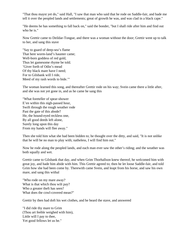"That thou mayst yet do," said Hall, "I saw that man who said that he rode on Saddle-fair, and bade me tell it over the peopled lands and settlements; great of growth he was, and was clad in a black cape."

"He deems he has something to fall back on," said the bonder, "but I shall ride after him and find out who he is."

Now Grettir came to Deildar-Tongue, and there was a woman without the door; Grettir went up to talk to her, and sang this stave

"Say to guard of deep-sea's flame That here worm-land's haunter came; Well-born goddess of red gold, Thus let gamesome rhyme be told. 'Giver forth of Odin's mead Of thy black mare have I need; For to Gilsbank will I ride, Meed of my rash words to bide.'"

The woman learned this song, and thereafter Grettir rode on his way; Svein came there a little after, and she was not yet gone in, and as he came he sang this

"What foreteller of spear-shower E'en within this nigh-passed hour, Swift through the rough weather rode Past the gate of this abode? He, the hound-eyed reckless one, By all good deeds left alone, Surely long upon this day From my hands will flee away."

Then she told him what she had been bidden to; he thought over the ditty, and said, "It is not unlike that he will be no man to play with; natheless, I will find him out."

Now he rode along the peopled lands, and each man ever saw the other's riding; and the weather was both squally and wet.

Grettir came to Gilsbank that day, and when Grim Thorhallson knew thereof, he welcomed him with great joy, and bade him abide with him. This Grettir agreed to; then he let loose Saddle-fair, and told Grim how she had been come by. Therewith came Svein, and leapt from his horse, and saw his own mare, and sang this withal

"Who rode on my mare away? What is that which thou wilt pay? Who a greater theft has seen? What does the cowl-covered mean?"

Grettir by then had doft his wet clothes, and he heard the stave, and answered

"I did ride thy mare to Grim (Thou art feeble weighed with him), Little will I pay to thee, Yet good fellows let us be."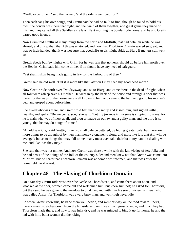"Well, so be it then," said the farmer, "and the ride is well paid for."

Then each sang his own songs, and Grettir said he had no fault to find, though he failed to hold his own; the bonder was there that night, and the twain of them together, and great game they made of this: and they called all this Saddle-fair's lays. Next morning the bonder rode home, and he and Grettir parted good friends.

Now Grim told Grettir of many things from the north and Midfirth, that had befallen while he was abroad, and this withal, that Atli was unatoned, and how that Thorbiorn Oxmain waxed so great, and was so high-handed, that it was not sure that goodwife Asdis might abide at Biarg if matters still went so.

Grettir abode but few nights with Grim, for he was fain that no news should go before him north over the Heaths. Grim bade him come thither if he should have any need of safeguard.

"Yet shall I shun being made guilty in law for the harbouring of thee."

Grettir said he did well. "But it is more like that later on I may need thy good deed more."

Now Grettir rode north over Twodaysway, and so to Biarg, and came there in the dead of night, when all folk were asleep save his mother. He went in by the back of the house and through a door that was there, for the ways of the house were well known to him, and came to the hall, and got to his mother's bed, and groped about before him.

She asked who was there, and Grettir told her; then she sat up and kissed him, and sighed withal, heavily, and spake, "Be welcome; son," she said, "but my joyance in my sons is slipping from me; for he is slain who was of most avail, and thou art made an outlaw and a guilty man, and the third is so young; that he may do nought for me."

"An old saw it is," said Grettir, "Even so shall bale be bettered, by biding greater bale; but there are more things to be thought of by men than money atonements alone, and most like it is that Atli will be avenged; but as to things that may fall to me, many must even take their lot at my hand in dealing with me, and like it as they may."

She said that was not unlike. And now Grettir was there a while with the knowledge of few folk; and he had news of the doings of the folk of the country-side; and men knew not that Grettir was come into Midfirth: but he heard that Thorbiorn Oxmain was at home with few men; and that was after the homefield hay-harvest.

## **Chapter 48 - The Slaying of Thorbiorn Oxmain**

On a fair day Grettir rode west over the Necks to Thorodstead, and came there about noon, and knocked at the door; women came out and welcomed him, but knew him not; he asked for Thorbiorn, but they said he was gone to the meadow to bind hay, and with him his son of sixteen winters, who was called Arnor; for Thorbiorn was a very busy man, and well-nigh never idle.

So when Grettir knew this, he bade them well betide, and went his way on the road toward Reeks, there a marsh stretches down from the hill-side, and on it was much grass to mow, and much hay had Thorbiorn made there, and now it was fully dry, and he was minded to bind it up for home, he and the lad with him, but a woman did the raking.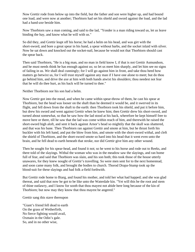Now Grettir rode from below up into the field, but the father and son were higher up, and had bound one load, and were now at another; Thorbiorn had set his shield and sword against the load, and the lad had a hand-axe beside him.

Now Thorbiorn saw a man coming, and said to the lad, "Yonder is a man riding toward us, let us leave binding the hay, and know what he will with us."

So did they, and Grettir leapt off his horse; he had a helm on his head, and was girt with the short-sword, and bore a great spear in his hand, a spear without barbs, and the socket inlaid with silver. Now he sat down and knocked out the socket-nail, because he would not that Thorbiorn should cast the spear back.

Then said Thorbiorn, "He is a big man, and no man in field know I, if that is not Grettir Asmundson, and he must needs think he has enough against us; so let us meet him sharply, and let him see no signs of failing in us. We shall deal cunningly; for I will go against him in front, and take thou heed how matters go betwixt us, for I will trust myself against any man if I have one alone to meet; but do thou go behind him, and drive the axe at him with both hands atwixt his shoulders; thou needest not fear that he will do thee hurt, as his back will be turned to thee."

Neither Thorbiorn nor his son had a helm.

Now Grettir got into the mead, and when he came within spear-throw of them, he cast his spear at Thorbiorn, but the head was looser on the shaft than he deemed it would be, and it swerved in its flight, and fell down from the shaft to the earth: then Thorbiorn took his shield, and put it before him, but drew his sword and went against Grettir when he knew him; then Grettir drew his short-sword, and turned about somewhat, so that he saw how the lad stood at his back, wherefore he kept himself free to move here or there, till he saw that the lad was come within reach of him, and therewith he raised the short-sword high aloft, and sent it back against Arnor's head so mightily that the skull was shattered, and that was his bane. Then Thorbiorn ran against Grettir and smote at him, but he thrust forth his buckler with his left hand, and put the blow from him, and smote with the short-sword withal, and cleft the shield of Thorbiorn, and the short-sword smote so hard into his head that it went even unto the brain, and he fell dead to earth beneath that stroke, nor did Grettir give him any other wound.

Then he sought for his spear-head, and found it not; so he went to his horse and rode out to Reeks, and there told of the slayings. Withal the woman who was in the meadow saw the slayings, and ran home full of fear, and said that Thorbiorn was slain, and his son both; this took those of the house utterly unawares, for they knew nought of Grettir's travelling. So were men sent for to the next homestead, and soon came many folk, and brought the bodies to church. Thorod Drapa-Stump took up the blood-suit for these slayings and had folk a-field forthwith.

But Grettir rode home to Biarg, and found his mother, and told her what had happed; and she was glad thereat, and said that now he got to be like unto the Waterdale kin. "Yet will this be the root and stem of thine outlawry, and I know for sooth that thou mayest not abide here long because of the kin of Thorbiorn; but now may they know that thou mayest be angered."

Grettir sang this stave thereupon

"Giant's friend fell dead to earth On the grass of Wetherfirth, No fierce fighting would avail, Oxmain in the Odin's gale. So, and in no other wise,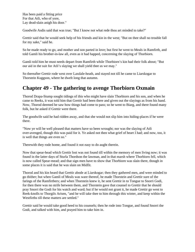Has been paid a fitting price For that Atli, who of yore, Lay dead-slain anigh his door."

Goodwife Asdis said that was true; "But I know not what rede thou art minded to take?"

Grettir said that he would seek help of his friends and kin in the west; "But on thee shall no trouble fall for my sake," said he.

So he made ready to go, and mother and son parted in love; but first he went to Meals in Ramfirth, and told Gamli his brother-in-law all, even as it had happed, concerning the slaying of Thorbiorn.

Gamli told him he must needs depart from Ramfirth while Thorbiorn's kin had their folk about; "But our aid in the suit for Atli's slaying we shall yield thee as we may."

So thereafter Grettir rode west over Laxdale-heath, and stayed not till he came to Liarskogar to Thorstein Kuggson, where he dwelt long that autumn.

## **Chapter 49 - The gathering to avenge Thorbiorn Oxmain**

Thorod Drapa-Stump sought tidings of this who might have slain Thorbiorn and his son, and when he came to Reeks, it was told him that Grettir had been there and given out the slayings as from his hand. Now, Thorod deemed he saw how things had come to pass; so he went to Biarg, and there found many folk, but he asked if Grettir were there.

The goodwife said he had ridden away, and that she would not slip him into hiding-places if he were there.

"Now ye will be well pleased that matters have so been wrought; nor was the slaying of Atli over-avenged, though this was paid for it. Ye asked not then what grief of heart I had; and now, too, it is well that things are even so."

Therewith they rode home, and found it not easy to do aught therein.

Now that spear-head which Grettir lost was not found till within the memory of men living now; it was found in the latter days of Sturla Thordson the lawman, and in that marsh where Thorbiorn fell, which is now called Spear-mead; and that sign men have to show that Thorbiorn was slain there, though in some places it is said that he was slain on Midfit.

Thorod and his kin heard that Grettir abode at Liarskogar; then they gathered men, and were minded to go thither; but when Gamli of Meals was ware thereof, he made Thorstein and Grettir sure of the farings of the Ramfirthers; and when Thorstein knew it, he sent Grettir in to Tongue to Snorri Godi, for then there was no strife between them, and Thorstein gave that counsel to Grettir that he should pray Snorri the Godi for his watch and ward; but if he would not grant it, he made Grettir go west to Reek-knolls to Thorgils Arisen, "and he will take thee to him through this winter, and keep within the Westfirths till these matters are settled."

Grettir said he would take good heed to his counsels; then he rode into Tongue, and found Snorri the Godi, and talked with him, and prayed him to take him in.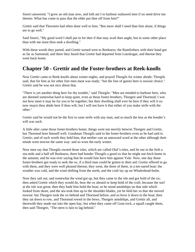Snorri answered, "I grow an old man now, and loth am I to harbour outlawed men if no need drive me thereto. What has come to pass that the elder put thee off from him?"

Grettir said that Thorstein had often done well to him; "But more shall I need than him alone, if things are to go well."

Said Snorri, "My good word I shall put in for thee if that may avail thee aught, but in some other place than with me must thou seek a dwelling."

With these words they parted, and Grettir turned west to Reekness; the Ramfirthers with their band got as far as Samstead, and there they heard that Grettir had departed from Liarskogar, and thereat they went back home.

#### **Chapter 50 - Grettir and the Foster-brothers at Reek-knolls**

Now Grettir came to Reek-knolls about winter-nights, and prayed Thorgils for winter abode; Thorgils said, that for him as for other free men meat was ready; "but the fare of guests here is nowise choice." Grettir said he was not nice about that.

"There is yet another thing here for thy trouble," said Thorgils: "Men are minded to harbour here, who are deemed somewhat hard to keep quiet, even as those foster-brothers, Thorgeir and Thormod; I wot not how meet it may be for you to be together; but their dwelling shall ever be here if they will it so: now mayst thou abide here if thou wilt, but I will not have it that either of you make strife with the other."

Grettir said he would not be the first to raise strife with any man, and so much the less as the bonder's will was such.

A little after came those foster-brothers home; things went not merrily betwixt Thorgeir and Grettir, but Thormod bore himself well. Goodman Thorgils said to the foster-brothers even as he had said to Grettir; and of such worth they held him, that neither cast an untoward word at the other although their minds went nowise the same way: and so wore the early winter.

Now men say that Thorgils owned those isles, which are called Olaf's-isles, and lie out in the firth a sea-mile and a half off Reekness; there had bonder Thorgils a good ox that he might not fetch home in the autumn; and he was ever saying that he would fain have him against Yule. Now, one day those foster-brothers got ready to seek the ox, if a third man could be gotten to their aid: Grettir offered to go with them, and they were well pleased thereat; they went, the three of them, in a ten-oared boat: the weather was cold, and the wind shifting from the north, and the craft lay up on Whaleshead-holm.

Now they sail out, and somewhat the wind got up, but they came to the isle and got hold of the ox; then asked Grettir which they would do, bear the ox aboard or keep hold of the craft, because the surf at the isle was great; then they bade him hold the boat; so he stood amidships on that side which looked from shore, and the sea took him up to the shoulder-blades, yet he held her so that she moved nowise: but Thorgeir took the ox behind and Thormod before, and so hove it down to the boat; then they sat down to row, and Thormod rowed in the bows, Thorgeir amidships, and Grettir aft, and therewith they made out into the open bay; but when they came off Goat-rock, a squall caught them, then said Thorgeir, "The stern is fain to lag behind."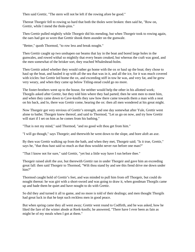Then said Grettir, "The stern will not be left if the rowing afore be good."

Thereat Thorgeir fell to rowing so hard that both the tholes were broken: then said he, "Row on, Grettir, while I mend the thole-pins."

Then Grettir pulled mightily while Thorgeir did his mending, but when Thorgeir took to rowing again, the oars had got so worn that Grettir shook them asunder on the gunwale.

"Better," quoth Thormod, "to row less and break nought."

Then Grettir caught up two unshapen oar beams that lay in the boat and bored large holes in the gunwales, and rowed withal so mightily that every beam creaked, but whereas the craft was good, and the men somewhat of the brisker sort, they reached Whaleshead-holm.

Then Grettir asked whether they would rather go home with the ox or haul up the boat; they chose to haul up the boat, and hauled it up with all the sea that was in it, and all the ice, for it was much covered with icicles: but Grettir led home the ox, and exceeding stiff in tow he was, and very fat, and he grew very weary, and when they came up below Titling-stead could go no more.

The foster-brothers went up to the house, for neither would help the other in his allotted work; Thorgils asked after Grettir, but they told him where they had parted; then he sent men to meet him, and when they came down to Cave-knolls they saw how there came towards them a man with a neat on his back, and lo, there was Grettir come, bearing the ox: then all men wondered at his great might.

Now Thorgeir got very envious of Grettir's strength, and one day somewhat after Yule, Grettir went alone to bathe; Thorgeir knew thereof, and said to Thormod, "Let us go on now, and try how Grettir will start if I set on him as he comes from his bathing."

"That is not my mind," said Thormod, "and no good wilt thou get from him."

"I will go though," says Thorgeir; and therewith he went down to the slope, and bore aloft an axe.

By then was Grettir walking up from the bath, and when they met, Thorgeir said; "Is it true, Grettir," says he, "that thou hast said so much as that thou wouldst never run before one man?"

"That I know not for sure," said Grettir, "yet but a little way have I run before thee."

Thorgeir raised aloft the axe, but therewith Grettir ran in under Thorgeir and gave him an exceeding great fall: then said Thorgeir to Thormod, "Wilt thou stand by and see this fiend drive me down under him?"

Thormod caught hold of Grettir's feet, and was minded to pull him from off Thorgeir, but could do nought thereat: he was girt with a short-sword and was going to draw it, when goodman Thorgils came up and bade them be quiet and have nought to do with Grettir.

So did they and turned it all to game, and no more is told of their dealings; and men thought Thorgils had great luck in that he kept such reckless men in good peace.

But when spring came they all went away; Grettir went round to Codfirth, and he was asked, how he liked the fare of the winter abode at Reek-knolls; he answered, "There have I ever been as fain as might be of my meals when I got at them."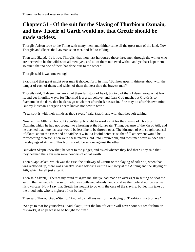# **Chapter 51 - Of the suit for the Slaying of Thorbiorn Oxmain, and how Thorir of Garth would not that Grettir should be made sackless.**

Thorgils Arison rode to the Thing with many men; and thither came all the great men of the land. Now Thorgils and Skapti the Lawman soon met, and fell to talking.

Then said Skapti, "Is it true, Thorgils, that thou hast harboured those three men through the winter who are deemed to be the wildest of all men; yea, and all of them outlawed withal, and yet hast kept them so quiet, that no one of them has done hurt to the other?"

Thorgils said it was true enough.

Skapti said that great might over men it showed forth in him; "But how goes it, thinkest thou, with the temper of each of them; and which of them thinkest thou the bravest man?"

Thorgils said, "I deem they are all of them full stout of heart; but two of them I deem know what fear is, and yet in unlike ways; for Thormod is a great believer and fears God much; but Grettir is so fearsome in the dark, that he dares go nowhither after dusk has set in, if he may do after his own mind. But my kinsman Thorgeir I deem knows not how to fear."

"Yea, so it is with their minds as thou sayest," said Skapti; and with that they left talking.

Now, at this Althing Thorod Drapa-Stump brought forward a suit for the slaying of Thorbiorn Oxmain, which he had not brought to a hearing at the Hunawater Thing, because of the kin of Atli, and he deemed that here his case would be less like to be thrown over. The kinsmen of Atli sought counsel of Skapti about the case; and he said he saw in it a lawful defence, so that full atonement would be forthcoming therefor. Then were these matters laid unto umpiredom, and most men were minded that the slayings of Atli and Thorbiorn should be set one against the other.

But when Skapti knew that, he went to the judges, and asked whence they had that? They said that they deemed the slain men were bonders of equal worth.

Then Skapti asked, which was the first, the outlawry of Grettir or the slaying of Atli? So, when that was reckoned up, there was a week's space betwixt Grettir's outlawry at the Althing and the slaying of Atli, which befell just after it.

Then said Skapti, "Thereof my mind misgave me, that ye had made an oversight in setting on foot the suit in that ye made him a suitor, who was outlawed already, and could neither defend nor prosecute his own case. Now I say that Grettir has nought to do with the case of the slaying, but let him take up the blood-suit, who is nighest of kin by law."

Then said Thorod Drapa-Stump, "And who shall answer for the slaying of Thorbiorn my brother?"

"See ye to that for yourselves," said Skapti; "but the kin of Grettir will never pour out fee for him or his works, if no peace is to be bought for him."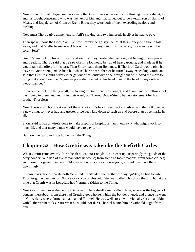Now when Thorvald Asgeirson was aware that Grettir was set aside from following the blood-suit, he and his sought concerning who was the next of kin; and that turned out to be Skeggi, son of Gamli of Meals, and Uspak, son of Glum of Ere in Bitra; they were both of them exceeding zealous and pushing.

Now must Thorod give atonement for Atli's slaying, and two hundreds in silver he had to pay.

Then spake Snorri the Godi, "Will ye now, Ramfirthers," says he, "that this money-fine should fall away, and that Grettir be made sackless withal, for in my mind it is that as a guilty man he will be sorely felt?"

Grettir's kin took up his word well, and said that they heeded the fee nought if he might have peace and freedom. Thorod said that he saw Grettir's lot would be full of heavy trouble, and made as if he would take the offer, for his part. Then Snorri bade them first know if Thorir of Garth would give his leave to Grettir being made free; but when Thorir heard thereof he turned away exceeding wroth, and said that Grettir should never either get out of his outlawry or be brought out of it: "And the more to bring that about," said he, "a greater price shall be put on his head than on the head of any outlaw or wood-man yet."

So, when he took the thing so ill, the freeing of Grettir came to nought, and Gamli and his fellows took the money to them, and kept it in their ward; but Thorod Drapa-Stump had no atonement for his brother Thorbiorn.

Now Thorir and Thorod set each of them on Grettir's head three marks of silver, and that folk deemed a new thing, for never had any greater price been laid down to such an end before than three marks in all.

Snorri said it was unwisely done to make a sport of keeping a man in outlawry who might work so much ill, and that many a man would have to pay for it.

But now men part and ride home from the Thing.

### **Chapter 52 - How Grettir was taken by the Icefirth Carles**

When Grettir came over Codfirth-heath down into Longdale, he swept up unsparingly the goods of the petty bonders, and had of every man what he would; from some he took weapons, from some clothes; and these folk gave up in very unlike ways; but as soon as he was gone, all said they gave them unwillingly.

In those days dwelt in Waterfirth Vermund the Slender, the brother of Slaying-Styr; he had to wife Thorbiorg, the daughter of Olaf Peacock, son of Hoskuld. She was called Thorbiorg the Big; but at the time that Grettir was in Longdale had Vermund ridden to the Thing.

Now Grettir went over the neck to Bathstead. There dwelt a man called Helgi, who was the biggest of bonders thereabout: from there had Grettir a good horse, which the bonder owned, and thence he went to Giorvidale, where farmed a man named Thorkel. He was well stored with victuals, yet a mannikin withal: therefrom took Grettir what he would, nor durst Thorkel blame him or withhold aught from him.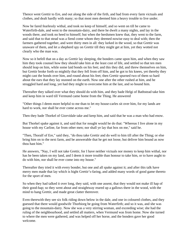Thence went Grettir to Ere, and out along the side of the firth, and had from every farm victuals and clothes, and dealt hardly with many; so that most men deemed him a heavy trouble to live under.

Now he fared fearlessly withal, and took no keep of himself, and so went on till he came to Waterfirth-dale, and went to the mountain-dairy, and there he dwelt a many nights, and lay in the woods there, and took no heed to himself; but when the herdsmen knew that, they went to the farm, and said that to that stead was a fiend come whom they deemed nowise easy to deal with; then the farmers gathered together, and were thirty men in all: they lurked in the wood, so that Grettir was unaware of them, and let a shepherd spy on Grettir till they might get at him, yet they wotted not clearly who the man was.

Now so it befell that on a day as Grettir lay sleeping, the bonders came upon him, and when they saw him they took counsel how they should take him at the least cost of life, and settled so that ten men should leap on him, while some laid bonds on his feet; and this they did, and threw themselves on him, but Grettir broke forth so mightily that they fell from off him, and he got to his knees, yet thereby they might cast the bonds over him, and round about his feet; then Grettir spurned two of them so hard about the ears that they lay stunned on the earth. Now one after the other rushed at him, and he struggled hard and long, yet had they might to overcome him at the last, and so bound him.

Thereafter they talked over what they should do with him, and they bade Helgi of Bathstead take him and keep him in ward till Vermund came home from the Thing. He answered

"Other things I deem more helpful to me than to let my house-carles sit over him, for my lands are hard to work, nor shall he ever come across me."

Then they bade Thorkel of Giorvidale take and keep him, and said that he was a man who had enow.

But Thorkel spake against it, and said that for nought would he do that: "Whereas I live alone in my house with my Carline, far from other men; nor shall ye lay that box on me," said he.

"Then, Thoralf of Ere," said they, "do thou take Grettir and do well to him till after the Thing; or else bring him on to the next farm, and be answerable that he get not loose, but deliver him bound as now thou hast him."

He answers, "Nay, I will not take Grettir, for I have neither victuals nor money to keep him withal, nor has he been taken on my land, and I deem it more trouble than honour to take him, or to have aught to do with him, nor shall he ever come into my house."

Thereafter they tried it with every bonder, but one and all spake against it; and after this talk have merry men made that lay which is hight Grettir's-faring, and added many words of good game thereto for the sport of men.

So when they had talked it over long, they said, with one assent, that they would not make ill hap of their good-hap; so they went about and straightway reared up a gallows there in the wood, with the mind to hang Grettir, and made great clatter thereover.

Even therewith they see six folk riding down below in the dale, and one in coloured clothes, and they guessed that there would goodwife Thorbiorg be going from Waterfirth; and so it was, and she was going to the mountain-dairy. Now she was a very stirring woman, and exceeding wise; she had the ruling of the neighbourhood, and settled all matters, when Vermund was from home. Now she turned to where the men were gathered, and was helped off her horse, and the bonders gave her good welcome.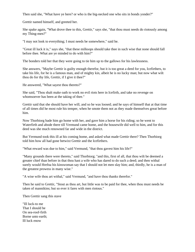Then said she, "What have ye here? or who is the big-necked one who sits in bonds yonder?"

Grettir named himself, and greeted her.

She spake again, "What drove thee to this, Grettir," says she, "that thou must needs do riotously among my Thing-men?"

"I may not look to everything; I must needs be somewhere," said he.

"Great ill luck it is," says she, "that these milksops should take thee in such wise that none should fall before thee. What are ye minded to do with him?"

The bonders told her that they were going to tie him up to the gallows for his lawlessness.

She answers, "Maybe Grettir is guilty enough therefor, but it is too great a deed for you, Icefirthers, to take his life, for he is a famous man, and of mighty kin, albeit he is no lucky man; but now what wilt thou do for thy life, Grettir, if I give it thee?"

He answered, "What sayest thou thereto?"

She said, "Thou shalt make oath to work no evil riots here in Icefirth, and take no revenge on whomsoever has been at the taking of thee."

Grettir said that she should have her will, and so he was loosed; and he says of himself that at that time of all times did he most rule his temper, when he smote them not as they made themselves great before him.

Now Thorbiorg bade him go home with her, and gave him a horse for his riding; so he went to Waterfirth and abode there till Vermund came home, and the housewife did well to him, and for this deed was she much renowned far and wide in the district.

But Vermund took this ill at his coming home, and asked what made Grettir there? Then Thorbiorg told him how all had gone betwixt Grettir and the Icefirthers.

"What reward was due to him," said Vermund, "that thou gavest him his life?"

"Many grounds there were thereto," said Thorbiorg; "and this, first of all, that thou wilt be deemed a greater chief than before in that thou hast a wife who has dared to do such a deed; and then withal surely would Hrefna his kinswoman say that I should not let men slay him; and, thirdly, he is a man of the greatest prowess in many wise."

"A wise wife thou art withal," said Vermund, "and have thou thanks therefor."

Then he said to Grettir, "Stout as thou art, but little was to be paid for thee, when thou must needs be taken of mannikins; but so ever it fares with men riotous."

Then Grettir sang this stave

"Ill luck-to me That I should be On sea-roof-firth Borne unto earth; Ill luck enow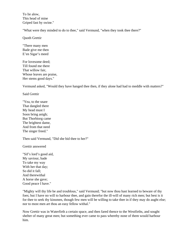To lie alow, This head of mine Griped fast by swine."

"What were they minded to do to thee," said Vermund, "when they took thee there?"

Quoth Grettir

"There many men Bade give me then E'en Sigar's meed

For lovesome deed; Till found me there That willow fair, Whose leaves are praise, Her stems good days."

Vermund asked, "Would they have hanged thee then, if they alone had had to meddle with matters?"

Said Grettir

"Yea, to the snare That dangled there My head must I Soon bring anigh; But Thorbiorg came The brightest dame, And from that need The singer freed."

Then said Vermund, "Did she bid thee to her?"

Grettir answered

"Sif's lord's good aid, My saviour, bade To take my way With her that day; So did it fall; And therewithal A horse she gave; Good peace I have."

"Mighty will thy life be and troublous," said Vermund; "but now thou hast learned to beware of thy foes; but I have no will to harbour thee, and gain therefor the ill-will of many rich men; but best is it for thee to seek thy kinsmen, though few men will be willing to take thee in if they may do aught else; nor to most men art thou an easy fellow withal."

Now Grettir was in Waterfirth a certain space, and then fared thence to the Westfirths, and sought shelter of many great men; but something ever came to pass whereby none of them would harbour him.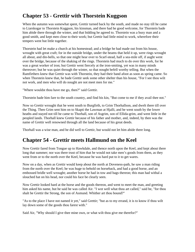# **Chapter 53 - Grettir with Thorstein Kuggson**

When the autumn was somewhat spent, Grettir turned back by the south, and made no stay till he came to Liarskogar to Thorstein Kuggson, his kinsman, and there had he good welcome, for Thorstein bade him abide there through the winter, and that bidding he agreed to. Thorstein was a busy man and a good smith, and kept men close to their work; but Grettir had little mind to work, wherefore their tempers went but little together.

Thorstein had let make a church at his homestead; and a bridge he had made out from his house, wrought with great craft; for in the outside bridge, under the beams that held it up, were rings wrought all about, and din-bells, so that one might hear over to Scarf-stead, half a sea-mile off, if aught went over the bridge, because of the shaking of the rings. Thorstein had much to do over this work, for he was a great worker of iron; but Grettir went fiercely at the iron-smiting, yet was in many minds thereover; but he was quiet through the winter, so that nought befell worthy telling. But when the Ramfirthers knew that Grettir was with Thorstein, they had their band afoot as soon as spring came. So when Thorstein knew that, he bade Grettir seek some other shelter than his house, "For I see thou wilt not work, and men who will do nought are not meet men for me."

"Where wouldst thou have me go, then?" said Grettir.

Thorstein bade him fare to the south country, and find his kin, "But come to me if they avail thee not."

Now so Grettir wrought that he went south to Burgfirth, to Grim Thorhallson, and dwelt there till over the Thing. Then Grim sent him on to Skapti the Lawman at Hjalli, and he went south by the lower heaths and stayed not till he came to Thorhall, son of Asgrim, son of Ellida-grim, and went little in the peopled lands. Thorhall knew Grettir because of his father and mother, and, indeed, by then was the name of Grettir well renowned through all the land because of his great deeds.

Thorhall was a wise man, and he did well to Grettir, but would not let him abide there long.

#### **Chapter 54 - Grettir meets Hallmund on the Keel**

Now Grettir fared from Tongue up to Hawkdale, and thence north upon the Keel, and kept about there long that summer; nor was there trust of him that he would not take men's goods from them, as they went from or to the north over the Keel, because he was hard put to it to get wares.

Now on a day, when as Grettir would keep about the north at Doveness-path, he saw a man riding from the north over the Keel; he was huge to behold on horseback, and had a good horse, and an embossed bridle well wrought; another horse he had in tow and bags thereon; this man had withal a slouched hat on his head, nor could his face be clearly seen.

Now Grettir looked hard at the horse and the goods thereon, and went to meet the man, and greeting him asked his name, but he said he was called Air. "I wot well what thou art called," said he, "for thou shalt be Grettir the Strong, the son of Asmund. Whither art thou bound?"

"As to the place I have not named it yet," said Grettir; "but as to my errand, it is to know if thou wilt lay down some of the goods thou farest with."

Said Air, "Why should I give thee mine own, or what wilt thou give me therefor?"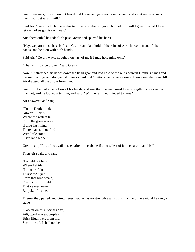Grettir answers, "Hast thou not heard that I take, and give no money again? and yet it seems to most men that I get what I will."

Said Air, "Give such choice as this to those who deem it good, but not thus will I give up what I have; let each of us go his own way."

And therewithal he rode forth past Grettir and spurred his horse.

"Nay, we part not so hastily," said Grettir, and laid hold of the reins of Air's horse in front of his hands, and held on with both hands.

Said Air, "Go thy ways, nought thou hast of me if I may hold mine own."

"That will now be proven," said Grettir.

Now Air stretched his hands down the head-gear and laid hold of the reins betwixt Grettir's hands and the snaffle-rings and dragged at them so hard that Grettir's hands were drawn down along the reins, till Air dragged all the bridle from him.

Grettir looked into the hollow of his hands, and saw that this man must have strength in claws rather than not, and he looked after him, and said, "Whither art thou minded to fare?"

Air answered and sang

"To the Kettle's side Now will I ride, Where the waters fall From the great ice-wall; If thou hast mind There mayest thou find With little stone Fist's land alone."

Grettir said, "It is of no avail to seek after thine abode if thou tellest of it no clearer than this."

Then Air spake and sang

"I would not hide Where I abide, If thou art fain To see me again; From that lone weald, Over Burgfirth field, That ye men name Balljokul, I came."

Thereat they parted, and Grettir sees that he has no strength against this man; and therewithal he sang a stave

"Too far on this luckless day, Atli, good at weapon-play, Brisk Illugi were from me; Such-like oft I shall not be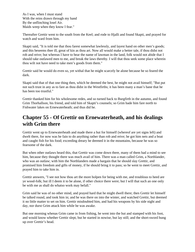As I was, when I must stand With the reins drawn through my hand By the unflinching losel Air. Maids weep when they know I fear."

Thereafter Grettir went to the south from the Keel; and rode to Hjalli and found Skapti, and prayed for watch and ward from him.

Skapti said, "It is told me that thou farest somewhat lawlessly, and layest hand on other men's goods; and this beseems thee ill, great of kin as thou art. Now all would make a better tale, if thou didst not rob and reive; but whereas I have to bear the name of lawman in the land, folk would not abide that I should take outlawed men to me, and break the laws thereby. I will that thou seek some place wherein thou wilt not have need to take men's goods from them."

Grettir said he would do even so, yet withal that he might scarcely be alone because he so feared the dark.

Skapti said that of that one thing then, which he deemed the best, he might not avail himself; "But put not such trust in any as to fare as thou didst in the Westfirths; it has been many a man's bane that he has been too trustful."

Grettir thanked him for his wholesome redes, and so turned back to Burgfirth in the autumn, and found Grim Thorhallson, his friend, and told him of Skapti's counsels; so Grim bade him fare north to Fishwater lakes on Ernewaterheath; and thus did he.

### **Chapter 55 - Of Grettir on Ernewaterheath, and his dealings with Grim there**

Grettir went up to Ernewaterheath and made there a hut for himself (whereof are yet signs left) and dwelt there, for now was he fain to do anything rather than rob and reive; he got him nets and a boat and caught fish for his food; exceeding dreary he deemed it in the mountains, because he was so fearsome of the dark.

But when other outlaws heard this, that Grettir was come down there, many of them had a mind to see him, because they thought there was much avail of him. There was a man called Grim, a Northlander, who was an outlaw; with him the Northlanders made a bargain that he should slay Grettir, and promised him freedom and gifts of money, if he should bring it to pass; so he went to meet Grettir, and prayed him to take him in.

Grettir answers, "I see not how thou art the more holpen for being with me, and troublous to heed are ye wood-folk; but ill I deem it to be alone, if other choice there were; but I will that such an one only be with me as shall do whatso work may befall."

Grim said he was of no other mind, and prayed hard that he might dwell there; then Grettir let himself be talked round, and took him in; and he was there on into the winter, and watched Grettir, but deemed it no little matter to set on him. Grettir misdoubted him, and had his weapons by his side night and day, nor durst Grim attack him while he was awake.

But one morning whenas Grim came in from fishing, he went into the hut and stamped with his foot, and would know whether Grettir slept, but he started in nowise, but lay still; and the short-sword hung up over Grettir's head.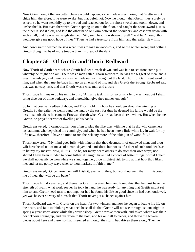Now Grim thought that no better chance would happen, so he made a great noise, that Grettir might chide him, therefore, if he were awake, but that befell not. Now he thought that Grettir must surely be asleep, so he went stealthily up to the bed and reached out for the short-sword, and took it down, and unsheathed it. But even therewith Grettir sprang up on to the floor, and caught the short-sword just as the other raised it aloft, and laid the other hand on Grim betwixt the shoulders, and cast him down with such a fall, that he was well-nigh stunned; "Ah, such hast thou shown thyself," said he, "though thou wouldest give me good hope of thee." Then he had a true story from him, and thereafter slew him.

And now Grettir deemed he saw what it was to take in wood-folk, and so the winter wore; and nothing Grettir thought to be of more trouble than his dread of the dark.

## **Chapter 56 - Of Grettir and Thorir Redbeard**

Now Thorir of Garth heard where Grettir had set himself down, and was fain to set afoot some plot whereby he might be slain. There was a man called Thorir Redbeard; he was the biggest of men, and a great man-slayer, and therefore was he made outlaw throughout the land. Thorir of Garth sent word to him, and when they met he bade him go on an errand of his, and slay Grettir the Strong. Redbeard said that was no easy task, and that Grettir was a wise man and a wary.

Thorir bade him make up his mind to this; "A manly task it is for so brisk a fellow as thou; but I shall bring thee out of thine outlawry, and therewithal give thee money enough."

So by that counsel Redbeard abode, and Thorir told him how he should go about the winning of Grettir. So thereafter he went round the land by the east, for thus he deemed his faring would be the less misdoubted; so he came to Ernewaterheath when Grettir had been there a winter. But when he met Grettir, he prayed for winter dwelling at his hands.

Grettir answered, "I cannot suffer you often to play the like play with me that he did who came here last autumn, who bepraised me cunningly, and when he had been here a little while lay in wait for my life; now, therefore, I have no mind to run the risk any more of the taking in of wood-folk."

Thorir answered, "My mind goes fully with thine in that thou deemest ill of outlawed men: and thou wilt have heard tell of me as of a man-slayer and a misdoer, but not as of a doer of such foul deeds as to betray my master. Now, ill it is ill to be, for many deem others to do after their own ways; nor should I have been minded to come hither, if I might have had a choice of better things; withal I deem we shall not easily be won while we stand together; thou mightest risk trying at first how thou likest me, and let me go my ways whenso thou markest ill faith in me."

Grettir answered, "Once more then will I risk it, even with thee; but wot thou well, that if I misdoubt me of thee, that will be thy bane."

Thorir bade him do even so, and thereafter Grettir received him, and found this, that he must have the strength of twain, what work soever he took in hand: he was ready for anything that Grettir might set him to, and Grettir need turn to nothing, nor had he found his life so good since he had been outlawed, yet was he ever so wary of himself that Thorir never got a chance against him.

Thorir Redbeard was with Grettir on the heath for two winters, and now he began to loathe his life on the heath, and falls to thinking what deed he shall do that Grettir will not see through; so one night in spring a great storm arose while they were asleep; Grettir awoke therewith, and asked where was their boat. Thorir sprang up, and ran down to the boat, and brake it all to pieces, and threw the broken pieces about here and there, so that it seemed as though the storm had driven them along. Then he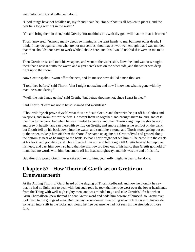went into the hut, and called out aloud,

"Good things have not befallen us, my friend," said he; "for our boat is all broken to pieces, and the nets lie a long way out in the water."

"Go and bring them in then," said Grettir, "for methinks it is with thy goodwill that the boat is broken."

Thorir answered, "Among manly deeds swimming is the least handy to me, but most other deeds, I think, I may do against men who are not marvellous; thou mayest wot well enough that I was minded that thou shouldst not have to work while I abode here, and this I would not bid if it were in me to do it."

Then Grettir arose and took his weapons, and went to the water-side. Now the land was so wrought there that a ness ran into the water, and a great creek was on the other side, and the water was deep right up to the shore.

Now Grettir spake: "Swim off to the nets, and let me see how skilled a man thou art."

"I told thee before," said Thorir, "that I might not swim; and now I know not what is gone with thy manliness and daring."

"Well, the nets I may get in," said Grettir, "but betray thou me not, since I trust in thee."

Said Thorir, "Deem me not to be so shamed and worthless."

"Thou wilt thyself prove thyself, what thou art," said Grettir, and therewith he put off his clothes and weapons, and swam off for the nets. He swept them up together, and brought them to land, and cast them on to the bank; but when he was minded to come aland, then Thorir caught up the short-sword and drew it hastily, and ran therewith swiftly on Grettir, and smote at him as he set foot on the bank; but Grettir fell on his back down into the water, and sank like a stone; and Thorir stood gazing out on to the water, to keep him off from the shore if he came up again; but Grettir dived and groped along the bottom as near as he might to the bank, so that Thorir might not see him till he came into the creek at his back, and got aland; and Thorir heeded him not, and felt nought till Grettir heaved him up over his head, and cast him down so hard that the short-sword flew out of his hand; then Grettir got hold of it and had no words with him, but smote off his head straightway, and this was the end of his life.

But after this would Grettir never take outlaws to him, yet hardly might he bear to be alone.

### **Chapter 57 - How Thorir of Garth set on Grettir on Ernewaterheath**

At the Althing Thorir of Garth heard of the slaying of Thorir Redbeard, and now he thought he saw that he had no light task to deal with; but such rede he took that he rode west over the lower heathlands from the Thing with well-nigh eighty men, and was minded to go and take Grettir's life: but when Grim Thorhallson knew thereof he sent Grettir word and bade him beware of himself, so Grettir ever took heed to the goings of men. But one day he saw many men riding who took the way to his abode; so he ran into a rift in the rocks, nor would he flee because he had not seen all the strength of those folk.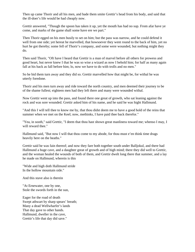Then up came Thorir and all his men, and bade them smite Grettir's head from his body, and said that the ill-doer's life would be had cheaply now.

Grettir answered, "Though the spoon has taken it up, yet the mouth has had no sup. From afar have ye come, and marks of the game shall some have ere we part."

Then Thorir egged on his men busily to set on him; but the pass was narrow, and he could defend it well from one side; yet hereat he marvelled, that howsoever they went round to the back of him, yet no hurt he got thereby; some fell of Thorir's company, and some were wounded, but nothing might they do.

Then said Thorir, "Oft have I heard that Grettir is a man of marvel before all others for prowess and good heart, but never knew I that he was so wise a wizard as now I behold him; for half as many again fall at his back as fall before him; lo, now we have to do with trolls and no men."

So he bid them turn away and they did so. Grettir marvelled how that might be, for withal he was utterly foredone.

Thorir and his men turn away and ride toward the north country, and men deemed their journey to be of the shame fullest; eighteen men had they left there and many were wounded withal.

Now Grettir went up into the pass, and found there one great of growth, who sat leaning against the rock and was sore wounded. Grettir asked him of his name, and he said he was hight Hallmund.

"And this I will tell thee to know me by, that thou didst deem me to have a good hold of the reins that summer when we met on the Keel; now, methinks, I have paid thee back therefor."

"Yea, in sooth," said Grettir, "I deem that thou hast shown great manliness toward me; whenso I may, I will reward thee."

Hallmund said, "But now I will that thou come to my abode, for thou must e'en think time drags heavily here on the heaths."

Grettir said he was fain thereof; and now they fare both together south under Balljokul, and there had Hallmund a huge cave, and a daughter great of growth and of high mind; there they did well to Grettir, and the woman healed the wounds of both of them, and Grettir dwelt long there that summer, and a lay he made on Hallmund, wherein is this

"Wide and high doth Hallmund stride In the hollow mountain side."

And this stave also is therein

"At Ernewater, one by one, Stole the swords forth in the sun,

Eager for the road of death Swept athwart by sharp spears' breath; Many a dead Wellwharfer's lands That day gave to other hands. Hallmund, dweller in the cave, Grettir's life that day did save."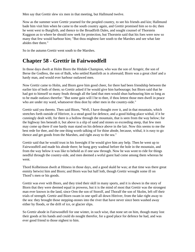Men say that Grettir slew six men in that meeting, but Hallmund twelve.

Now as the summer wore Grettir yearned for the peopled country, to see his friends and kin; Hallmund bade him visit him when he came to the south country again, and Grettir promised him so to do; then he went west to Burgfirth, and thence to the Broadfirth Dales, and sought counsel of Thorstein Kuggson as to where he should now seek for protection, but Thorstein said that his foes were now so many that few would harbour him; "But thou mightest fare south to the Marshes and see what fate abides thee there."

So in the autumn Grettir went south to the Marshes.

### **Chapter 58 - Grettir in Fairwoodfell**

In those days dwelt at Holm Biorn the Hitdale-Champion, who was the son of Arngeir, the son of Berse the Godless, the son of Balk, who settled Ramfirth as is aforesaid; Biorn was a great chief and a hardy man, and would ever harbour outlawed men.

Now Grettir came to Holm, and Biorn gave him good cheer, for there had been friendship between the earlier kin of both of them; so Grettir asked if he would give him harbourage; but Biorn said that he had got to himself so many feuds through all the land that men would shun harbouring him so long as to be made outlaws therefor: "But some gain will I be to thee, if thou lettest those men dwell in peace who are under my ward, whatsoever thou dost by other men in the country-side."

Grettir said yea thereto. Then said Biorn, "Well, I have thought over it, and in that mountain, which stretches forth outside of Hitriver, is a stead good for defence, and a good hiding-place withal, if it be cunningly dealt with; for there is a hollow through the mountain, that is seen from the way below; for the highway lies beneath it, but above is a slip of sand and stones so exceeding steep, that few men may come up there if one hardy man stand on his defence above in the lair. Now this seems to me the best rede for thee, and the one thing worth talking of for thine abode, because, withal, it is easy to go thence and get goods from the Marshes, and right away to the sea."

Grettir said that he would trust in his foresight if he would give him any help. Then he went up to Fairwoodfell and made his abode there; he hung grey wadmal before the hole in the mountain, and from the way below it was like to behold as if one saw through. Now he was wont to ride for things needful through the country-side, and men deemed a woful guest had come among them whereas he went.

Thord Kolbeinson dwelt at Hitness in those days, and a good skald he was; at that time was there great enmity betwixt him and Biorn; and Biorn was but half loth, though Grettir wrought some ill on Thord's men or his goods.

Grettir was ever with Biorn, and they tried their skill in many sports, and it is shown in the story of Biorn that they were deemed equal in prowess, but it is the mind of most that Grettir was the strongest man ever known in the land, since Orm the son of Storolf, and Thoralf the son of Skolm, left off their trials of strength. Grettir and Biorn swam in one spell all down Hitriver, from the lake right away to the sea: they brought those stepping-stones into the river that have never since been washed away either by floods, or the drift of ice, or glacier slips.

So Grettir abode in Fairwoodfell for one winter, in such wise, that none set on him, though many lost their goods at his hands and could do nought therefor, for a good place for defence he had, and was ever good friend to those nighest to him.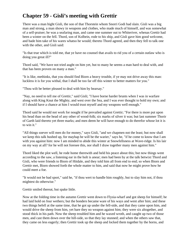# **Chapter 59 - Gisli's meeting with Grettir**

There was a man hight Gisli, the son of that Thorstein whom Snorri Godi had slain. Gisli was a big man and strong, a man showy in weapons and clothes, who made much of himself, and was somewhat of a self-praiser; he was a seafaring man, and came one summer out to Whiteriver, whenas Grettir had been a winter on the fell. Thord, son of Kolbein, rode to his ship, and Gisli gave him good welcome, and bade him take of his wares whatso he would; thereto Thord agreed, and then they fell to talk one with the other, and Gisli said:

"Is that true which is told me, that ye have no counsel that avails to rid you of a certain outlaw who is doing you great ill?"

Thord said, "We have not tried aught on him yet, but to many he seems a man hard to deal with, and that has been proven on many a man."

"It is like, methinks, that you should find Biorn a heavy trouble, if ye may not drive away this man: luckless it is for you withal, that I shall be too far off this winter to better matters for you."

"Thou wilt be better pleased to deal with him by hearsay."

"Nay, no need to tell me of Grettir," said Gisli; "I have borne harder brunts when I was in warfare along with King Knut the Mighty, and west over the Sea, and I was ever thought to hold my own; and if I should have a chance at him I would trust myself and my weapons well enough."

Thord said he would not work for nought if he prevailed against Grettir; "For there is more put upon his head than on the head of any other of wood-folk; six marks of silver it was; but last summer Thorir of Garth laid thereto yet three marks; and men deem he will have enough to do therefor whose lot it is to win it."

"All things soever will men do for money," says Gisli, "and we chapmen not the least; but now shall we keep this talk hushed up, for mayhap he will be the warier," says he, "if he come to know that I am with you against him: now I am minded to abide this winter at Snowfellsness at Wave-ridge. Is his lair on my way at all? for he will not foresee this, nor shall I draw together many men against him."

Thord liked the plot well, he rode home therewith and held his peace about this; but now things went according to the saw, a listening ear in the holt is anear; men had been by at the talk betwixt Thord and Gisli, who were friends to Biorn of Hitdale, and they told him all from end to end; so when Biorn and Grettir met, Biorn showed forth the whole matter to him, and said that now he might prove how he could meet a foe.

"It would not be bad sport," said he, "if thou wert to handle him roughly, but to slay him not, if thou mightest do otherwise."

Grettir smiled thereat, but spake little.

Now at the folding time in the autumn Grettir went down to Flysia-wharf and got sheep for himself; he had laid hold on four wethers; but the bonders became ware of his ways and went after him; and these two things befell at the same time, that he got up under the fell-side, and that they came upon him, and would drive the sheep from him, yet bare they no weapon against him; they were six altogether, and stood thick in his path. Now the sheep troubled him and he waxed wroth, and caught up two of those men, and cast them down over the hill-side, so that they lay stunned; and when the others saw that, they came on less eagerly; then Grettir took up the sheep and locked them together by the horns, and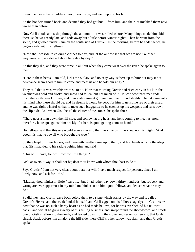threw them over his shoulders, two on each side, and went up into his lair.

So the bonders turned back, and deemed they had got but ill from him, and their lot misliked them now worse than before.

Now Gisli abode at his ship through the autumn till it was rolled ashore. Many things made him abide there, so he was ready late, and rode away but a little before winter-nights. Then he went from the south, and guested under Raun on the south side of Hitriver. In the morning, before he rode thence, he began a talk with his fellows:

"Now shall we ride in coloured clothes to-day, and let the outlaw see that we are not like other wayfarers who are drifted about here day by day."

So this they did, and they were three in all: but when they came west over the river, he spake again to them:

"Here in these bents, I am told, lurks the outlaw, and no easy way is there up to him; but may it not perchance seem good to him to come and meet us and behold our array?"

They said that it was ever his wont so to do. Now that morning Grettir had risen early in his lair; the weather was cold and frosty, and snow had fallen, but not much of it. He saw how three men rode from the south over Hitriver, and their state raiment glittered and their inlaid shields. Then it came into his mind who these should be, and he deems it would be good for him to get some rag of their array; and he was right wishful withal to meet such braggarts: so he catches up his weapons and runs down the slip-side. And when Gisli heard the clatter of the stones, he spake thus:

"There goes a man down the hill-side, and somewhat big he is, and he is coming to meet us: now, therefore, let us go against him briskly, for here is good getting come to hand."

His fellows said that this one would scarce run into their very hands, if he knew not his might; "And good it is that he bewail who brought the woe."

So they leapt off their horses, and therewith Grettir came up to them, and laid hands on a clothes-bag that Gisli had tied to his saddle behind him, and said

"This will I have, for oft I lowt for little things."

Gisli answers, "Nay, it shall not be; dost thou know with whom thou hast to do?"

Says Grettir, "I am not very clear about that; nor will I have much respect for persons, since I am lowly now, and ask for little."

"Mayhap thou thinkest it little," says he, "but I had rather pay down thirty hundreds; but robbery and wrong are ever uppermost in thy mind methinks; so on him, good fellows, and let see what he may do."

So did they, and Grettir gave back before them to a stone which stands by the way and is called Grettir's-Heave, and thence defended himself; and Gisli egged on his fellows eagerly; but Grettir saw now that he was no such a hardy heart as he had made believe, for he was ever behind his fellows' backs; and withal he grew aweary of this fulling business, and swept round the short-sword, and smote one of Gisli's fellows to the death, and leaped down from the stone, and set on so fiercely, that Gisli shrank aback before him all along the hill-side: there Gisli's other fellow was slain, and then Grettir spake: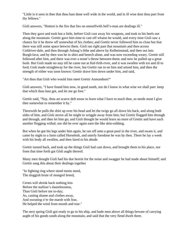"Little is it seen in thee that thou hast done well wide in the world, and in ill wise dost thou part from thy fellows."

Gisli answers, "Hottest is the fire that lies on oneselfwith hell's-man are dealings ill."

Then they gave and took but a little, before Gisli cast away his weapons, and took to his heels out along the mountain. Grettir gave him time to cast off whatso he would, and every time Gisli saw a chance for it he threw off somewhat of his clothes; and Grettir never followed him so close but that there was still some space betwixt them. Gisli ran right past that mountain and then across Coldriver-dale, and then through Aslaug's-lithe and above by Kolbeinstead, and then out into Burgh-lava; and by then was he in shirt and breech alone, and was now exceeding weary. Grettir still followed after him, and there was ever a stone's throw between them; and now he pulled up a great bush. But Gisli made no stay till he came out at Haf-firth-river, and it was swollen with ice and ill to ford; Gisli made straightway for the river, but Grettir ran in on him and seized him, and then the strength of either was soon known: Grettir drave him down under him, and said,

"Art thou that Gisli who would fain meet Grettir Asmundson?"

Gisli answers, "I have found him now, in good sooth, nor do I know in what wise we shall part: keep that which thou hast got, and let me go free."

Grettir said, "Nay, thou art scarce deft enow to learn what I have to teach thee, so needs must I give thee somewhat to remember it by."

Therewith he pulls the shirt up over his head and let the twigs go all down his back, and along both sides of him, and Gisli strove all he might to wriggle away from him; but Grettir flogged him through and through, and then let him go; and Gisli thought he would learn no more of Grettir and have such another flogging withal; nor did he ever again earn the like skin-rubbing.

But when he got his legs under him again, he ran off unto a great pool in the river, and swam it, and came by night to a farm called Horseholt, and utterly foredone he was by then. There he lay a week with his body all swollen, and then fared to his abode.

Grettir turned back, and took up the things Gisli had cast down, and brought them to his place, nor from that time forth gat Gisli aught thereof.

Many men thought Gisli had his due herein for the noise and swagger he had made about himself; and Grettir sang this about their dealings together

"In fighting ring where steed meets steed, The sluggish brute of mongrel breed,

Certes will shrink back nothing less Before the stallion's dauntlessness, Than Gisli before me to-day; As, casting shame and clothes away, And sweating o'er the marsh with fear, He helped the wind from mouth and rear."

The next spring Gisli got ready to go to his ship, and bade men above all things beware of carrying aught of his goods south along the mountain, and said that the very fiend dwelt there.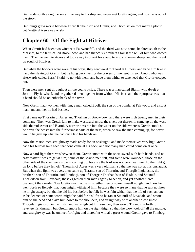Gisli rode south along the sea all the way to his ship, and never met Grettir again; and now he is out of the story.

But things grew worse between Thord Kolbeinson and Grettir, and Thord set on foot many a plot to get Grettir driven away or slain.

### **Chapter 60 - Of the Fight at Hitriver**

When Grettir had been two winters at Fairwoodfell, and the third was now come, he fared south to the Marshes, to the farm called Brook-bow, and had thence six wethers against the will of him who owned them. Then he went to Acres and took away two neat for slaughtering, and many sheep, and then went up south of Hitriver.

But when the bonders were ware of his ways, they sent word to Thord at Hitness, and bade him take in hand the slaying of Grettir; but he hung back, yet for the prayers of men got his son Arnor, who was afterwards called Earls' Skald, to go with them, and bade them withal to take heed that Grettir escaped not.

Then were men sent throughout all the country-side. There was a man called Biarni, who dwelt at Jorvi in Flysia-wharf, and he gathered men together from without Hitriver; and their purpose was that a band should be on either bank of the river.

Now Grettir had two men with him; a man called Eyolf, the son of the bonder at Fairwood, and a stout man; and another he had besides.

First came up Thorarin of Acres and Thorfinn of Brook-bow, and there were nigh twenty men in their company. Then was Grettir fain to make westward across the river, but therewith came up on the west side thereof Arnor and Biarni. A narrow ness ran into the water on the side whereas Grettir stood; so he drave the beasts into the furthermost parts of the ness, when he saw the men coming up, for never would he give up what he had once laid his hands on.

Now the Marsh-men straightway made ready for an onslaught, and made themselves very big; Grettir bade his fellows take heed that none came at his back; and not many men could come on at once.

Now a hard fight there was betwixt them, Grettir smote with the short-sword with both hands, and no easy matter it was to get at him; some of the Marsh-men fell, and some were wounded; those on the other side of the river were slow in coming up, because the ford was not very near, nor did the fight go on long before they fell off; Thorarin of Acres was a very old man, so that he was not at this onslaught. But when this fight was over, then came up Thrand, son of Thorarin, and Thorgils Ingialdson, the brother's son of Thorarin, and Finnbogi, son of Thorgeir Thorhaddson of Hitdale, and Steinulf Thorleifson from Lavadale; these egged on their men eagerly to set on, and yet another fierce onslaught they made. Now Grettir saw that he must either flee or spare himself nought; and now he went forth so fiercely that none might withstand him; because they were so many that he saw not how he might escape, but that he did his best before he fell; he was fain withal that the life of such an one as he deemed of some worth might be paid for his life; so he ran at Steinulf of Lavadale, and smote him on the head and clave him down to the shoulders, and straightway with another blow smote Thorgils Ingialdson in the midst and well-nigh cut him asunder; then would Thrand run forth to revenge his kinsman, but Grettir smote him on the right thigh, so that the blow took off all the muscle, and straightway was he unmeet for fight; and thereafter withal a great wound Grettir gave to Finnbogi.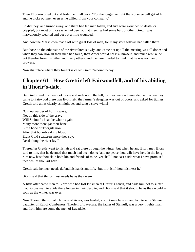Then Thorarin cried out and bade them fall back, "For the longer ye fight the worse ye will get of him, and he picks out men even as he willeth from your company."

So did they, and turned away; and there had ten men fallen, and five were wounded to death, or crippled, but most of those who had been at that meeting had some hurt or other; Grettir was marvellously wearied and yet but a little wounded.

And now the Marsh-men made off with great loss of men, for many stout fellows had fallen there.

But those on the other side of the river fared slowly, and came not up till the meeting was all done; and when they saw how ill their men had fared, then Arnor would not risk himself, and much rebuke he got therefor from his father and many others; and men are minded to think that he was no man of prowess.

Now that place where they fought is called Grettir's-point to-day.

### **Chapter 61 - How Grettir left Fairwoodfell, and of his abiding in Thorir's-dale.**

But Grettir and his men took horse and rode up to the fell, for they were all wounded, and when they came to Fairwood there was Eyolf left; the farmer's daughter was out of doors, and asked for tidings; Grettir told all as clearly as might be, and sang a stave withal

"O thou warder of horn's wave, Not on this side of the grave Will Steinulf s head be whole again; Many more there gat their bane; Little hope of Thorgils now After that bone-breaking blow: Eight Gold-scatterers more they say, Dead along the river lay."

Thereafter Grettir went to his lair and sat there through the winter; but when he and Biorn met, Biorn said to him, that he deemed that much had been done; "and no peace thou wilt have here in the long run: now hast thou slain both kin and friends of mine, yet shall I not cast aside what I have promised thee whiles thou art here."

Grettir said he must needs defend his hands and life, "but ill it is if thou mislikest it."

Biorn said that things must needs be as they were.

A little after came men to Biorn who had lost kinsmen at Grettir's hands, and bade him not to suffer that riotous man to abide there longer in their despite; and Biorn said that it should be as they would as soon as the winter was over.

Now Thrand, the son of Thorarin of Acres, was healed; a stout man he was, and had to wife Steinun, daughter of Rut of Combeness; Thorleif of Lavadale, the father of Steinulf, was a very mighty man, and from him are come the men of Lavadale.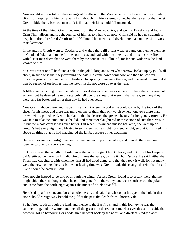Now nought more is told of the dealings of Grettir with the Marsh-men while he was on the mountain; Biorn still kept up his friendship with him, though his friends grew somewhat the fewer for that he let Grettir abide there, because men took it ill that their kin should fall unatoned.

At the time of the Thing, Grettir departed from the Marsh-country, and went to Burgfirth and found Grim Thorhallson, and sought counsel of him, as to what to do now. Grim said he had no strength to keep him, therefore fared Grettir to find Hallmund his friend, and dwelt there that summer till it wore to its latter end.

In the autumn Grettir went to Goatland, and waited there till bright weather came on; then he went up to Goatland Jokul, and made for the south-east, and had with him a kettle, and tools to strike fire withal. But men deem that he went there by the counsel of Hallmund, for far and wide was the land known of him.

So Grettir went on till he found a dale in the jokul, long and somewhat narrow, locked up by jokuls all about, in such wise that they overhung the dale. He came down somehow, and then he saw fair hill-sides grass-grown and set with bushes. Hot springs there were therein, and it seemed to him that it was by reason of earth-fires that the ice-cliffs did not close up over the vale.

A little river ran along down the dale, with level shores on either side thereof. There the sun came but seldom; but he deemed he might scarcely tell over the sheep that were in that valley, so many they were; and far better and fatter than any he had ever seen.

Now Grettir abode there, and made himself a hut of such wood as he could come by. He took of the sheep for his meat, and there was more on one of them than on two elsewhere: one ewe there was, brown with a polled head, with her lamb, that he deemed the greatest beauty for her goodly growth. He was fain to take the lamb, and so he did, and thereafter slaughtered it: three stone of suet there was in it, but the whole carcase was even better. But when Brownhead missed her lamb, she went up on Grettir's hut every night, and bleated in suchwise that he might not sleep anight, so that it misliked him above all things that he had slaughtered the lamb, because of her troubling.

But every evening at twilight he heard some one hoot up in the valley, and then all the sheep ran together to one fold every evening.

So Grettir says, that a half-troll ruled over the valley, a giant hight Thorir, and in trust of his keeping did Grettir abide there; by him did Grettir name the valley, calling it Thorir's-dale. He said withal that Thorir had daughters, with whom he himself had good game, and that they took it well, for not many were the new-comers thereto; but when fasting time was, Grettir made this change therein, that fat and livers should be eaten in Lent.

Now nought happed to be told of through the winter. At last Grettir found it so dreary there, that he might abide there no longer: then he gat him gone from the valley, and went south across the jokul, and came from the north, right against the midst of Shieldbroadfell.

He raised up a flat stone and bored a hole therein, and said that whoso put his eye to the hole in that stone should straightway behold the gulf of the pass that leads from Thorir's-vale.

So he fared south through the land, and thence to the Eastfirths; and in this journey he was that summer long, and the winter, and met all the great men there, but somewhat ever thrust him aside that nowhere got he harbouring or abode; then he went back by the north, and dwelt at sundry places.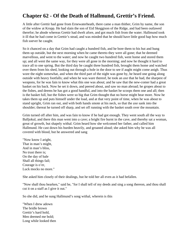# **Chapter 62 - Of the Death of Hallmund, Grettir's Friend.**

A little after Grettir had gone from Ernewaterheath, there came a man thither, Grim by name, the son of the widow at Kropp. He had slain the son of Eid Skeggison of the Ridge, and had been outlawed therefor; he abode whereas Grettir had dwelt afore, and got much fish from the water. Hallmund took it ill that he had come in Grettir's stead, and was minded that he should have little good hap how much fish soever he caught.

So it chanced on a day that Grim had caught a hundred fish, and he bore them to his hut and hung them up outside, but the next morning when he came thereto they were all gone; that he deemed marvellous, and went to the water; and now he caught two hundred fish, went home and stored them up; and all went the same way, for they were all gone in the morning; and now he thought it hard to trace all to one spring. But the third day he caught three hundred fish, brought them home and watched over them from his shed, looking out through a hole in the door to see if aught might come anigh. Thus wore the night somewhat, and when the third part of the night was gone by, he heard one going along outside with heavy footfalls; and when he was ware thereof, he took an axe that he had, the sharpest of weapons, for he was fain to know what this one was about; and he saw that the new-comer had a great basket on his back. Now he set it down, and peered about, and saw no man abroad; he gropes about to the fishes, and deems he has got a good handful, and into the basket he scoops them one and all; then is the basket full, but the fishes were so big that Grim thought that no horse might bear more. Now he takes them up and puts himself under the load, and at that very point of time, when he was about to stand upright, Grim ran out, and with both hands smote at his neck, so that the axe sank into the shoulder; thereat he turned off sharp, and set off running with the basket south over the mountain.

Grim turned off after him, and was fain to know if he had got enough. They went south all the way to Balljokul, and there this man went into a cave; a bright fire burnt in the cave, and thereby sat a woman, great of growth, but shapely withal. Grim heard how she welcomed her father, and called him Hallmund. He cast down his burden heavily, and groaned aloud; she asked him why he was all covered with blood, but he answered and sang

"Now know I aright, That in man's might, And in man's bliss, No trust there is; On the day of bale Shall all things fail; Courage is o'er, Luck mocks no more."

She asked him closely of their dealings, but he told her all even as it had befallen.

"Now shall thou hearken," said he, "for I shall tell of my deeds and sing a song thereon, and thou shall cut it on a staff as I give it out."

So she did, and he sung Hallmund's song withal, wherein is this

"When I drew adown The bridle brown Grettir's hard hold, Men deemed me bold; Long while looked then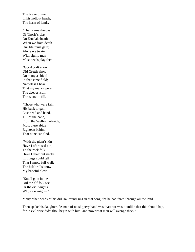The brave of men In his hollow hands, The harm of lands.

"Then came the day Of Thorir's play On Ernelakeheath, When we from death Our life must gain; Alone we twain With eighty men Must needs play then.

"Good craft enow Did Grettir show On many a shield In that same field; Natheless I hear That my marks were The deepest still; The worst to fill.

"Those who were fain His back to gain Lost head and hand, Till of the band, From the Well-wharf-side, Must there abide Eighteen behind That none can find.

"With the giant's kin Have I oft raised din; To the rock folk Have I dealt out stroke; Ill things could tell That I smote full well; The half-trolls know My baneful blow.

"Small gain in me Did the elf-folk see, Or the evil wights Who ride anights."

Many other deeds of his did Hallmund sing in that song, for he had fared through all the land.

Then spake his daughter, "A man of no slippery hand was that; nor was it unlike that this should hap, for in evil wise didst thou begin with him: and now what man will avenge thee?"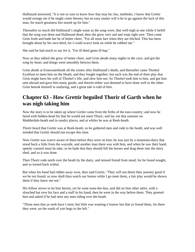Hallmund answered, "It is not so sure to know how that may be; but, methinks, I know that Grettir would avenge me if he might come thereto; but no easy matter will it be to go against the luck of this man, for much greatness lies stored up for him."

Thereafter so much did Hallmund's might wane as the song wore, that well-nigh at one while it befell that the song was done and Hallmund dead; then she grew very sad and wept right sore. Then came Grim forth and bade her be of better cheer, "For all must fare when they are fetched. This has been brought about by his own deed, for I could scarce look on while he robbed me."

She said he had much to say for it, "For ill deed gains ill hap."

Now as they talked she grew of better cheer, and Grim abode many nights in the cave, and got the song by heart, and things went smoothly betwixt them.

Grim abode at Ernewaterheath all the winter after Hallmund's death, and thereafter came Thorkel Eyulfson to meet him on the Heath, and they fought together; but such was the end of their play that Grim might have his will of Thorkel's life, and slew him not. So Thorkel took him to him, and got him sent abroad and gave him many goods; and therein either was deemed to have done well to the other. Grim betook himself to seafaring, and a great tale is told of him.

### **Chapter 63 - How Grettir beguiled Thorir of Garth when he was nigh taking him**

Now the story is to be taken up where Grettir came from the firths of the east-country; and now he fared with hidden-head for that he would not meet Thorir, and lay out that summer on Madderdale-heath and in sundry places, and at whiles he was at Reek-heath.

Thorir heard that Grettir was at Reek-heath, so he gathered men and rode to the heath, and was well minded that Grettir should not escape this time.

Now Grettir was scarce aware of them before they were on him; he was just by a mountain-dairy that stood back a little from the wayside, and another man there was with him, and when he saw their band, speedy counsel must he take; so he bade that they should fell the horses and drag them into the dairy shed, and so it was done.

Then Thorir rode north over the heath by the dairy, and missed friend from stead, for he found nought, and so turned back withal.

But when his band had ridden away west, then said Grettir, "They will not deem their journey good if we be not found; so now shall thou watch our horses while I go meet them, a fair play would be shown them if they knew me not."

His fellow strove to let him herein, yet he went none-the-less, and did on him other attire, with a slouched hat over his face and a staff in his hand, then he went in the way before them. They greeted him and asked if he had seen any men riding over the heath.

"Those men that ye seek have I seen; but little was wanting e'ennow but that ye found them, for there they were, on the south of yon bogs to the left."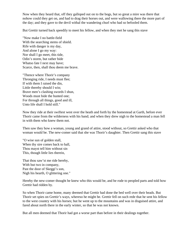Now when they heard that, off they galloped out on to the bogs, but so great a mire was there that nohow could they get on, and had to drag their horses out, and were wallowing there the more part of the day; and they gave to the devil withal the wandering churl who had so befooled them.

But Grettir turned back speedily to meet his fellow, and when they met he sang this stave

"Now make I no battle-field With the searching stems of shield. Rife with danger is my day, And alone I go my way: Nor shall I go meet, this tide, Odin's storm, but rather bide Whatso fate I next may have; Scarce, then, shall thou deem me brave.

"Thence where Thorir's company Thronging ride, I needs must flee; If with them I raised the din, Little thereby should I win; Brave men's clashing swords I shun, Woods must hide the hunted one; For through all things, good and ill, Unto life shall I hold still."

Now they ride at their swiftest west over the heath and forth by the homestead at Garth, before ever Thorir came from the wilderness with his band; and when they drew nigh to the homestead a man fell in with them who knew them not.

Then saw they how a woman, young and grand of attire, stood without, so Grettir asked who that woman would be. The new-comer said that she was Thorir's daughter. Then Grettir sang this stave

"O wise sun of golden stall, When thy sire comes back to hall. Thou mayst tell him without sin This, though little lies therein,

That thou saw'st me ride hereby, With but two in company, Past the door of Skeggi's son, Nigh his hearth, O glittering one."

Hereby the new-comer thought he knew who this would be, and he rode to peopled parts and told how Grettir had ridden by.

So when Thorir came home, many deemed that Grettir had done the bed well over their heads. But Thorir set spies on Grettir's ways, whereso he might be. Grettir fell on such rede that he sent his fellow to the west country with his horses; but he went up to the mountains and was in disguised attire, and fared about north there in the early winter, so that he was not known.

But all men deemed that Thorir had got a worse part than before in their dealings together.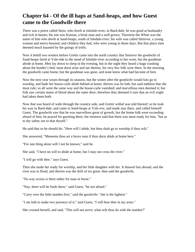### **Chapter 64 - Of the ill haps at Sand-heaps, and how Guest came to the Goodwife there**

There was a priest called Stein, who dwelt at Isledale-river, in Bard-dale; he was good at husbandry and rich in beasts; his son was Kiartan, a brisk man and a well grown. Thorstein the White was the name of him who dwelt at Sand-heaps, south of Isledale-river; his wife was called Steinvor, a young woman and merry-hearted, and children they had, who were young in those days. But that place men deemed much haunted by the goings of trolls.

Now it befell two winters before Grettir came into the north country that Steinvor the goodwife of Sand-heaps fared at Yule-tide to the stead of Isledale-river according to her wont, but the goodman abode at home. Men lay down to sleep in the evening, but in the night they heard a huge crashing about the bonder's bed; none durst arise and see thereto, for very few folk were there. In the morning the goodwife came home, but the goodman was gone, and none knew what had become of him.

Now the next year wears through its seasons, but the winter after the goodwife would fain go to worship, and bade her house-carle abide behind at home; thereto was he loth, but said nathless that she must rule; so all went the same way and the house-carle vanished; and marvellous men deemed it; but folk saw certain stains of blood about the outer door; therefore they deemed it sure that an evil wight had taken them both.

Now that was heard of wide through the country-side, and Grettir withal was told thereof; so he took his way to Bard-dale, and came to Sand-heaps at Yule-eve, and made stay there, and called himself Guest. The goodwife saw that he was marvellous great of growth, but the home-folk were exceeding afeard of him; he prayed for guesting there; the mistress said that there was meat ready for him, "but as to thy safety see to that thyself."

He said that so he should do: "Here will I abide, but thou shalt go to worship if thou wilt."

She answered, "Meseems thou art a brave man if thou durst abide at home here."

"For one thing alone will I not be known," said he.

She said, "I have no will to abide at home, but I may not cross the river."

"I will go with thee," says Guest.

Then she made her ready for worship, and her little daughter with her. It thawed fast abroad, and the river was in flood, and therein was the drift of ice great: then said the goodwife,

"No way across is there either for man or horse."

"Nay, there will be fords there," said Guest, "be not afeard."

"Carry over the little maiden first," said the goodwife; "she is the lightest."

"I am loth to make two journeys of it," said Guest, "I will bear thee in my arms."

She crossed herself, and said, "This will not serve; what wilt thou do with the maiden?"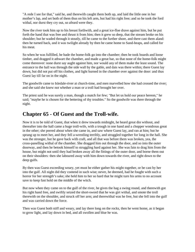"A rede I see for that," said he, and therewith caught them both up, and laid the little one in her mother's lap, and set both of them thus on his left arm, but had his right free; and so he took the ford withal, nor durst they cry out, so afeard were they.

Now the river took him up to his breast forthwith, and a great ice-floe drave against him, but he put forth the hand that was free and thrust it from him; then it grew so deep, that the stream broke on his shoulder; but he waded through it stoutly, till he came to the further shore, and there cast them aland: then he turned back, and it was twilight already by then he came home to Sand-heaps, and called for his meat.

So when he was fulfilled, he bade the home-folk go into the chamber; then he took boards and loose timber, and dragged it athwart the chamber, and made a great bar, so that none of the home-folk might come thereover: none durst say aught against him, nor would any of them make the least sound. The entrance to the hall was through the side wall by the gable, and dais was there within; there Guest lay down, but did not put off his clothes, and light burned in the chamber over against the door: and thus Guest lay till far on in the night.

The goodwife came to Isledale-river at church-time, and men marvelled how she had crossed the river; and she said she knew not whether a man or a troll had brought her over.

The priest said he was surely a man, though a match for few; "But let us hold our peace hereon," he said; "maybe he is chosen for the bettering of thy troubles." So the goodwife was there through the night.

#### **Chapter 65 - Of Guest and the Troll-wife.**

Now it is to be told of Guest, that when it drew towards midnight, he heard great din without, and thereafter into the hall came a huge troll-wife, with a trough in one hand and a chopper wondrous great in the other; she peered about when she came in, and saw where Guest lay, and ran at him; but he sprang up to meet her, and they fell a-wrestling terribly, and struggled together for long in the hall. She was the stronger, but he gave back with craft, and all that was before them was broken, yea, the cross-panelling withal of the chamber. She dragged him out through the door, and so into the outer doorway, and then he betook himself to struggling hard against her. She was fain to drag him from the house, but might not until they had broken away all the fittings of the outer door, and borne them out on their shoulders: then she laboured away with him down towards the river, and right down to the deep gulfs.

By then was Guest exceeding weary, yet must he either gather his might together, or be cast by her into the gulf. All night did they contend in such wise; never, he deemed, had he fought with such a horror for her strength's sake; she held him to her so hard that he might turn his arms to no account save to keep fast hold on the middle of the witch.

But now when they came on to the gulf of the river, he gives the hag a swing round, and therewith got his right hand free, and swiftly seized the short-sword that he was girt withal, and smote the troll therewith on the shoulder, and struck off her arm; and therewithal was he free, but she fell into the gulf and was carried down the force.

Then was Guest both stiff and weary, and lay there long on the rocks, then he went home, as it began to grow light, and lay down in bed, and all swollen and blue he was.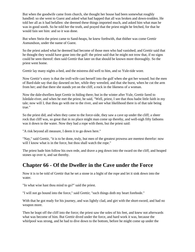But when the goodwife came from church, she thought her house had been somewhat roughly handled: so she went to Guest and asked what had happed that all was broken and down-trodden. He told her all as it had befallen: she deemed these things imported much, and asked him what man he was in good sooth. So he told her the truth, and prayed that the priest might be fetched, for that he would fain see him: and so it was done.

But when Stein the priest came to Sand-heaps, he knew forthwith, that thither was come Grettir Asmundson, under the name of Guest.

So the priest asked what he deemed had become of those men who had vanished; and Grettir said that he thought they would have gone into the gulf: the priest said that he might not trow that, if no signs could be seen thereof: then said Grettir that later on that should be known more thoroughly. So the priest went home.

Grettir lay many nights a-bed, and the mistress did well to him, and so Yule-tide wore.

Now Grettir's story is that the troll-wife cast herself into the gulf when she got her wound; but the men of Bard-dale say that day dawned on her, while they wrestled, and that she burst, when he cut the arm from her; and that there she stands yet on the cliff, a rock in the likeness of a woman.

Now the dale-dwellers kept Grettir in hiding there; but in the winter after Yule, Grettir fared to Isledale-river, and when he met the priest, he said, "Well, priest, I see that thou hadst little faith in my tale; now will I, that thou go with me to the river, and see what likelihood there is of that tale being true."

So the priest did; and when they came to the force-side, they saw a cave up under the cliff; a sheer rock that cliff was, so great that in no place might man come up thereby, and well-nigh fifty fathoms was it down to the water. Now they had a rope with them, but the priest said:

"A risk beyond all measure, I deem it to go down here."

"Nay," said Grettir, "it is to be done, truly, but men of the greatest prowess are meetest therefor: now will I know what is in the force, but thou shall watch the rope."

The priest bade him follow his own rede, and drave a peg down into the sward on the cliff, and heaped stones up over it, and sat thereby.

#### **Chapter 66 - Of the Dweller in the Cave under the Force**

Now it is to be told of Grettir that he set a stone in a bight of the rope and let it sink down into the water.

"In what wise hast thou mind to go?" said the priest.

"I will not go bound into the force," said Grettir; "such things doth my heart forebode."

With that he got ready for his journey, and was lightly clad, and girt with the short-sword, and had no weapon more.

Then he leapt off the cliff into the force; the priest saw the soles of his feet, and knew not afterwards what was become of him. But Grettir dived under the force, and hard work it was, because the whirlpool was strong, and he had to dive down to the bottom, before he might come up under the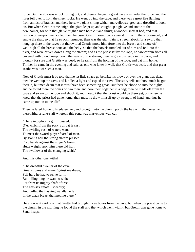force. But thereby was a rock jutting out, and thereon he gat; a great cave was under the force, and the river fell over it from the sheer rocks. He went up into the cave, and there was a great fire flaming from amidst of brands; and there he saw a giant sitting withal, marvellously great and dreadful to look on. But when Grettir came anigh, the giant leapt up and caught up a glaive and smote at the new-comer, for with that glaive might a man both cut and thrust; a wooden shaft it had, and that fashion of weapon men called then, heft-sax. Grettir hewed back against him with the short-sword, and smote the shaft so that he struck it asunder; then was the giant fain to stretch aback for a sword that hung up there in the cave; but therewithal Grettir smote him afore into the breast, and smote off well-nigh all the breast bone and the belly, so that the bowels tumbled out of him and fell into the river, and were driven down along the stream; and as the priest sat by the rope, he saw certain fibres all covered with blood swept down the swirls of the stream; then he grew unsteady in his place, and thought for sure that Grettir was dead, so he ran from the holding of the rope, and gat him home. Thither he came in the evening and said, as one who knew it well, that Grettir was dead, and that great scathe was it of such a man.

Now of Grettir must it be told that he let little space go betwixt his blows or ever the giant was dead; then he went up the cave, and kindled a light and espied the cave. The story tells not how much he got therein, but men deem that it must have been something great. But there he abode on into the night; and he found there the bones of two men, and bore them together in a bag; then he made off from the cave and swam to the rope and shook it, and thought that the priest would be there yet; but when he knew that the priest had gone home, then must he draw himself up by strength of hand, and thus he came up out on to the cliff.

Then he fared home to Isledale-river, and brought into the church porch the bag with the bones, and therewithal a rune-staff whereon this song was marvellous well cut

"There into gloomy gulf I passed, O'er which from the rock's throat is cast The swirling rush of waters wan, To meet the sword-player feared of man. By giant's hall the strong stream pressed Cold hands against the singer's breast; Huge weight upon him there did hurl The swallower of the changing whirl."

And this other one withal

"The dreadful dweller of the cave Great strokes and many 'gainst me drave; Full hard he had to strive for it, But toiling long he wan no whit; For from its mighty shaft of tree The heft-sax smote I speedily; And dulled the flashing war-flame fair In the black breast that met me there."

Herein was it said how that Grettir had brought those bones from the cave; but when the priest came to the church in the morning he found the staff and that which went with it, but Grettir was gone home to Sand-heaps.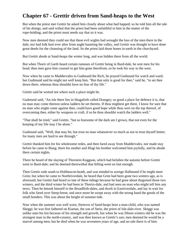### **Chapter 67 - Grettir driven from Sand-heaps to the West**

But when the priest met Grettir he asked him closely about what had happed; so he told him all the tale of his doings, and said withal that the priest had been unfaithful to him in the matter of the rope-holding; and the priest must needs say that so it was.

Now men deemed they could see that these evil wights had wrought the loss of the men there in the dale; nor had folk hurt ever after from aught haunting the valley, and Grettir was thought to have done great deeds for the cleansing of the land. So the priest laid those bones in earth in the churchyard.

But Grettir abode at Sand-heaps the winter long, and was hidden there from all the world.

But when Thorir of Garth heard certain rumours of Grettir being in Bard-dale, he sent men for his head; then men gave him counsel to get him gone therefrom, so he took his way to the west.

Now when he came to Maddervales to Gudmund the Rich, he prayed Gudmund for watch and ward; but Gudmund said he might not well keep him. "But that only is good for thee," said he, "to set thee down there, whereas thou shouldst have no fear of thy life."

Grettir said he wotted not where such a place might be.

Gudmund said, "An isle there lies in Skagafirth called Drangey; so good a place for defence it is, that no man may come thereon unless ladders be set thereto. If thou mightest get there, I know for sure that no man who might come against thee, could have good hope while thou wert on the top thereof, of overcoming thee, either by weapons or craft, if so be thou shouldst watch the ladders well."

"That shall be tried," said Grettir, "but so fearsome of the dark am I grown, that not even for the keeping of my life may I be alone."

Gudmund said, "Well, that may be; but trust no man whatsoever so much as not to trust thyself better; for many men are hard to see through."

Grettir thanked him for his wholesome redes, and then fared away from Maddervales, nor made stay before he came to Biarg; there his mother and Illugi his brother welcomed him joyfully, and he abode there certain nights.

There he heard of the slaying of Thorstein Kuggson, which had befallen the autumn before Grettir went to Bard-dale; and he deemed therewithal that felling went on fast enough.

Then Grettir rode south to Holtbeacon-heath, and was minded to avenge Hallmund if he might meet Grim; but when he came to Northriverdale, he heard that Grim had been gone two winters ago, as is aforesaid; but Grettir had heard so late of these tidings because he had gone about disguised those two winters, and the third winter he had been in Thorirs-dale, and had seen no man who might tell him any news. Then he betook himself to the Broadfirth-dales, and dwelt in Eastriverdale, and lay in wait for folk who fared over Steep-brent; and once more he swept away with the strong hand the goods of the small bonders. This was about the height of summer-tide.

Now when the summer was well worn, Steinvor of Sand-heaps bore a man-child, who was named Skeggi; he was first fathered on Kiartan, the son of Stein, the priest of Isle-dale-river. Skeggi was unlike unto his kin because of his strength and growth, but when he was fifteen winters old he was the strongest man in the north-country, and was then known as Grettir's son; men deemed he would be a marvel among men, but he died when he was seventeen years of age, and no tale there is of him.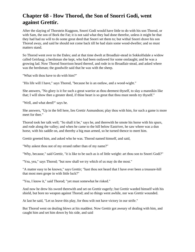## **Chapter 68 - How Thorod, the Son of Snorri Godi, went against Grettir.**

After the slaying of Thorstein Kuggson, Snorri Godi would have little to do with his son Thorod, or with Sam, the son of Bork the Fat; it is not said what they had done therefor, unless it might be that they had had no will to do some great deed that Snorri set them to; but withal Snorri drave his son Thorod away, and said he should not come back till he had slain some wood-dweller; and so must matters stand.

So Thorod went over to the Dales; and at that time dwelt at Broadlair-stead in Sokkolfsdale a widow called Geirlaug; a herdsman she kept, who had been outlawed for some onslaught; and he was a growing lad. Now Thorod Snorrison heard thereof, and rode in to Broadlair-stead, and asked where was the herdsman; the goodwife said that he was with the sheep.

"What wilt thou have to do with him?"

"His life will I have," says Thorod, "because he is an outlaw, and a wood-wight."

She answers, "No glory is it for such a great warrior as thou deemest thyself, to slay a mannikin like that; I will show thee a greater deed, if thine heart is so great that thou must needs try thyself."

"Well, and what deed?" says he.

She answers, "Up in the fell here, lies Grettir Asmundson; play thou with him, for such a game is more meet for thee."

Thorod took her talk well; "So shall it be," says he, and therewith he smote his horse with his spurs, and rode along the valley; and when he came to the hill below Eastriver, he saw where was a dun horse, with his saddle on, and thereby a big man armed, so he turned thence to meet him.

Grettir greeted him, and asked who he was. Thorod named himself, and said,

"Why askest thou not of my errand rather than of my name?"

"Why, because," said Grettir, "it is like to be such as is of little weight: art thou son to Snorri Godi?"

"Yea, yea," says Thorod; "but now shall we try which of us may do the most."

"A matter easy to be known," says Grettir; "hast thou not heard that I have ever been a treasure-hill that most men grope in with little luck?"

"Yea, I know it," said Thorod; "yet must somewhat be risked."

And now he drew his sword therewith and set on Grettir eagerly; but Grettir warded himself with his shield, but bore no weapon against Thorod; and so things went awhile, nor was Grettir wounded.

At last he said, "Let us leave this play, for thou wilt not have victory in our strife."

But Thorod went on dealing blows at his maddest. Now Grettir got aweary of dealing with him, and caught him and set him down by his side, and said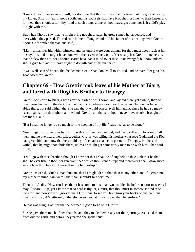"I may do with thee even as I will, nor do I fear that thou wilt ever be my bane; but the grey old carle, thy father, Snorri, I fear in good sooth, and his counsels that have brought most men to their knees: and for thee, thou shouldst turn thy mind to such things alone as thou mayst get done, nor is it child's play to fight with me."

But when Thorod saw that he might bring nought to pass, he grew somewhat appeased, and therewithal they parted. Thorod rode home to Tongue and told his father of his dealings with Grettir. Snorri Godi smiled thereat, and said,

"Many a man lies hid within himself, and far unlike were your doings; for thou must needs rush at him to slay him, and he might have done with thee even as he would. Yet wisely has Grettir done herein, that he slew thee not; for I should scarce have had a mind to let thee lie unavenged; but now indeed shall I give him aid, if I have aught to do with any of his matters."

It was well seen of Snorri, that he deemed Grettir had done well to Thorod, and he ever after gave his good word for Grettir.

### **Chapter 69 - How Grettir took leave of his Mother at Biarg, and fared with Illugi his Brother to Drangey**

Grettir rode north to Biarg a little after he parted with Thorod, and lay hid there yet awhile; then so great grew his fear in the dark, that he durst go nowhere as soon as dusk set in. His mother bade him abide there, but said withal, that she saw that it would scarce avail him aught, since he had so many cases against him throughout all the land. Grettir said that she should never have trouble brought on her for his sake.

"But I shall no longer do so much for the keeping of my life," says he, "as to be alone."

Now Illugi his brother was by that time about fifteen winters old, and the goodliest to look on of all men; and he overheard their talk together. Grettir was telling his mother what rede Gudmund the Rich had given him, and now that he should try, if he had a chance, to get out to Drangey, but he said withal, that he might not abide there, unless he might get some trusty man to be with him. Then said Illugi,

"I will go with thee, brother, though I know not that I shall be of any help to thee, unless it be that I shall be ever true to thee, nor run from thee whiles thou standest up; and moreover I shall know more surely how thou farest if I am still in thy fellowship."

Grettir answered, "Such a man thou art, that I am gladder in thee than in any other; and if it cross not my mother's mind, fain were I that thou shouldst fare with me."

Then said Asdis, "Now can I see that it has come to this, that two troubles lie before us: for meseems I may ill spare Illugi, yet I know that so hard is thy lot, Grettir, that thou must in somewise find rede therefor: and howsoever it grieves me, O my sons, to see you both turn your backs on me, yet thus much will I do, if Grettir might thereby be somewhat more holpen than heretofore."

Hereat was Illugi glad, for that he deemed it good to go with Grettir.

So she gave them much of her chattels, and they made them ready for their journey. Asdis led them from out the garth, and before they parted she spake thus: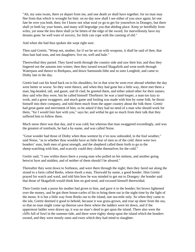"Ah, my sons twain, there ye depart from me, and one death ye shall have together; for no man may flee from that which is wrought for him: on no day now shall I see either of you once again; let one fate be over you both, then; for I know not what weal ye go to get for yourselves in Drangey, but there shall ye both lay your bones, and many will begrudge you that abiding place. Keep ye heedfully from wiles, yet none the less there shall ye be bitten of the edge of the sword, for marvellously have my dreams gone: be well ware of sorcery, for little can cope with the cunning of eld."

And when she had thus spoken she wept right sore.

Then said Grettir, "Weep not, mother, for if we be set on with weapons, it shall be said of thee, that thou hast had sons, and not daughters: live on, well and hale."

Therewithal they parted. They fared north through the country side and saw their kin; and thus they lingered out the autumn into winter; then they turned toward Skagafirth and went north through Waterpass and thence to Reekpass, and down Saemunds-lithe and so unto Longholt, and came to Dinby late in the day.

Grettir had cast his hood back on to his shoulders, for in that wise he went ever abroad whether the day were better or worse. So they went thence, and when they had gone but a little way, there met them a man, big-headed, tall, and gaunt, and ill clad; he greeted them, and either asked other for their names; they said who they were, but he called himself Thorbiorn: he was a land-louper, a man too lazy to work, and a great swaggerer, and much game and fooling was made with him by some folk: he thrust himself into their company, and told them much from the upper country about the folk there. Grettir had great game and merriment of him; so he asked if they had no need of a man who should work for them, "for I would fain fare with you," says he; and withal he got so much from their talk that they suffered him to follow them.

Much snow there was that day, and it was cold; but whereas that man swaggered exceedingly, and was the greatest of tomfools, he had a by-name, and was called Noise.

"Great wonder had those of Dinby when thou wentest by e'en now unhooded, in the foul weather," said Noise, "as to whether thou wouldst have as little fear of men as of the cold: there were two bonders' sons, both men of great strength, and the shepherd called them forth to go to the sheep-watching with him, and scarcely could they clothe themselves for the cold."

Grettir said, "I saw within doors there a young man who pulled on his mittens, and another going betwixt byre and midden, and of neither of them should I be afeared."

Thereafter they went down to Sorbness, and were there through the night; then they fared out along the strand to a farm called Reeks, where dwelt a man, Thorwald by name, a good bonder. Him Grettir prayed for watch and ward, and told him how he was minded to get out to Drangey: the bonder said that those of Skagafirth would think him no god-send, and excused himself therewithal.

Then Grettir took a purse his mother had given to him, and gave it to the bonder; his brows lightened over the money, and he got three house-carles of his to bring them out in the night time by the light of the moon. It is but a little way from Reeks out to the island, one sea-mile only. So when they came to the isle, Grettir deemed it good to behold, because it was grass-grown, and rose up sheer from the sea, so that no man might come up thereon save there where the ladders were let down, and if the uppermost ladder were drawn up, it was no man's deed to get upon the island. There also were the cliffs full of fowl in the summer-tide, and there were eighty sheep upon the island which the bonders owned, and they were mostly rams and ewes which they had mind to slaughter.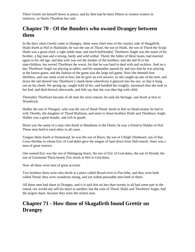There Grettir set himself down in peace; and by then had he been fifteen or sixteen winters in outlawry, as Sturla Thordson has said.

### **Chapter 70 - Of the Bonders who owned Drangey between them**

In the days when Grettir came to Drangey, these were chief men of the country side of Skagafirth. Hialti dwelt at Hof in Hialtidale, he was the son of Thord, the son of Hialti, the son of Thord the Scalp: Hialti was a great chief, a right noble man, and much befriended. Thorbiorn Angle was the name of his brother, a big man and a strong, hardy and wild withal. Thord, the father of these twain, had married again in his old age, and that wife was not the mother of the brothers; and she did ill to her step-children, but served Thorbiorn the worst, for that he was hard to deal with and reckless. And on a day Thorbiorn Angle sat playing at tables, and his stepmother passed by and saw that he was playing at the knave-game, and the fashion of the game was the large tail-game. Now she deemed him thriftless, and cast some word at him, but he gave an evil answer; so she caught up one of the men, and drave the tail thereof into Thorbiorn's cheek-bone wherefrom it glanced into his eye, so that it hung out on his cheek. He sprang up, caught hold of her, and handled her roughly, insomuch that she took to her bed, and died thereof afterwards, and folk say that she was then big with child.

Thereafter Thorbiorn became of all men the most riotous; he took his heritage, and dwelt at first in Woodwick.

Haldor the son of Thorgeir, who was the son of Head-Thord, dwelt at Hof on Head-strand, he had to wife Thordis, the daughter of Thord Hialtison, and sister to those brothers Hialti and Thorbiorn Angle. Haldor was a great bonder, and rich in goods.

Biorn was the name of a man who dwelt at Meadness in the Fleets; he was a friend to Haldor of Hof. These men held to each other in all cases.

Tongue-Stein dwelt at Stonestead; he was the son of Biorn, the son of Ufeigh Thinbeard, son of that Crow-Hreidar to whom Eric of God-dales gave the tongue of land down from Hall-marsh. Stein was a man of great renown.

One named Eric was the son of Holmgang-Starri, the son of Eric of God-dales, the son of Hroald, the son of Geirmund Thick-beard; Eric dwelt at Hof in God-dales.

Now all these were men of great account.

Two brothers there were who dwelt at a place called Broad-river in Flat-lithe, and they were both called Thord; they were wondrous strong, and yet withal peaceable men both of them.

All these men had share in Drangey, and it is said that no less than twenty in all had some part in the island, nor would any sell his share to another; but the sons of Thord, Hialti and Thorbiorn Angle, had the largest share, because they were the richest men.

# **Chapter 71 - How those of Skagafirth found Grettir on Drangey**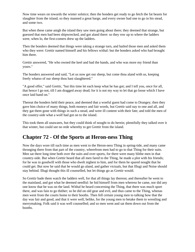Now time wears on towards the winter solstice; then the bonders get ready to go fetch the fat beasts for slaughter from the island; so they manned a great barge, and every owner had one to go in his stead, and some two.

But when these came anigh the island they saw men going about there; they deemed that strange, but guessed that men had been shipwrecked, and got aland there: so they row up to where the ladders were, when lo, the first-comers drew up the ladders.

Then the bonders deemed that things were taking a strange turn, and hailed those men and asked them who they were: Grettir named himself and his fellows withal: but the bonders asked who had brought him there.

Grettir answered, "He who owned the keel and had the hands, and who was more my friend than yours."

The bonders answered and said, "Let us now get our sheep, but come thou aland with us, keeping freely whatso of our sheep thou hast slaughtered."

"A good offer," said Grettir, "but this time let each keep what he has got; and I tell you, once for all, that hence I go not, till I am dragged away dead; for it is not my way to let that go loose which I have once laid hand on."

Thereat the bonders held their peace, and deemed that a woeful guest had come to Drangey; then they gave him choice of many things, both moneys and fair words, but Grettir said nay to one and all, and they gat them gone with things in such a stead, and were ill content with their fate; and told the men of the country-side what a wolf had got on to the island.

This took them all unawares, but they could think of nought to do herein; plentifully they talked over it that winter, but could see no rede whereby to get Grettir from the island.

#### **Chapter 72 - Of the Sports at Heron-ness Thing**

Now the days wore till such time as men went to the Heron-ness Thing in spring-tide, and many came thronging there from that part of the country, wherefrom men had to go to that Thing for their suits. Men sat there long time both over the suits and over sports, for there were many blithe men in that country-side. But when Grettir heard that all men fared to the Thing, he made a plot with his friends; for he was in goodwill with those who dwelt nighest to him, and for them he spared nought that he could get. But now he said that he would go aland, and gather victuals, but that Illugi and Noise should stay behind. Illugi thought this ill counselled, but let things go as Grettir would.

So Grettir bade them watch the ladders well, for that all things lay thereon; and thereafter he went to the mainland, and got what he deemed needful: he hid himself from men whereso he came, nor did any one know that he was on the land. Withal he heard concerning the Thing, that there was much sport there, and was fain to go thither; so he did on old gear and evil, and thus came to the Thing, whenas men went from the courts home to their booths. Then fell certain young men to talking how that the day was fair and good, and that it were well, belike, for the young men to betake them to wrestling and merrymaking. Folk said it was well counselled; and so men went and sat them down out from the booths.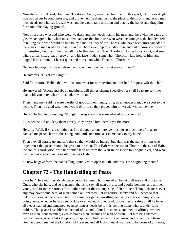Now the sons of Thord, Hialti and Thorbiorn Angle, were the chief men in this sport; Thorbiorn Angle was boisterous beyond measure, and drove men hard and fast to the place of the sports, and every man must needs go whereas his will was; and he would take this man and that by the hands and drag him forth unto the playing-ground.

Now first those wrestled who were weakest, and then each man in his turn, and therewith the game and glee waxed great; but when most men had wrestled but those who were the strongest, the bonders fell to talking as to who would be like to lay hand to either of the Thords, who have been aforenamed; but there was no man ready for that. Then the Thords went up to sundry men, and put themselves forward for wrestling, but the nigher the call the further the man. Then Thorbiorn Angle looks about, and sees where a man sits, great of growth, and his face hidden somewhat. Thorbiorn laid hold of him, and tugged hard at him, but he sat quiet and moved no whit. Then said Thorbiorn,

"No one has kept his place before me to-day like thou hast; what man art thou?"

He answers, "Guest am I hight."

Said Thorbiorn, "Belike thou wilt do somewhat for our merriment; a wished-for guest wilt thou be."

He answered, "About and about, methinks, will things change speedily; nor shall I cast myself into play with you here, where all is unknown to me."

Then many men said he were worthy of good at their hands, if he, an unknown man, gave sport to the people. Then he asked what they would of him; so they prayed him to wrestle with some one.

He said he had left wrestling, "though time agone it was somewhat of a sport to me."

So, when he did not deny them utterly, they prayed him thereto yet the more.

He said, "Well, if ye are so fain that I be dragged about here, ye must do so much therefor, as to handsel me peace, here at the Thing, and until such time as I come back to my home."

Then they all sprang up and said that so they would do indeed; but Hafr was the name of him who urged most that peace should be given to the man. This Hafr was the son of Thorarin, the son of Hafr, the son of Thord Knob, who had settled land up from the Weir in the Fleets to Tongue-river, and who dwelt at Knobstead; and a wordy man was Hafr.

So now he gave forth the handselling grandly with open mouth, and this is the beginning thereof.

#### **Chapter 73 - The Handselling of Peace**

Says he, "Herewith I establish peace betwixt all men, but most of all betwixt all men and this same Guest who sits here, and so is named; that is to say, all men of rule, and goodly bonders, and all men young, and fit to bear arms, and all other men of the country-side of Heron-ness Thing, whencesoever any may have come here, of men named or unnamed. Let us handsel safety and full peace to that unknown new-comer, yclept Guest by name, for game, wrestling, and all glee, for abiding here, and going home, whether he has need to fare over water, or over land, or over ferry; safety shall he have, in all steads named and unnamed, even so long as needs be for his coming home whole, under faith holden. This peace I establish on behoof of us, and of our kin, friends, and men of affinity, women even as men, bondswomen, even as bonds-men, swains and men of estate. Let him be a shamed peace-breaker, who breaks the peace, or spills the troth settled; turned away and driven forth from God, and good men of the kingdom of Heaven, and all Holy ones. A man not to be borne of any man,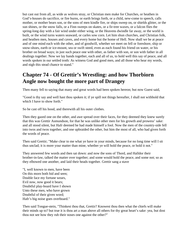but cast out from all, as wide as wolves stray, or Christian men make for Churches, or heathen in God's-houses do sacrifice, or fire burns, or earth brings forth, or a child, new-come to speech, calls mother, or mother bears son, or the sons of men kindle fire, or ships sweep on, or shields glitter, or the sun shines, or the snow falls, or a Finn sweeps on skates, or a fir-tree waxes, or a falcon flies the spring-long day with a fair wind under either wing, or the Heavens dwindle far away, or the world is built, or the wind turns waters seaward, or carles sow corn. Let him shun churches, and Christian folk, and heathen men, houses and caves, and every home but the home of Hell. Now shall we be at peace and of one mind each with the other, and of goodwill, whether we meet on fell or foreshore, ship or snow-shoes, earth or ice-mount, sea or swift steed, even as each found his friend on water, or his brother on broad ways; in just such peace one with other, as father with son, or son with father in all dealings together. Now we lay hands together, each and all of us, to hold well this say of peace, and all words spoken in our settled troth: As witness God and good men, and all those who hear my words, and nigh this stead chance to stand."

### **Chapter 74 - Of Grettir's Wrestling: and how Thorbiorn Angle now bought the more part of Drangey**

Then many fell to saying that many and great words had been spoken hereon; but now Guest said,

"Good is thy say and well hast thou spoken it; if ye spill not things hereafter, I shall not withhold that which I have to show forth."

So he cast off his hood, and therewith all his outer clothes.

Then they gazed one on the other, and awe spread over their faces, for they deemed they knew surely that this was Grettir Asmundson, for that he was unlike other men for his growth and prowess' sake: and all stood silent, but Hafr deemed he had made himself a fool. Now the men of the country-side fell into twos and twos together, and one upbraided the other, but him the most of all, who had given forth the words of peace.

Then said Grettir; "Make clear to me what ye have in your minds, because for no long time will I sit thus unclad; it is more your matter than mine, whether ye will hold the peace, or hold it not."

They answered few words and then sat down: and now the sons of Thord, and Halldor their brother-in-law, talked the matter over together; and some would hold the peace, and some not; so as they elbowed one another, and laid their heads together. Grettir sang a stave

"I, well known to men, have been On this morn both hid and seen; Double face my fortune wears, Evil now, now good it bears; Doubtful play-board have I shown Unto these men, who have grown Doubtful of their given word; Hafr's big noise goes overboard."

Then said Tongue-stein, "Thinkest thou that, Grettir? Knowest thou then what the chiefs will make their minds up to? but true it is thou art a man above all others for thy great heart's sake: yea, but dost thou not see how they rub their noses one against the other?"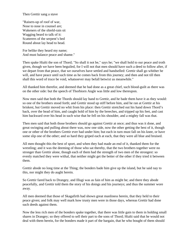Then Grettir sang a stave

"Raisers-up of roof of war, Nose to nose in counsel are; Wakeners of the shield-rain sit Wagging beard to talk of it: Scatterers of the serpent's bed Round about lay head to head.

For belike they heard my name; And must balance peace and shame."

Then spake Hialti the son of Thord; "So shall it not be," says he; "we shall hold to our peace and troth given, though we have been beguiled, for I will not that men should have such a deed to follow after, if we depart from that peace, that we ourselves have settled and handselled: Grettir shall go whither he will, and have peace until such time as he comes back from this journey; and then and not till then shall this word of truce be void, whatsoever may befall betwixt us meanwhile."

All thanked him therefor, and deemed that he had done as a great chief, such blood-guilt as there was on the other side: but the speech of Thorbiorn Angle was little and low thereupon.

Now men said that both the Thords should lay hand to Grettir, and he bade them have it as they would: so one of the brothers stood forth; and Grettir stood up stiff before him, and he ran at Grettir at his briskest, but Grettir moved no whit from his place: then Grettir stretched out his hand down Thord's back, over the head of him, and caught hold of him by the breeches, and tripped up his feet, and cast him backward over his head in such wise that he fell on his shoulder, and a mighty fall was that.

Then men said that both those brothers should go against Grettir at once; and thus was it done, and great swinging and pulling about there was, now one side, now the other getting the best of it, though one or other of the brothers Grettir ever had under him; but each in turn must fall on his knee, or have some slip one of the other; and so hard they griped each at each, that they were all blue and bruised.

All men thought this the best of sport, and when they had made an end of it, thanked them for the wrestling; and it was the deeming of those who sat thereby, that the two brothers together were no stronger than Grettir alone, though each of them had the strength of two men of the strongest: so evenly matched they were withal, that neither might get the better of the other if they tried it between them.

Grettir abode no long time at the Thing; the bonders bade him give up the island, but he said nay to this, nor might they do aught herein.

So Grettir fared back to Drangey, and Illugi was as fain of him as might be; and there they abode peacefully, and Grettir told them the story of his doings and his journeys; and thus the summer wore away.

All men deemed that those of Skagafirth had shown great manliness herein, that they held to their peace given; and folk may well mark how trusty men were in those days, whereas Grettir had done such deeds against them.

Now the less rich men of the bonders spake together, that there was little gain to them in holding small shares in Drangey; so they offered to sell their part to the sons of Thord; Hialti said that he would not deal with them herein, for the bonders made it part of the bargain, that he who bought of them should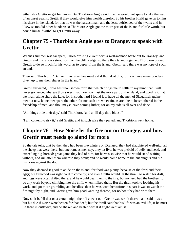either slay Grettir or get him away. But Thorbiorn Angle said, that he would not spare to take the lead of an onset against Grettir if they would give him wealth therefor. So his brother Hialti gave up to him his share in the island, for that he was the hardest man, and the least befriended of the twain; and in likewise too did other bonders; so Thorbiorn Angle got the more part of the island for little worth, but bound himself withal to get Grettir away.

## **Chapter 75 - Thorbiorn Angle goes to Drangey to speak with Grettir**

Whenas summer was far spent, Thorbiorn Angle went with a well-manned barge out to Drangey, and Grettir and his fellows stood forth on the cliff's edge; so there they talked together. Thorbiorn prayed Grettir to do so much for his word, as to depart from the island; Grettir said there was no hope of such an end.

Then said Thorbiorn, "Belike I may give thee meet aid if thou dost this, for now have many bonders given up to me their shares in the island."

Grettir answered, "Now hast thou shown forth that which brings me to settle in my mind that I will never go hence, whereas thou sayest that thou now hast the more part of the island; and good is it that we twain alone share the kale: for in sooth, hard I found it to have all the men of Skagafirth against me; but now let neither spare the other, for not such are we twain, as are like to be smothered in the friendship of men; and thou mayst leave coming hither, for on my side is all over and done."

"All things bide their day," said Thorbiorn, "and an ill day thou bidest."

"I am content to risk it," said Grettir; and in such wise they parted, and Thorbiorn went home.

## **Chapter 76 - How Noise let the fire out on Drangey, and how Grettir must needs go aland for more**

So the tale tells, that by then they had been two winters on Drangey, they had slaughtered well-nigh all the sheep that were there, but one ram, as men say, they let live; he was piebald of belly and head, and exceeding big-horned; great game they had of him, for he was so wise that he would stand waiting without, and run after them whereso they went; and he would come home to the hut anights and rub his horns against the door.

Now they deemed it good to abide on the island, for food was plenty, because of the fowl and their eggs; but firewood was right hard to come by; and ever Grettir would let the thrall go watch for drift, and logs were often drifted there, and he would bear them to the fire; but no need had the brothers to do any work beyond climbing into the cliffs when it liked them. But the thrall took to loathing his work, and got more grumbling and heedless than he was wont heretofore: his part it was to watch the fire night by night, and Grettir gave him good warning thereon, for no boat they had with them.

Now so it befell that on a certain night their fire went out; Grettir was wroth thereat, and said it was but his due if Noise were beaten for that deed; but the thrall said that his life was an evil life, if he must lie there in outlawry, and be shaken and beaten withal if aught went amiss.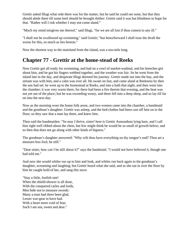Grettir asked Illugi what rede there was for the matter, but he said he could see none, but that they should abide there till some keel should be brought thither: Grettir said it was but blindness to hope for that. "Rather will I risk whether I may not come aland."

"Much my mind misgives me thereof," said Illugi, "for we are all lost if thou comest to any ill."

"I shall not be swallowed up swimming," said Grettir; "but henceforward I shall trust the thrall the worse for this, so much as lies hereon."

Now the shortest way to the mainland from the island, was a sea-mile long.

### **Chapter 77 - Grettir at the home-stead of Reeks**

Now Grettir got all ready for swimming, and had on a cowl of market-wadmal, and his breeches girt about him, and he got his fingers webbed together, and the weather was fair. So he went from the island late in the day, and desperate Illugi deemed his journey. Grettir made out into the bay, and the stream was with him, and a calm was over all. He swam on fast, and came aland at Reekness by then the sun had set: he went up to the homestead at Reeks, and into a bath that night, and then went into the chamber; it was very warm there, for there had been a fire therein that evening, and the heat was not yet out of the place; but he was exceeding weary, and there fell into a deep sleep, and so lay till far on into the next day.

Now as the morning wore the home folk arose, and two women came into the chamber, a handmaid and the goodman's daughter. Grettir was asleep, and the bed-clothes had been cast off him on to the floor; so they saw that a man lay there, and knew him.

Then said the handmaiden: "So may I thrive, sister! here is Grettir Asmundson lying bare, and I call him right well ribbed about the chest, but few might think he would be so small of growth below; and so then that does not go along with other kinds of bigness."

The goodman's daughter answered: "Why wilt thou have everything on thy tongue's end? Thou art a measure-less fool; be still."

"Dear sister, how can I be still about it?" says the handmaid. "I would not have believed it, though one had told me."

And now she would whiles run up to him and look, and whiles run back again to the goodman's daughter, screaming and laughing; but Grettir heard what she said, and as she ran in over the floor by him he caught hold of her, and sang this stave

"Stay a little, foolish one! When the shield-shower is all done, With the conquered carles and lords, Men bide not to measure swords: Many a man had there been glad, Lesser war-gear to have had. With a heart more void of fear; Such I am not, sweet and dear."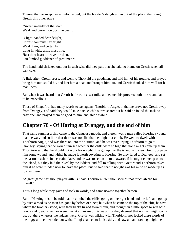Therewithal he swept her up into the bed, but the bonder's daughter ran out of the place; then sang Grettir this other stave

"Sweet amender of the seam, Weak and worn thou dost me deem:

O light-handed dear delight, Certes thou must say aright. Weak I am, and certainly Long in white arms must I lie: Hast thou heart to leave me then, Fair-limbed gladdener of great men?"

The handmaid shrieked out, but in such wise did they part that she laid no blame on Grettir when all was over.

A little after, Grettir arose, and went to Thorvald the goodman, and told him of his trouble, and prayed bring him out; so did he, and lent him a boat, and brought him out, and Grettir thanked him well for his manliness.

But when it was heard that Grettir had swam a sea-mile, all deemed his prowess both on sea and land to be marvellous.

Those of Skagafirth had many words to say against Thorbiorn Angle, in that he drave not Grettir away from Drangey, and said they would take back each his own share; but he said he found the task no easy one, and prayed them be good to him, and abide awhile.

## **Chapter 78 - Of Haring at Drangey, and the end of him**

That same summer a ship came to the Gangpass-mouth, and therein was a man called Haeringa young man he was, and so lithe that there was no cliff that he might not climb. He went to dwell with Thorbiorn Angle, and was there on into the autumn; and he was ever urging Thorbiorn to go to Drangey, saying that he would fain see whether the cliffs were so high that none might come up them. Thorbiorn said that he should not work for nought if he got up into the island, and slew Grettir, or gave him some wound; and withal he made it worth coveting to Haering. So they fared to Drangey, and set the eastman ashore in a certain place, and he was to set on them unawares if he might come up on to the island, but they laid their keel by the ladders, and fell to talking with Grettir; and Thorbiorn asked him if he were minded now to leave the place; but he said that to nought was his mind so made up as to stay there.

"A great game hast thou played with us," said Thorbiorn; "but thou seemest not much afeard for thyself."

Thus a long while they gave and took in words, and came nowise together hereon.

But of Haering it is to be told that he climbed the cliffs, going on the right hand and the left, and got up by such a road as no man has gone by before or since; but when he came to the top of the cliff, he saw where the brothers stood, with their backs turned toward him, and thought in a little space to win both goods and great fame; nor were they at all aware of his ways, for they deemed that no man might come up, but there whereas the ladders were. Grettir was talking with Thorbiorn, nor lacked there words of the biggest on either side; but withal Illugi chanced to look aside, and saw a man drawing anigh them.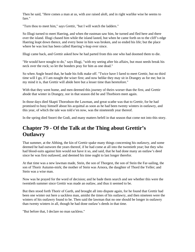Then he said, "Here comes a man at us, with axe raised aloft, and in right warlike wise he seems to fare."

"Turn thou to meet him," says Grettir, "but I will watch the ladders."

So Illugi turned to meet Haering, and when the eastman saw him, he turned and fled here and there over the island. Illugi chased him while the island lasted, but when he came forth on to the cliff's edge Haering leapt down thence, and every bone in him was broken, and so ended his life; but the place where he was lost has been called Haering's-leap ever since.

Illugi came back, and Grettir asked how he had parted from this one who had doomed them to die.

"He would have nought to do," says Illugi, "with my seeing after his affairs, but must needs break his neck over the rock; so let the bonders pray for him as one dead."

So when Angle heard that, he bade his folk make off. "Twice have I fared to meet Grettir, but no third time will I go, if I am nought the wiser first; and now belike they may sit in Drangey as for me; but in my mind it is, that Grettir will abide here but a lesser time than heretofore."

With that they went home, and men deemed this journey of theirs worser than the first, and Grettir abode that winter in Drangey, nor in that season did he and Thorbiorn meet again.

In those days died Skapti Thorodson the Lawman, and great scathe was that to Grettir, for he had promised to busy himself about his acquittal as soon as he had been twenty winters in outlawry, and this year, of which the tale was told e'en now, was the nineteenth year thereof.

In the spring died Snorri the Godi, and many matters befell in that season that come not into this story.

## **Chapter 79 - Of the Talk at the Thing about Grettir's Outlawry**

That summer, at the Althing, the kin of Grettir spake many things concerning his outlawry, and some deemed he had outworn the years thereof, if he had come at all into the twentieth year; but they who had blood-suits against him would not have it so, and said, that he had done many an outlaw's deed since he was first outlawed, and deemed his time ought to last longer therefor.

At that time was a new lawman made, Stein, the son of Thorgest, the son of Stein the Far-sailing, the son of Thorir Autumn-mirk; the mother of Stein was Arnora, the daughter of Thord the Yeller; and Stein was a wise man.

Now was he prayed for the word of decision; and he bade them search and see whether this were the twentieth summer since Grettir was made an outlaw, and thus it seemed to be.

But then stood forth Thorir of Garth, and brought all into dispute again, for he found that Grettir had been one winter out here a sackless man, amidst the times of his outlawry, and then nineteen were the winters of his outlawry found to be. Then said the lawman that no one should be longer in outlawry than twenty winters in all, though he had done outlaw's deeds in that time.

"But before that, I declare no man sackless."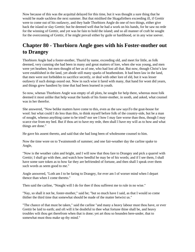Now because of this was the acquittal delayed for this time, but it was thought a sure thing that he would be made sackless the next summer. But that misliked the Skagafirthers exceeding ill, if Grettir were to come out of his outlawry, and they bade Thorbiorn Angle do one of two things, either give back the island or slay Grettir; but he deemed well that he had a work on his hands, for he saw no rede for the winning of Grettir, and yet was he fain to hold the island; and so all manner of craft he sought for the overcoming of Grettir, if he might prevail either by guile or hardihood, or in any wise soever.

# **Chapter 80 - Thorbiorn Angle goes with his Foster-mother out to Drangey**

Thorbiorn Angle had a foster-mother, Thurid by name, exceeding old, and meet for little, as folk deemed, very cunning she had been in many and great matters of lore, when she was young, and men were yet heathen; but men thought of her as of one, who had lost all that. But now, though Christ's law were established in the land, yet abode still many sparks of heathendom. It had been law in the land, that men were not forbidden to sacrifice secretly, or deal with other lore of eld, but it was lesser outlawry if such doings oozed out. Now in such wise it fared with many, that hand for wont did yearn, and things grew handiest by time that had been learned in youth.

So now, whenas Thorbiorn Angle was empty of all plots, he sought for help there, whereas most folk deemed it most unlike that help wasat the hands of his foster-mother, in sooth, and asked, what counsel was in her therefor.

She answered, "Now belike matters have come to this, even as the saw saysTo the goat-house for wool: but what could I do less than this, to think myself before folk of the country-side, but be a man of nought, whenso anything came to be tried? nor see I how I may fare worse than thou, though I may scarce rise from my bed. But if thou art to have my rede, then shall I have my will as to how and what things are done."

He gave his assent thereto, and said that she had long been of wholesome counsel to him.

Now the time wore on to Twainmonth of summer; and one fair-weather day the carline spake to Angle,

"Now is the weather calm and bright, and I will now that thou fare to Drangey and pick a quarrel with Grettir; I shall go with thee, and watch how heedful he may be of his words; and if I see them, I shall have some sure token as to how far they are befriended of fortune, and then shall I speak over them such words as seem good to me."

Angle answered, "Loth am I to be faring to Drangey, for ever am I of worser mind when I depart thence than when I come thereto."

Then said the carline, "Nought will I do for thee if thou sufferest me to rule in no wise."

"Nay, so shall it not be, foster-mother," said he; "but so much have I said, as that I would so come thither the third time that somewhat should be made of the matter betwixt us."

"The chance of that must be taken," said the carline "and many a heavy labour must thou have, or ever Grettir be laid to earth; and oft will it be doubtful to thee what fortune thine shall be, and heavy troubles wilt thou get therefrom when that is done; yet art thou so bounden here-under, that to somewhat must thou make up thy mind."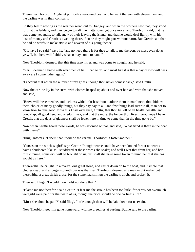Thereafter Thorbiorn Angle let put forth a ten-oared boat, and he went thereon with eleven men, and the carline was in their company.

So they fell to rowing as the weather went, out to Drangey; and when the brothers saw that, they stood forth at the ladders, and they began to talk the matter over yet once more; and Thorbiorn said, that he was come yet again, to talk anew of their leaving the island, and that he would deal lightly with his loss of money and Grettir's dwelling there, if so be they might part without harm. But Grettir said that he had no words to make atwixt and atween of his going thence.

"Oft have I so said," says he, "and no need there is for thee to talk to me thereon; ye must even do as ye will, but here will I abide, whatso may come to hand."

Now Thorbiorn deemed, that this time also his errand was come to nought, and he said,

"Yea, I deemed I knew with what men of hell I had to do; and most like it is that a day or two will pass away ere I come hither again."

"I account that not in the number of my griefs, though thou never comest back," said Grettir.

Now the carline lay in the stern, with clothes heaped up about and over her, and with that she moved, and said,

"Brave will these men be, and luckless withal; far hast thou outdone them in manliness; thou biddest them choice of many goodly things, but they say nay to all, and few things lead surer to ill, than not to know how to take good. Now this I cast over thee, Grettir, that thou be left of all health, wealth, and good-hap, all good heed and wisdom: yea, and that the more, the longer thou livest; good hope I have, Grettir, that thy days of gladness shall be fewer here in time to come than in the time gone by."

Now when Grettir heard these words, he was astonied withal, and said, "What fiend is there in the boat with them?"

"Illugi answers, "I deem that it will be the carline, Thorbiorn's foster-mother."

"Curses on the witch-wight!" says Grettir, "nought worse could have been looked for; at no words have I shuddered like as I shuddered at those words she spake; and well I wot that from her, and her foul cunning, some evil will be brought on us; yet shall she have some token to mind her that she has sought us here."

Therewithal he caught up a marvellous great stone, and cast it down on to the boat, and it smote that clothes-heap; and a longer stone-throw was that than Thorbiorn deemed any man might make; but therewithal a great shriek arose, for the stone had smitten the carline's thigh, and broken it.

Then said Illugi, "I would thou hadst not done that!"

"Blame me not therefor," said Grettir, "I fear me the stroke has been too little, for certes not overmuch weregild were paid for the twain of us, though the price should be one carline's life."

"Must she alone be paid?" said Illugi, "little enough then will be laid down for us twain."

Now Thorbiorn got him gone homeward, with no greetings at parting. But he said to the carline,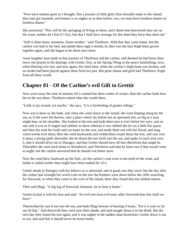"Now have matters gone as I thought, that a journey of little glory thou shouldst make to the island; thou hast got maimed, and honour is no nigher to us than before, yea, we must have bootless shame on bootless shame."

She answered, "This will be the springing of ill-hap to them; and I deem that henceforth they are on the wane; neither do I fear if I live, but that I shall have revenge for this deed they have thus done me."

"Stiff is thine heart, meseems, foster-mother," said Thorbiorn. With that they came home, but the carline was laid in her bed, and abode there nigh a month; by then was the hurt thigh-bone grown together again, and she began to be afoot once more.

Great laughter men made at that journey of Thorbiorn and the carline, and deemed he had been often enow out-played in his dealings with Grettir: first, at the Spring-Thing in the peace handselling; next, when Haering was lost, and now again, this third time, when the carline's thigh-bone was broken, and no stroke had been played against these from his part. But great shame and grief had Thorbiorn Angle from all these words.

## **Chapter 81 - Of the Carline's evil Gift to Grettir**

Now wore away the time of autumn till it wanted but three weeks of winter; then the carline bade bear her to the sea-shore. Thorbiorn asked what she would there.

"Little is my errand, yet maybe," she says, "it is a foreboding of greater tidings."

Now was it done as she bade, and when she came down to the strand, she went limping along by the sea, as if she were led thereto, unto a place where lay before her an uprooted tree, as big as a man might bear on his shoulder. She looked at the tree and bade them turn it over before her eyes, and on one side it was as if singed and rubbed; so there whereas it was rubbed she let cut a little flat space; and then she took her knife and cut runes on the root, and made them red with her blood, and sang witch-words over them; then she went backwards and widdershins round about the tree, and cast over it many a strong spell; thereafter she let thrust the tree forth into the sea, and spake in such wise over it, that it should drive out to Drangey, and that Grettir should have all hurt therefrom that might be. Thereafter she went back home to Woodwick; and Thorbiorn said that he knew not if that would come to aught; but the carline answered that he should wot better anon.

Now the wind blew landward up the firth, yet the carline's root went in the teeth of the wind, and belike it sailed swifter than might have been looked for of it.

Grettir abode in Drangey with his fellows as is aforesaid, and in good case they were; but the day after the carline had wrought her witch-craft on the tree the brothers went down below the cliffs searching for firewood, so when they came to the west of the island, there they found that tree drifted ashore.

Then said Illugi, "A big log of firewood, kinsman, let us bear it home."

Grettir kicked it with his foot and said, "An evil tree from evil sent; other firewood than this shall we have."

Therewithal he cast it out into the sea, and bade Illugi beware of bearing it home, "For it is sent us for our ill-hap." And therewith they went unto their abode, and said nought about it to the thrall. But the next day they found the tree again, and it was nigher to the ladders than heretofore; Grettir drave it out to sea, and said that it should never be borne home.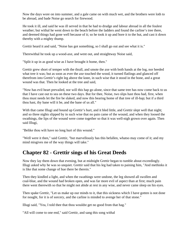Now the days wore on into summer, and a gale came on with much wet, and the brothers were loth to be abroad, and bade Noise go search for firewood.

He took it ill, and said he was ill served in that he had to drudge and labour abroad in all the foulest weather; but withal he went down to the beach before the ladders and found the carline's tree there, and deemed things had gone well because of it; so he took it up and bore it to the hut, and cast it down thereby with a mighty thump.

Grettir heard it and said, "Noise has got something, so I shall go out and see what it is."

Therewithal he took up a wood-axe, and went out, and straightway Noise said,

"Split it up in as good wise as I have brought it home, then."

Grettir grew short of temper with the thrall, and smote the axe with both hands at the log, nor heeded what tree it was; but as soon as ever the axe touched the wood, it turned flatlings and glanced off therefrom into Grettir's right leg above the knee, in such wise that it stood in the bone, and a great wound was that. Then he looked at the tree and said,

"Now has evil heart prevailed, nor will this hap go alone, since that same tree has now come back to us that I have cast out to sea on these two days. But for thee, Noise, two slips hast thou had, first, when thou must needs let the fire be slaked, and now this bearing home of that tree of ill-hap; but if a third thou hast, thy bane will it be, and the bane of us all."

With that came Illugi and bound up Grettir's hurt, and it bled little, and Grettir slept well that night; and so three nights slipped by in such wise that no pain came of the wound, and when they loosed the swathings, the lips of the wound were come together so that it was well-nigh grown over again. Then said Illugi,

"Belike thou wilt have no long hurt of this wound."

"Well were it then," said Grettir, "but marvellously has this befallen, whatso may come of it; and my mind misgives me of the way things will take."

#### **Chapter 82 - Grettir sings of his Great Deeds**

Now they lay them down that evening, but at midnight Grettir began to tumble about exceedingly. Illugi asked why he was so unquiet. Grettir said that his leg had taken to paining him, "And methinks it is like that some change of hue there be therein."

Then they kindled a light, and when the swathings were undone, the leg showed all swollen and coal-blue, and the wound had broken open, and was far more evil of aspect than at first; much pain there went therewith so that he might not abide at rest in any wise, and never came sleep on his eyes.

Then spake Grettir, "Let us make up our minds to it, that this sickness which I have gotten is not done for nought, for it is of sorcery, and the carline is minded to avenge her of that stone."

Illugi said, "Yea, I told thee that thou wouldst get no good from that hag."

"All will come to one end," said Grettir, and sang this song withal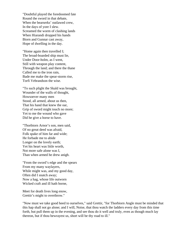"Doubtful played the foredoomed fate Round the sword in that debate, When the bearserks' outlawed crew, In the days of yore I slew. Screamed the worm of clashing lands When Hiarandi dropped his hands Biorn and Gunnar cast away, Hope of dwelling in the day.

"Home again then travelled I; The broad-boarded ship must lie, Under Door-holm, as I went, Still with weapon play content, Through the land; and there the thane Called me to the iron rain, Bade me make the spear-storm rise, Torfi Vebrandson the wise.

"To such plight the Skald was brought, Wounder of the walls of thought, Howsoever many men Stood, all armed, about us then, That his hand that knew the oar, Grip of sword might touch no more; Yet to me the wound who gave Did he give a horse to have.

"Thorbiorn Arnor's son, men said, Of no great deed was afraid, Folk spake of him far and wide; He forbade me to abide Longer on the lovely earth; Yet his heart was little worth, Not more safe alone was I, Than when armed he drew anigh.

"From the sword's edge and the spears From my many waylayers, While might was, and my good day, Often did I snatch away; Now a hag, whose life outworn Wicked craft and ill hath borne,

Meet for death lives long enow, Grettir's might to overthrow."

"Now must we take good heed to ourselves," said Grettir, "for Thorbiorn Angle must be minded that this hap shall not go alone; and I will, Noise, that thou watch the ladders every day from this time forth, but pull them up in the evening, and see thou do it well and truly, even as though much lay thereon, but if thou bewrayest us, short will be thy road to ill."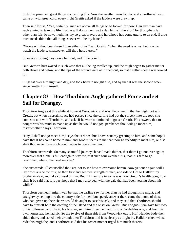So Noise promised great things concerning this. Now the weather grew harder, and a north-east wind came on with great cold: every night Grettir asked if the ladders were drawn up.

Then said Noise, "Yea, certainly! men are above all things to be looked for now. Can any man have such a mind to take thy life, that he will do so much as to slay himself therefor? for this gale is far other than fair; lo now, methinks thy so great bravery and hardihood has come utterly to an end, if thou must needs think that all things soever will be thy bane."

"Worse wilt thou bear thyself than either of us," said Grettir, "when the need is on us; but now go watch the ladders, whatsoever will thou hast thereto."

So every morning they drave him out, and ill he bore it.

But Grettir's hurt waxed in such wise that all the leg swelled up, and the thigh began to gather matter both above and below, and the lips of the wound were all turned out, so that Grettir's death was looked for.

Illugi sat over him night and day, and took heed to nought else, and by then it was the second week since Grettir hurt himself.

## **Chapter 83 - How Thorbiorn Angle gathered Force and set Sail for Drangey.**

Thorbiorn Angle sat this while at home at Woodwick, and was ill-content in that he might not win Grettir; but when a certain space had passed since the carline had put the sorcery into the root, she comes to talk with Thorbiorn, and asks if he were not minded to go see Grettir. He answers, that to nought was his mind so made up as that he would not go; "perchance thou wilt go meet him, foster-mother," says Thorbiorn.

"Nay, I shall not go meet-him," says the carline; "but I have sent my greeting to him, and some hope I have that it has come home to him; and good it seems to me that thou go speedily to meet him, or else shalt thou never have such good hap as to overcome him."

Thorbiorn answered: "So many shameful journeys have I made thither, that there I go not ever again; moreover that alone is full enough to stay me, that such foul weather it is, that it is safe to go nowhither, whatso the need may be."

She answered: "Ill counselled thou art, not to see how to overcome herein. Now yet once again will I lay down a rede for this; go thou first and get thee strength of men, and ride to Hof to Halldor thy brother-in-law, and take counsel of him. But if I may rule in some way how Grettir's health goes, how shall it be said that it is past hope that I may also deal with the gale that has been veering about this while?"

Thorbiorn deemed it might well be that the carline saw further than he had thought she might, and straightway sent up into the country-side for men; but speedy answer there came that none of those who had given up their shares would do aught to ease his task, and they said that Thorbiorn should have to himself both the owning of the island and the onset on Grettir. But Tongue-Stein gave him two of his followers, and Hialti, his brother, sent him three men, and Eric of God-dales one, and from his own homestead he had six. So the twelve of them ride from Woodwick out to Hof. Halldor bade them abide there, and asked their errand; then Thorbiorn told it as clearly as might be. Halldor asked whose rede this might be, and Thorbiorn said that his foster-mother urged him much thereto.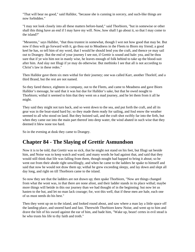"That will bear no good," said Halldor, "because she is cunning in sorcery, and such-like things are now forbidden."

"I may not look closely into all these matters before-hand," said Thorbiorn, "but in somewise or other shall this thing have an end if I may have my will. Now, how shall I go about it, so that I may come to the island?"

"Meseems," says Halldor, "that thou trustest in somewhat, though I wot not how good that may be. But now if thou wilt go forward with it, go thou out to Meadness in the Fleets to Biorn my friend; a good keel he has, so tell him of my word, that I would he should lend you the craft, and thence ye may sail out to Drangey. But the end of your journey I see not, if Grettir is sound and hale: yea, and be thou sure that if ye win him not in manly wise, he leaves enough of folk behind to take up the blood-suit after him. And slay not Illugi if ye may do otherwise. But methinks I see that all is not according to Christ's law in these redes."

Then Halldor gave them six men withal for their journey; one was called Karr, another Thorleif, and a third Brand, but the rest are not named.

So they fared thence, eighteen in company, out to the Fleets, and came to Meadness and gave Biorn Halldor's message, he said that it was but due for Halldor's sake, but that he owed nought to Thorbiorn; withal it seemed to him that they went on a mad journey, and he let them from it all he might.

They said they might not turn back, and so went down to the sea, and put forth the craft, and all its gear was in the boat-stand hard by; so they made them ready for sailing, and foul enow the weather seemed to all who stood on land. But they hoisted sail, and the craft shot swiftly far into the firth, but when they came out into the main part thereof into deep water, the wind abated in such wise that they deemed it blew none too hard.

So in the evening at dusk they came to Drangey.

#### **Chapter 84 - The Slaying of Grettir Asmundson**

Now it is to be told, that Grettir was so sick, that he might not stand on his feet, but Illugi sat beside him, and Noise was to keep watch and ward; and many words he had against that, and said that they would still think that life was falling from them, though nought had happed to bring it about; so he went out from their abode right unwillingly, and when he came to the ladders he spake to himself and said that now he would not draw them up; withal he grew exceeding sleepy, and lay down and slept all day long, and right on till Thorbiorn came to the island.

So now they see that the ladders are not drawn up; then spake Thorbiorn, "Now are things changed from what the wont was, in that there are none afoot, and their ladder stands in its place withal; maybe more things will betide in this our journey than we had thought of in the beginning: but now let us hasten to the hut, and let no man lack courage; for, wot this well, that if these men are hale, each one of us must needs do his best."

Then they went up on to the island, and looked round about, and saw where a man lay a little space off the landing-place, and snored hard and fast. Therewith Thorbiorn knew Noise, and went up to him and drave the hilt of his sword against the ear of him, and bade him, "Wake up, beast! certes in evil stead is he who trusts his life to thy faith and troth."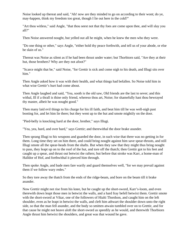Noise looked up thereat and said, "Ah! now are they minded to go on according to their wont; do ye, may-happen, think my freedom too great, though I lie out here in the cold?"

"Art thou witless," said Angle, "that thou seest not that thy foes are come upon thee, and will slay you all?"

Then Noise answered nought, but yelled out all he might, when he knew the men who they were.

"Do one thing or other," says Angle, "either hold thy peace forthwith, and tell us of your abode, or else be slain of us."

Thereat was Noise as silent as if he had been thrust under water; but Thorbiorn said, "Are they at their hut, those brothers? Why are they not afoot?"

"Scarce might that be," said Noise, "for Grettir is sick and come nigh to his death, and Illugi sits over him."

Then Angle asked how it was with their health, and what things had befallen. So Noise told him in what wise Grettir's hurt had come about.

Then Angle laughed and said, "Yea, sooth is the old saw, Old friends are the last to sever; and this withal, Ill if a thrall is thine only friend, whereso thou art, Noise; for shamefully hast thou bewrayed thy master, albeit he was nought good."

Then many laid evil things to his charge for his ill faith, and beat him till he was well-nigh past booting for, and let him lie there; but they went up to the hut and smote mightily on the door.

"Pied-belly is knocking hard at the door, brother," says Illugi.

"Yea, yea, hard, and over hard," says Grettir; and therewithal the door brake asunder.

Then sprang Illugi to his weapons and guarded the door, in such wise that there was no getting in for them. Long time they set on him there, and could bring nought against him save spear-thrusts, and still Illugi smote all the spear-heads from the shafts. But when they saw that they might thus bring nought to pass, they leapt up on to the roof of the hut, and tore off the thatch; then Grettir got to his feet and caught up a spear, and thrust out betwixt the rafters; but before that stroke was Karr, a home-man of Halldor of Hof, and forthwithal it pierced him through.

Then spoke Angle, and bade men fare warily and guard themselves well, "for we may prevail against them if we follow wary redes."

So they tore away the thatch from the ends of the ridge-beam, and bore on the beam till it brake asunder.

Now Grettir might not rise from his knee, but he caught up the short-sword, Karr's-loom, and even therewith down leapt those men in betwixt the walls, and a hard fray befell betwixt them. Grettir smote with the short-sword at Vikar, one of the followers of Hialti Thordson, and caught him on the left shoulder, even as he leapt in betwixt the walls, and cleft him athwart the shoulder down unto the right side, so that the man fell asunder, and the body so smitten atwain tumbled over on to Grettir, and for that cause he might not heave aloft the short-sword as speedily as he would, and therewith Thorbiorn Angle thrust him betwixt the shoulders, and great was that wound he gave.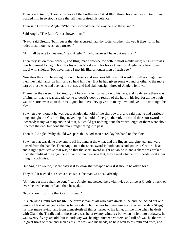Then cried Grettir, "Bare is the back of the brotherless." And Illugi threw his shield over Grettir, and warded him in so stout a wise that all men praised his defence.

Then said Grettir to Angle, "Who then showed thee the way here to the island?"

Said Angle, "The Lord Christ showed it us."

"Nay," said Grettir, "but I guess that the accursed hag, thy foster-mother, showed it thee, for in her redes must thou needs have trusted."

"All shall be one to thee now," said Angle, "in whomsoever I have put my trust."

Then they set on them fiercely, and Illugi made defence for both in most manly wise; but Grettir was utterly unmeet for fight, both for his wounds' sake and for his sickness. So Angle bade bear down Illugi with shields, "For never have I met his like, amongst men of such age."

Now thus they did, besetting him with beams and weapons till he might ward himself no longer; and then they laid hands on him, and so held him fast. But he had given some wound or other to the more part of those who had been at the onset, and had slain outright three of Angle's fellows.

Thereafter they went up to Grettir, but he was fallen forward on to his face, and no defence there was of him, for that he was already come to death's door by reason of the hurt in his leg, for all the thigh was one sore, even up to the small guts; but there they gave him many a wound, yet little or nought he bled.

So when they thought he was dead, Angle laid hold of the short-sword, and said that he had carried it long enough; but Grettir's fingers yet kept fast hold of the grip thereof, nor could the short-sword be loosened; many went up and tried at it, but could get nothing done therewith; eight of them were about it before the end, but none the more might bring it to pass.

Then said Angle, "Why should we spare this wood-man here? lay his hand on the block."

So when that was done they smote off his hand at the wrist, and the fingers straightened, and were loosed from the handle. Then Angle took the short-sword in both hands and smote at Grettir's head, and a right great stroke that was, so that the short-sword might not abide it, and a shard was broken from the midst of the edge thereof; and when men saw that, they asked why he must needs spoil a fair thing in such wise.

But Angle answered, "More easy is it to know that weapon now if it should be asked for."

They said it needed not such a deed since the man was dead already.

"Ah! but yet more shall be done," said Angle, and hewed therewith twice or thrice at Grettir's neck, or ever the head came off; and then he spake,

"Now know I for sure that Grettir is dead."

In such wise Grettir lost his life, the bravest man of all who have dwelt in Iceland; he lacked but one winter of forty-five years whenas he was slain; but he was fourteen winters old when he slew Skeggi, his first man-slaying; and from thenceforth all things turned to his fame, till the time when he dealt with Glam, the Thrall; and in those days was he of twenty winters-; but when he fell into outlawry, he was twenty-five years old; but in outlawry was he nigh nineteen winters, and full oft was he the while in great trials of men; and such as his life was, and his needs, he held well to his faith and troth, and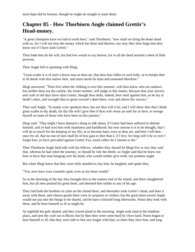# **Chapter 85 - How Thorbiorn Angle claimed Grettir's Head-money.**

"A great champion have we laid to earth here," said Thorbiorn; "now shall we bring the head aland with us, for I will not lose the money which has been laid thereon; nor may they then feign that they know not if I have slain Grettir."

They bade him do his will, but had few words to say hereon, for to all the deed seemed a deed of little prowess.

Then Angle fell to speaking with Illugi,

"Great scathe it is of such a brave man as thou art, that thou hast fallen to such folly, as to betake thee to ill deeds with this outlaw here, and must needs lie slain and unatoned therefore."

Illugi answered, "Then first when the Althing is over this summer, wilt thou know who are outlaws; but neither thou nor the carline, thy foster-mother, will judge in this matter, because that your sorcery and craft of old days have slain Grettir, though thou didst, indeed, bear steel against him, as he lay at death's door, and wrought that so great coward's deed there, over and above thy sorcery."

Then said Angle, "In manly wise speakest thou, but not thus will it be; and I will show thee that I think great scathe in thy death, for thy life will I give thee if thou wilt swear an oath for us here, to avenge thyself on none of those who have been in this journey."

Illugi said, "That might I have deemed a thing to talk about, if Grettir had been suffered to defend himself, and ye had won him with manliness and hardihood; but now nowise is it to be thought, that I will do so much for the keeping of my life, as to become base, even as thou art: and here I tell thee, once for all, that no one of men shall be of less gain to thee than I, if I live; for long will it be or ever I forget how ye have prevailed against Grettir.Yea, much rather do I choose to die."

Then Thorbiorn Angle held talk with his fellows, whether they should let Illugi live or not; they said that, whereas he had ruled the journey, so should he rule the deeds; so Angle said that he knew not how to have that man hanging over his head, who would neither give troth, nor promise aught.

But when Illugi knew that they were fully minded to slay him, he laughed, and spake thus,

"Yea, now have your counsels sped, even as my heart would."

So at the dawning of the day they brought him to the eastern end of the island, and there slaughtered him; but all men praised his great heart, and deemed him unlike to any of his age.

They laid both the brothers in cairn on the island there; and thereafter took Grettir's head, and bore it away with them, and whatso goods there were in weapons or clothes; but the good short-sword Angle would not put into the things to be shared, and he bare it himself long afterwards. Noise they took with them, and he bore himself as ill as might be.

At nightfall the gale abated, and they rowed aland in the morning. Angle took land at the handiest place, and sent the craft out to Biorn; but by then they were come hard by Oyce-land, Noise began to bear himself so ill, that they were loth to fare any longer with him, so there they slew him, and long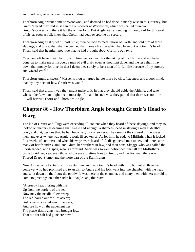and loud he greeted or ever he was cut down.

Thorbiorn Angle went home to Woodwick, and deemed he had done in manly wise in this journey; but Grettir's head they laid in salt in the out-bower at Woodwick, which was called therefrom Grettir's-bower; and there it lay the winter long. But Angle was exceeding ill thought of for this work of his, as soon as folk knew that Grettir had been overcome by sorcery.

Thorbiorn Angle sat quiet till past Yule; then he rode to meet Thorir of Garth, and told him of these slayings; and this withal, that he deemed that money his due which had been put on Grettir's head. Thorir said that he might not hide that he had brought about Grettir's outlawry,

"Yea, and oft have I dealt hardly with him, yet so much for the taking of his life I would not have done, as to make me a misdoer, a man of evil craft, even as thou hast done; and the less shall I lay down that money for thee, in that I deem thee surely to be a man of forfeit life because of thy sorcery and wizard-craft."

Thorbiorn Angle answers, "Meseems thou art urged hereto more by closefistedness and a poor mind, than by any heed of how Grettir was won."

Thorir said that a short way they might make of it, in that they should abide the Althing, and take whatso the Lawman might deem most rightful: and in such wise they parted that there was no little ill-will betwixt Thorir and Thorbiorn Angle.

## **Chapter 86 - How Thorbiorn Angle brought Grettir's Head to Biarg**

The kin of Grettir and Illugi were exceeding ill-content when they heard of these slayings, and they so looked on matters as deeming that Angle had wrought a shameful deed in slaying a man at death's door; and that, besides that, he had become guilty of sorcery. They sought the counsel of the wisest men, and everywhere was Angle's work ill spoken of. As for him, he rode to Midfirth, when it lacked four weeks of summer; and when his ways were heard of, Asdis gathered men to her, and there came many of her friends: Gamli and Glum, her brothers-in-law, and their sons, Skeggi, who was called the Short-handed, and Uspak, who is aforesaid. Asdis was so well befriended, that all the Midfirthers came to aid her; yea, even those who were aforetime foes to Grettir; and the first man there was Thorod Drapa-Stump, and the more part of the Ramfirthers.

Now Angle came to Biarg with twenty men, and had Grettir's head with him; but not all those had come yet who had promised aid to Asdis; so Angle and his folk went into the chamber with the head, and set it down on the floor; the goodwife was there in the chamber, and many men with her; nor did it come to greetings on either side; but Angle sang this stave

"A greedy head I bring with me Up from the borders of the sea; Now may the needle-pliers weep, The red-haired outlaw lies asleep; Gold-bearer, cast adown thine eyes, And see how on the pavement lies, The peace-destroying head brought low, That but for salt had gone ere now."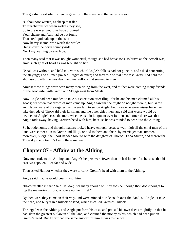The goodwife sat silent when he gave forth the stave, and thereafter she sang

"O thou poor wretch, as sheep that flee To treacherous ice when wolves they see, So in the waves would ye have drowned Your shame and fear, had ye but found That steel-god hale upon the isle: Now heavy shame, woe worth the while! Hangs over the north country-side, Nor I my loathing care to hide."

Then many said that it was nought wonderful, though she had brave sons, so brave as she herself was, amid such grief of heart as was brought on her.

Uspak was without, and held talk with such of Angle's folk as had not gone in, and asked concerning the slayings; and all men praised Illugi's defence; and they told withal how fast Grettir had held the short-sword after he was dead, and marvellous that seemed to men.

Amidst these things were seen many men riding from the west, and thither were coming many friends of the goodwife, with Gamli and Skeggi west from Meals.

Now Angle had been minded to take out execution after Illugi, for he and his men claimed all his goods; but when that crowd of men came up, Angle saw that he might do nought therein, but Gamli and Uspak were of the eagerest, and were fain to set on Angle; but those who were wisest bade them take the rede of Thorwald their kinsman, and the other chief men, and said that worse would be deemed of Angle's case the more wise men sat in judgment over it; then such truce there was that Angle rode away, having Grettir's head with him, because he was minded to bear it to the Althing.

So he rode home, and thought matters looked heavy enough, because well-nigh all the chief men of the land were either akin to Grettir and Illugi, or tied to them and theirs by marriage: that summer, moreover, Skeggi the Short-handed took to wife the daughter of Thorod Drapa-Stump, and therewithal Thorod joined Grettir's kin in these matters.

## **Chapter 87 - Affairs at the Althing**

Now men rode to the Althing, and Angle's helpers were fewer than he had looked for, because that his case was spoken ill of far and wide.

Then asked Halldor whether they were to carry Grettir's head with them to the Althing.

Angle said that he would bear it with him.

"Ill-counselled is that," said Halldor; "for many enough will thy foes be, though thou doest nought to jog the memories of folk, or wake up their grief."

By then were they come on their way, and were minded to ride south over the Sand; so Angle let take the head, and bury it in a hillock of sand, which is called Grettir's Hillock.

Thronged was the Althing, and Angle put forth his case, and praised his own deeds mightily, in that he had slain the greatest outlaw in all the land, and claimed the money as his, which had been put on Grettir's head. But Thorir had the same answer for him as was told afore.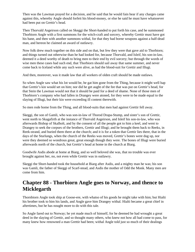Then was the Lawman prayed for a decision, and he said that he would fain hear if any charges came against this, whereby Angle should forfeit his blood-money, or else he said he must have whatsoever had been put on Grettir's head.

Then Thorvald Asgeirson called on Skeggi the Short-handed to put forth his case, and he summoned Thorbiorn Angle with a first summons for the witch-craft and sorcery, whereby Grettir must have got his bane, and then with another summons withal, for that they had borne weapons against a half-dead man, and hereon he claimed an award of outlawry.

Now folk drew much together on this side and on that, but few they were that gave aid to Thorbiorn; and things turned out otherwise than he had looked for, because Thorvald, and Isleif, his son-in-law, deemed it a deed worthy of death to bring men to their end by evil sorcery; but through the words of wise men these cases had such end, that Thorbiorn should sail away that same summer, and never come back to Iceland while any such were alive, as had the blood-suit for Grettir and Illugi.

And then, moreover, was it made law that all workers of olden craft should be made outlaws.

So when Angle saw what his lot would be, he gat him gone from the Thing, because it might well hap that Grettir's kin would set on him; nor did he get aught of the fee that was put on Grettir's head, for that Stein the Lawman would not that it should be paid for a deed of shame. None of those men of Thorbiorn's company who had fallen in Drangey were atoned, for they were to be made equal to the slaying of Illugi, but their kin were exceeding ill content therewith.

So men rode home from the Thing, and all blood-suits that men had against Grettir fell away.

Skeggi, the son of Gamli, who was son-in-law of Thorod Drapa-Stump, and sister's son of Grettir, went north to Skagafirth at the instance of Thorvald Asgeirson, and Isleif his son-in-law, who was afterwards Bishop of Skalholt, and by the consent of all the people got to him a keel, and went to Drangey to seek the corpses of the brothers, Grettir and Illugi; and he brought them back to Reeks, in Reek-strand, and buried them there at the church; and it is for a token that Grettir lies there, that in the days of the Sturlungs, when the church of the Reeks was moved, Grettir's bones were dug up, nor were they deemed so wondrous great, great enough though they were. The bones of Illugi were buried afterwards north of the church, but Grettir's head at home in the church at Biarg.

Goodwife Asdis abode at home at Biarg, and so well beloved she was, that no trouble was ever brought against her, no, not even while Grettir was in outlawry.

Skeggi the Short-handed took the household at Biarg after Asdis, and a mighty man he was; his son was Gamli, the father of Skeggi of Scarf-stead, and Asdis the mother of Odd the Monk. Many men are come from him.

## **Chapter 88 - Thorbiorn Angle goes to Norway, and thence to Micklegarth**

Thornbiorn Angle took ship at Goose-ere, with whatso of his goods he might take with him; but Hialti his brother took to him his lands, and Angle gave him Drangey withal. Hialti became a great chief in aftertimes, but he has nought more to do with this tale.

So Angle fared out to Norway; he yet made much of himself, for he deemed he had wrought a great deed in the slaying of Grettir, and so thought many others, who knew not how all had come to pass, for many knew how renowned a man Grettir had been; withal Angle told just so much of their dealings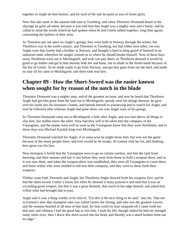together as might do him honour, and let such of the tale lie quiet as was of lesser glory.

Now this tale came in the autumn-tide east to Tunsberg, and when Thorstein Dromund heard of the slayings he grew all silent, because it was told him that Angle was a mighty man and a hardy; and he called to mind the words which he had spoken when he and Grettir talked together, long time agone, concerning the fashion of their arms.

So Thorstein put out spies on Angle's goings; they were both in Norway through the winter, but Thorbiorn was in the north-country, and Thorstein in Tunsberg, nor had either seen other; yet was Angle ware that Grettir had a brother in Norway, and thought it hard to keep guard of himself in an unknown land, wherefore he sought counsel as to where he should betake himself. Now in those days many Northmen went out to Micklegarth, and took war-pay there; so Thorbiorn deemed it would be good to go thither and get to him thereby both fee and fame, nor to abide in the North-lands because of the kin of Grettir. So he made ready to go from Norway, and get him gone from out the land, and made no stay till he came to Micklegarth, and there took war-hire.

## **Chapter 89 - How the Short-Sword was the easier known when sought for by reason of the notch in the blade**

Thorstein Dromund was a mighty man, and of the greatest account; and now he heard that Thorbiorn Angle had got him gone from the land out to Micklegarth; speedy were his doings thereon, he gave over his lands into his kinsmen's hands, and betook himself to journeying and to search for Angle; and ever he followed after whereas Angle had gone afore, nor was Angle ware of his goings.

So Thorstein Dromund came out to Micklegarth a little after Angle, and was fain above all things to slay him, but neither knew the other. Now had they will to be taken into the company of the Varangians, and the matter went well as soon as the Varangians knew that they were Northmen; and in those days was Michael Katalak king over Micklegarth.

Thorstein Dromund watched for Angle, if in some wise he might know him, but won not the game because of the many people there; and ever would he lie awake, ill-content with his lot, and thinking how great was his loss.

Now hereupon it befell that the Varangians were to go on certain warfare, and free the land from harrying; and their manner and law it was before they went from home to hold a weapon-show, and so it was now done; and when the weapon-show was established, then were all Varangians to come there, and those withal who were minded to fall into their company, and they were to show forth their weapons.

Thither came both Thorstein and Angle; but Thorbiorn Angle showed forth his weapons first; and he had the short-sword, Grettir's-loom; but when he showed it many praised it and said that it was an exceeding good weapon, but that it was a great blemish, that notch in the edge thereof; and asked him withal what had brought that to pass.

Angle said it was a thing worthy to be told of, "For this is the next thing to be said," says he, "that out in Iceland I slew that champion who was called Grettir the Strong, and who was the greatest warrior and the stoutest-hearted of all men of that land, for him could no man vanquish till I came forth for that end; and whereas I had the good hap to win him, I took his life; though indeed he had my strength many times over; then I drave this short-sword into his head, and thereby was a shard broken from out its edge."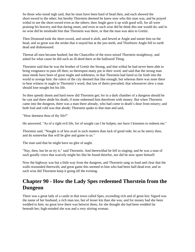So those who stood nigh said, that he must have been hard of head then, and each showed the short-sword to the other; but hereby Thorstein deemed he knew now who this man was, and he prayed withal to see the short-sword even as the others; then Angle gave it up with good will, for all were praising his bravery and that daring onset, and even in such wise did he think this one would do; and in no wise did he misdoubt him that Thorstein was there, or that the man was akin to Grettir.

Then Dromund took the short-sword, and raised it aloft, and hewed at Angle and smote him on the head, and so great was the stroke that it stayed but at the jaw-teeth, and Thorbiorn Angle fell to earth dead and dishonoured.

Thereat all men became hushed; but the Chancellor of the town seized Thorstein straightway, and asked for what cause he did such an ill-deed there at the hallowed Thing.

Thorstein said that he was the brother of Grettir the Strong, and that withal he had never been able to bring vengeance to pass till then; so thereupon many put in their word, and said that the strong man must needs have been of great might and nobleness, in that Thorstein had fared so far forth into the world to avenge him: the rulers of the city deemed that like enough; but whereas there was none there to bear witness in aught to Thorstein's word, that law of theirs prevailed, that whosoever slew a man should lose nought but his life.

So then speedy doom and hard enow did Thorstein get; for in a dark chamber of a dungeon should he be cast and there abide his death, if none redeemed him therefrom with money. But when Thorstein came into the dungeon, there was a man there already, who had come to death's door from misery; and both foul and cold was that abode; Thorstein spake to that man and said,

"How deemest thou of thy life?"

He answered, "As of a right evil life, for of nought can I be holpen, nor have I kinsmen to redeem me."

Thorstein said, "Nought is of less avail in such matters than lack of good rede; let us be merry then, and do somewhat that will be glee and game to us."

The man said that he might have no glee of aught.

"Nay, then, but let us try it," said Thorstein. And therewithal he fell to singing; and he was a man of such goodly voice that scarcely might his like be found therefor, nor did he now spare himself.

Now the highway was but a little way from the dungeon, and Thorstein sang so loud and clear that the walls resounded therewith, and great game this seemed to him who had been half-dead erst; and in such wise did Thorstein keep it going till the evening.

## **Chapter 90 - How the Lady Spes redeemed Thorstein from the Dungeon**

There was a great lady of a castle in that town called Spes, exceeding rich and of great kin; Sigurd was the name of her husband, a rich man too, but of lesser kin than she was, and for money had she been wedded to him; no great love there was betwixt them, for she thought she had been wedded far beneath her; high-minded she was and a very stirring woman.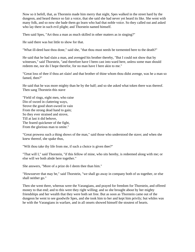Now so it befell, that, as Thorstein made him merry that night, Spes walked in the street hard by the dungeon, and heard thence so fair a voice, that she said she had never yet heard its like. She went with many folk, and so now she bade them go learn who had that noble voice. So they called out and asked who lay there in such evil plight; and Thorstein named himself.

Then said Spes, "Art thou a man as much skilled in other matters as in singing?"

He said there was but little to show for that.

"What ill-deed hast thou done," said she, "that thou must needs be tormented here to the death?"

He said that he had slain a man, and avenged his brother thereby, "But I could not show that by witnesses," said Thorstein, "and therefore have I been cast into ward here, unless some man should redeem me, nor do I hope therefor, for no man have I here akin to me."

"Great loss of thee if thou art slain! and that brother of thine whom thou didst avenge, was he a man so famed, then?"

He said that he was more mighty than he by the half; and so she asked what token there was thereof. Then sang Thorstein this stave

"Field of rings, eight men, who raise Din of sword in clattering ways, Strove the good short-sword in vain From the strong dead hand to gain; So they ever strained and strove, Till at last it did behove, The feared quickener of the fight, From the glorious man to smite."

"Great prowess such a thing shows of the man," said those who understood the stave; and when she knew thereof, she spake thus,

"Wilt thou take thy life from me, if such a choice is given thee?"

"That will I," said Thorstein, "if this fellow of mine, who sits hereby, is redeemed along with me; or else will we both abide here together."

She answers, "More of a prize do I deem thee than him."

"Howsoever that may be," said Thorstein, "we shall go away in company both of us together, or else shall neither go."

Then she went there, whereas were the Varangians, and prayed for freedom for Thorstein, and offered money to that end; and to this were they right willing; and so she brought about by her mighty friendships and her wealth that they were both set free. But as soon as Thorstein came out of the dungeon he went to see goodwife Spes, and she took him to her and kept him privily; but whiles was he with the Varangians in warfare, and in all onsets showed himself the stoutest of hearts.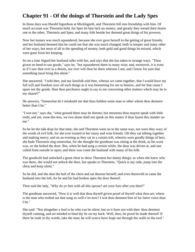## **Chapter 91 - Of the doings of Thorstein and the Lady Spes**

In those days was Harald Sigurdson at Micklegarth, and Thorstein fell into friendship with him. Of much account was Thorstein held, for Spes let him lack no money; and greatly they turned their hearts one to the other, Thorstein and Spes; and many folk beside her deemed great things of his prowess.

Now her money was much squandered, because she ever gave herself to the getting of great friends; and her husband deemed that he could see that she was much changed, both in temper and many other of her ways, but most of all in the spending of money; both gold and good things he missed, which were gone from her keeping.

So on a time Sigurd her husband talks with her, and says that she has taken to strange ways. "Thou givest no heed to our goods," says he, "but squanderest them in many wise; and, moreover, it is even as if I saw thee ever in a dream, nor ever wilt thou be there whereas I am; and I know for sure that something must bring this about."

She answered, "I told thee, and my kinsfolk told thee, whenas we came together, that I would have my full will and freedom over all such things as it was beseeming for me to bestow, and for that cause I spare not thy goods. Hast thou perchance aught to say to me concerning other matters which may be to my shame?"

He answers, "Somewhat do I misdoubt me that thou holdest some man or other whom thou deemest better than I be."

"I wot not," says she, "what ground there may be thereto; but meseems thou mayest speak with little truth; and yet, none-the-less, we two alone shall not speak on this matter if thou layest this slander on me."

So he let the talk drop for that time; she and Thorstein went on in the same way, nor were they wary of the words of evil folk, for she ever trusted in her many and wise friends. Oft they sat talking together and making merry; and on an evening as they sat in a certain loft, wherein were goodly things of hers, she bade Thorstein sing somewhat, for she thought the goodman was sitting at the drink, as his wont was, so she bolted the door. But, when he had sung a certain while, the door was driven at, and one called from outside to open; and there was come the husband with many of his folk.

The goodwife had unlocked a great chest to show Thorstein her dainty things; so when she knew who was there, she would not unlock the door, but speaks to Thorstein, "Quick is my rede, jump into the chest and keep silent."

So he did, and she shot the bolt of the chest and sat thereon herself; and even therewith in came the husband into the loft, for he and his had broken open the door thereof.

Then said the lady, "Why do ye fare with all this uproar? are your foes after you then?"

The goodman answered, "Now it is well that thou thyself givest proof of thyself what thou art; where is the man who trolled out that song so well e'en now? I wot thou deemest him of far fairer voice than I be."

She said: "Not altogether a fool is he who can be silent; but so it fares not with thee: thou deemest thyself cunning, and art minded to bind thy lie on my back. Well, then, let proof be made thereof! If there be truth in thy words, take the man; he will scarce have leapt out through the walls or the roof."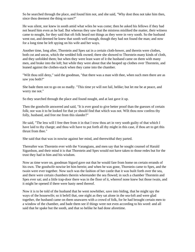So he searched through the place, and found him not, and she said, "Why dost thou not take him then, since thou deemest the thing so sure?"

He was silent, nor knew in sooth amid what wiles he was come; then he asked his fellows if they had not heard him even as he had. But whereas they saw that the mistress misliked the matter, their witness came to nought, for they said that oft folk heard not things as they were in very sooth. So the husband went out, and deemed he knew that sooth well enough, though they had not found the man; and now for a long time he left spying on his wife and her ways.

Another time, long after, Thorstein and Spes sat in a certain cloth-bower, and therein were clothes, both cut and uncut, which the wedded folk owned; there she showed to Thorstein many kinds of cloth, and they unfolded them; but when they were least ware of it the husband came on them with many men, and brake into the loft; but while they were about that she heaped up clothes over Thorstein, and leaned against the clothes-stack when they came into the chamber.

"Wilt thou still deny," said the goodman, "that there was a man with thee, when such men there are as saw you both?"

She bade them not to go on so madly. "This time ye will not fail, belike; but let me be at peace, and worry me not."

So they searched through the place and found nought, and at last gave it up.

Then the goodwife answered and said, "It is ever good to give better proof than the guesses of certain folk; nor was it to be looked for that ye should find that which was not. Wilt thou now confess thy folly, husband, and free me from this slander?"

He said, "The less will I free thee from it in that I trow thou art in very sooth guilty of that which I have laid to thy charge; and thou wilt have to put forth all thy might in this case, if thou art to get this thrust from thee."

She said that that was in nowise against her mind, and therewithal they parted.

Thereafter was Thorstein ever with the Varangians, and men say that he sought counsel of Harald Sigurdson, and their mind it is that Thorstein and Spes would not have taken to those redes but for the trust they had in him and his wisdom.

Now as time wore on, goodman Sigurd gave out that he would fare from home on certain errands of his own. The goodwife nowise let him herein; and when he was gone, Thorstein came to Spes, and the twain were ever together. Now such was the fashion of her castle that it was built forth over the sea, and there were certain chambers therein whereunder the sea flowed; in such a chamber Thorstein and Spes ever sat; and a little trap-door there was in the floor of it, whereof none knew but those twain, and it might be opened if there were hasty need thereof.

Now it is to be told of the husband that he went nowhither, save into hiding, that he might spy the ways of the housewife; so it befell that, one night as they sat alone in the sea-loft and were glad together, the husband came on them unawares with a crowd of folk, for he had brought certain men to a window of the chamber, and bade them see if things were not even according to his word: and all said that he spake but the sooth, and that so belike he had done aforetime.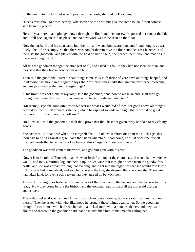So they ran into the loft, but when Spes heard the crash, she said to Thorstein,

"Needs must thou go down hereby, whatsoever be the cost, but give me some token if thou comest safe from the place."

He said yea thereto, and plunged down through the floor, and the housewife spurned her foot at the lid, and it fell back again into its place, and no new work was to be seen on the floor.

Now the husband and his men came into the loft, and went about searching, and found nought, as was likely; the loft was empty, so that there was nought therein save the floor and the cross-benches, and there sat the goodwife, and played with the gold on her fingers; she heeded them little, and made as if there was nought to do.

All this the goodman thought the strangest of all, and asked his folk if they had not seen the man, and they said that they had in good sooth seen him.

Then said the goodwife, "Hereto shall things come as is said; thrice of yore have all things happed, and in likewise hast thou fared, Sigurd," says she, "for three times hadst thou undone my peace, meseems, and are ye any wiser than in the beginning?"

"This time I was not alone in my tale," said the goodman; "and now to make an end, shall thou go through the freeing by law, for in nowise will I have this shame unbooted."

"Meseems," says the goodwife, "thou biddest me what I would bid of thee, for good above all things I deem it to free myself from this slander, which has spread so wide and high, that it would be great dishonour if I thrust it not from off me."

"In likewise," said the goodman, "shalt thou prove that thou hast not given away or taken to thyself my goods."

She answers, "At that time when I free myself shall I in one wise thrust off from me all charges that thou hast to bring against me; but take thou heed whereto all shall come; I will at once free myself from all words that have been spoken here on this charge that thou now makest."

The goodman was well content therewith, and got him gone with his men.

Now it is to be told of Thorstein that he swam forth from under the chamber, and went aland where he would, and took a burning log, and held it up in such wise that it might be seen from the goodwife's castle, and she was abroad for long that evening, and right into the night, for that she would fain know if Thorstein had come aland; and so when she saw the fire, she deemed that she knew that Thorstein had taken land, for even such a token had they agreed on betwixt them.

The next morning Spes bade her husband speak of their matters to the bishop, and thereto was he fully ready. Now they come before the bishop, and the goodman put forward all the aforesaid charges against her.

The bishop asked if she had been known for such an one aforetime, but none said that they had heard thereof. Then he asked with what likelihood he brought those things against her. So the goodman brought forward men who had seen her sit in a locked room with a man beside her, and they twain alone: and therewith the goodman said that he misdoubted him of that man beguiling her.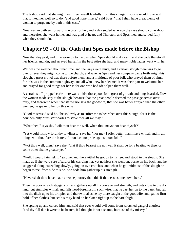The bishop said that she might well free herself lawfully from this charge if so she would. She said that it liked her well so to do, "and good hope I have," said Spes, "that I shall have great plenty of women to purge me by oath in this case."

Now was an oath set forward in words for her, and a day settled whereon the case should come about; and thereafter she went home, and was glad at heart, and Thorstein and Spes met, and settled fully what they should do.

#### **Chapter 92 - Of the Oath that Spes made before the Bishop**

Now that day past, and time wore on to the day when Spes should make oath, and she bade thereto all her friends and kin, and arrayed herself in the best attire she had, and many noble ladies went with her.

Wet was the weather about that time, and the ways were miry, and a certain slough there was to go over or ever they might come to the church; and whenas Spes and her company came forth anigh this slough, a great crowd was there before them, and a multitude of poor folk who prayed them of alms, for this was in the common highway, and all who knew her deemed it was their part to welcome her, and prayed for good things for her as for one who had oft holpen them well.

A certain staff-propped carle there was amidst those poor folk, great of growth and long-bearded. Now the women made stay at the slough, because that the great people deemed the passage across over miry, and therewith when that staff-carle saw the goodwife, that she was better arrayed than the other women, he spake to her on this wise,

"Good mistress," said he, "be so lowly as to suffer me to bear thee over this slough, for it is the bounden duty of us staff-carles to serve thee all we may."

"What then," says she, "wilt thou bear me well, when thou mayst not bear thyself?"

"Yet would it show forth thy lowliness," says he, "nor may I offer better than I have withal; and in all things wilt thou fare the better, if thou hast no pride against poor folk."

"Wot thou well, then," says she, "that if thou bearest me not well it shall be for a beating to thee, or some other shame greater yet."

"Well, I would fain risk it," said he; and therewithal he got on to his feet and stood in the slough. She made as if she were sore afeard of his carrying her, yet nathless she went on, borne on his back; and he staggered along exceeding slowly, going on two crutches, and when he got midmost of the slough he began to reel from side to side. She bade him gather up his strength.

"Never shalt thou have made a worse journey than this if thou easiest me down here."

Then the poor wretch staggers on, and gathers up all his courage and strength, and gets close to the dry land, but stumbles withal, and falls head-foremost in such wise, that he cast her on to the bank, but fell into the ditch up to his armpits, and therewithal as he lay there caught at the goodwife, and gat no firm hold of her clothes, but set his miry hand on her knee right up to the bare thigh.

She sprang up and cursed him, and said that ever would evil come from wretched gangrel churles: "and thy full due it were to be beaten, if I thought it not a shame, because of thy misery."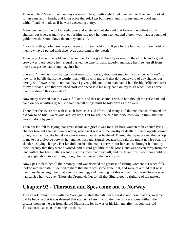Then said he, "Meted in unlike ways is man's bliss; me-thought I had done well to thee, and I looked for an alms at thy hands, and lo, in place thereof, I get but threats and ill-usage and no good again withal;" and he made as if he were exceeding angry.

Many deemed that he looked right poor and wretched, but she said that he was the wiliest of old churles; but whereas many prayed for him, she took her purse to her, and therein was many a penny of gold; then she shook down the money and said,

"Take thou this, carle; nowise good were it, if thou hadst not full pay for the hard words thou hadst of me; now have I parted with thee, even according to thy worth."

Then he picked up the gold, and thanked her for her good deed. Spes went to the church, and a great crowd was there before her. Sigurd pushed the case forward eagerly, and bade her free herself from those charges he had brought against her.

She said, "I heed not thy charges; what man dost thou say thou hast seen in my chamber with me? Lo now oft it befalls that some worthy man will be with me, and that do I deem void of any shame; but hereby will I swear that to no man have I given gold, and of no man have I had fleshly defilement save of my husband, and that wretched staff-carle who laid his miry hand on my thigh when I was borne over the slough this same day."

Now many deemed that this was a full oath, and that no shame it was to her, though the carle had laid hand on her unwittingly; but she said that all things must be told even as they were.

Thereafter she swore the oath in such form as is said afore, and many said thereon that she showed the old saw to be true, swear loud and say little. But for her, she said that wise men would think that this was not done by guile.

Then her kin fell to saying that great shame and grief it was for high-born women to have such lying charges brought against them bootless, whereas it was a crime worthy of death if it were openly known of any woman that she had done whoredoms against her husband. Therewithal Spes prayed the bishop to make out a divorce betwixt her and her husband Sigurd, because she said she might nowise bear his slanderous lying charges. Her kinsfolk pushed the matter forward for her, and so brought it about by their urgency that they were divorced, and Sigurd got little of the goods, and was driven away from the land withal, for here matters went as is oft shown that they will, and the lower must lowt; nor could he bring aught about to avail him, though he had but said the very sooth.

Now Spes took to her all their money, and was deemed the greatest of stirring women; but when folk looked into her oath, it seemed to them that there was some guile in it, and were of a mind that wise men must have taught her that way of swearing; and men dug out this withal, that the staff-carle who had carried her was even Thorstein Dromund. Yet for all that Sigurd got no righting of the matter.

#### **Chapter 93 - Thorstein and Spes come out to Norway**

Thorstein Dromund was with the Varangians while the talk ran highest about these matters; so famed did he become that it was deemed that scarce had any man of the like prowess come thither; the greatest honours he gat from Harald Sigurdson, for he was of his kin; and after his counsels did Thorstein do, as men are minded to think.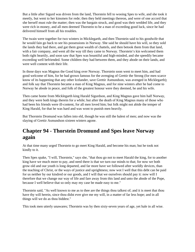But a little after Sigurd was driven from the land, Thorstein fell to wooing Spes to wife, and she took it meetly, but went to her kinsmen for rede; then they held meetings thereon, and were of one accord that she herself must rule the matter; then was the bargain struck, and good was their wedded life, and they were rich in money, and all men deemed Thorstein to be a man of exceeding good luck, since he had delivered himself from all his troubles.

The twain were together for two winters in Micklegarth, and then Thorstein said to his goodwife that he would fain go back to see his possessions in Norway. She said he should have his will, so they sold the lands they had there, and gat them great wealth of chattels, and then betook them from that land, with a fair company, and went all the way till they came to Norway. Thorstein's kin welcomed them both right heartily, and soon saw that Spes was bountiful and high-minded, and she speedily became exceeding well befriended. Some children they had between them, and they abode on their lands, and were well content with their life.

In those days was Magnus the Good king over Norway. Thorstein soon went to meet him, and had good welcome of him, for he had grown famous for the avenging of Grettir the Strong (for men scarce know of its happening that any other Icelander, save Grettir Asmundson, was avenged in Micklegarth); and folk say that Thorstein became a man of King Magnus, and for nine winters after he had come to Norway he abode in peace, and folk of the greatest honour were they deemed, he and his wife.

Then came home from Micklegarth king Harald Sigurdson, and King Magnus gave him half Norway, and they were both kings therein for a while; but after the death of King Magnus many of those who had been his friends were ill-content, for all men loved him; but folk might not abide the temper of King Harald, for that he was hard and was wont to punish men heavily.

But Thorstein Dromund was fallen into eld, though he was still the halest of men; and now was the slaying of Grettir Asmundson sixteen winters agone.

# **Chapter 94 - Thorstein Dromund and Spes leave Norway again**

At that time many urged Thorstein to go meet King Harald, and become his man; but he took not kindly to it.

Then Spes spake, "I will, Thorstein," says she, "that thou go not to meet Harald the king, for to another king have we much more to pay, and need there is that we turn our minds to that; for now we both grow old and our youth is long departed, and far more have we followed after worldly devices, than the teaching of Christ, or the ways of justice and uprightness; now wot I well that this debt can be paid for us neither by our kindred or our goods, and I will that we ourselves should pay it: now will I therefore that we change our way of life and fare away from this land and unto the abode of the Pope, because I well believe that so only may my case be made easy to me."

Thorstein said, "As well known to me as to thee are the things thou talkest of; and it is meet that thou have thy will herein, since thou didst ever give me my will, in a matter of far less hope; and in all things will we do as thou biddest."

This took men utterly unawares; Thorstein was by then sixty-seven years of age, yet hale in all wise.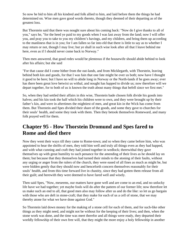So now he bid to him all his kindred and folk allied to him, and laid before them the things he had determined on. Wise men gave good words thereto, though they deemed of their departing as of the greatest loss.

But Thorstein said that there was nought sure about his coming back: "Now do I give thanks to all of you," says he, "for the heed ye paid to my goods when I was last away from the land; now I will offer you, and pray you to take to you my children's havings, and my children, and bring them up according to the manliness that is in you; for I am fallen so far into eld that there is little to say as to whether I may return or not, though I may live; but ye shall in such wise look after all that I leave behind me here, even as if I should never come back to Norway."

Then men answered, that good redes would be plenteous if the housewife should abide behind to look after his affairs; but she said

"For that cause did I come hither from the out-lands, and from Micklegarth, with Thorstein, leaving behind both kin and goods, for that I was fain that one fate might be over us both; now have I thought it good to be here; but I have no will to abide long in Norway or the North-lands if he goes away; ever has there been great love betwixt us withal, and nought has happed to divide us; now therefore will we depart together, for to both of us is known the truth about many things that befell since we first met."

So, when they had settled their affairs in this wise, Thorstein bade chosen folk divide his goods into halves; and his kin took the half which his children were to own, and they were brought up by their father's kin, and were in aftertimes the mightiest of men, and great kin in the Wick has come from them. But Thorstein and Spes divided their share of the goods, and some they gave to churches for their souls' health, and some they took with them. Then they betook themselves Romeward, and many folk prayed well for them.

## **Chapter 95 - How Thorstein Dromund and Spes fared to Rome and died there**

Now they went their ways till they came to Rome-town; and so when they came before him, who was appointed to hear the shrifts of men, they told him well and truly all things even as they had happed, and with what cunning and craft they had joined together in wedlock; therewithal they gave themselves up with great humility to such penance for the amending of their lives as he should lay on them; but because that they themselves had turned their minds to the atoning of their faults, without any urging or anger from the rulers of the church, they were eased of all fines as much as might be, but were bidden gently that they should now and henceforth concern themselves reasonably for their souls' health, and from this time forward live in chastity, since they had gotten them release from all their guilt; and herewith they were deemed to have fared well and wisely.

Then said Spes, "Now, meseems, our matters have gone well and are come to an end, and no unlucky life have we had together; yet maybe fools will do after the pattern of our former life; now therefore let us make such an end to all, that good men also may follow after us and do the like: so let us go bargain with those who are deft in stone-craft; that they make for each of us a cell of stone, that we may thereby atone for what we have done against God."

So Thorstein laid down money for the making of a stone cell for each of them, and for such-like other things as they might need, and might not be without for the keeping of their lives; and then, when the stone work was done, and the time was meet therefor and all things were ready, they departed their worldly fellowship of their own free will, that they might the more enjoy a holy fellowship in another